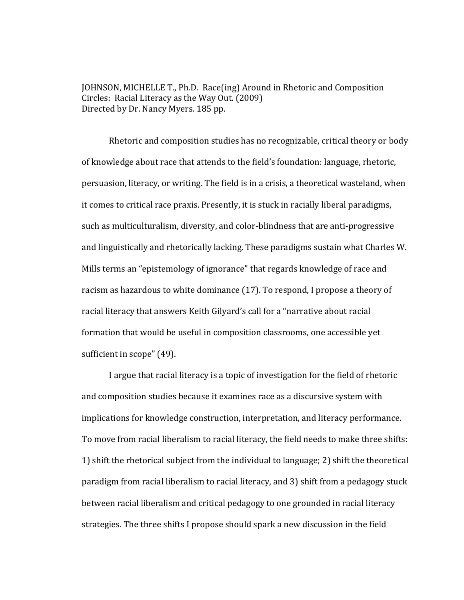JOHNSON, MICHELLE T., Ph.D. Race(in g) Around in Rhetoric and Composition Circles: Racial Literacy as the Way Out. (2009) Directed by Dr. Nancy Myers. 185 pp.

Rhetoric and composition studies has no recognizable, critical theory or body of knowledge about race that attends to the field's foundation: language, rhetoric, persuasion, literacy, or writing. The field is in a crisis, a theoretical wasteland, when it comes to critical race praxis. Presently, it is stuck in racially liberal paradigms, such as multiculturalism, diversity, and color-blindness that are anti-progressive and linguistically and rhetorically lacking. These paradigms sustain what Charles W. Mills terms an "epistemology of ignorance" that regards knowledge of race and racism as hazardous to white dominance (17). To respond, I propose a theory of racial literacy that answers Keith Gilyard's call for a "narrative about racial formation that would be useful in composition classrooms, one accessible yet sufficient in scope" (49).

I argue that racial literacy is a topic of investigation for the field of rhetoric and composition studies because it examines race as a discursive system with implications for knowledge construction, interpretation, and literacy performance. To move from racial liberalism to racial literacy, the field needs to make three shifts: 1) shift the rhetorical subject from the individual to language; 2) shift the theoretical paradigm from racial liberalism to racial literacy, and 3) shift from a pedagogy stuck between racial liberalism and critical pedagogy to one grounded in racial literacy strategies. The three shifts I propose should spark a new discussion in the field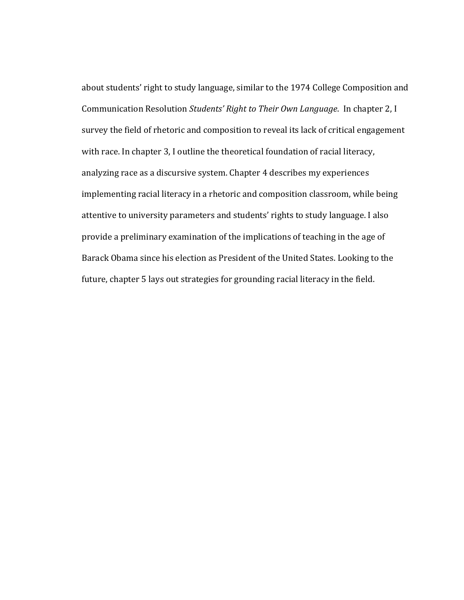about students' right to study language, similar to the 1974 College Composition and Communication Resolution *Students' Right to Their Own Language*. In chapter 2, I survey the field of rhetoric and composition to reveal its lack of critical engagement with race. In chapter 3, I outline the theoretical foundation of racial literacy, analyzing race as a discursive system. Chapter 4 describes my experiences implementing racial literacy in a rhetoric and composition classroom, while being attentive to university parameters and students' rights to study language. I also provide a preliminary examination of the implications of teaching in the age of Barack Obama since his election as President of the United States. Looking to the future, chapter 5 lays out strategies for grounding racial literacy in the field.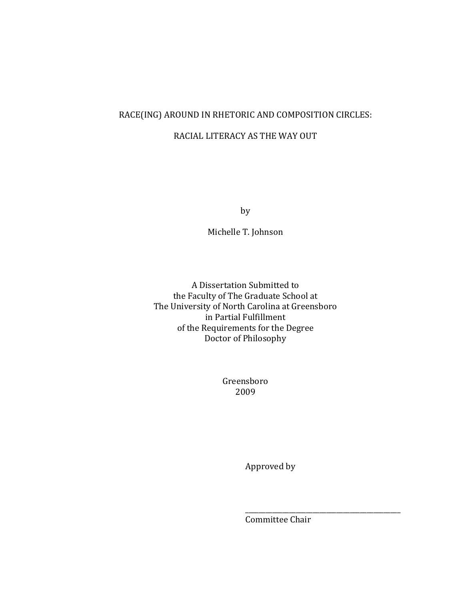## RACE(ING) AROUND IN RHETORIC AND COMPOSITION CIRCLES:

### RACIAL LITERACY AS THE WAY OUT

by

Michelle T. Johnson

A Dissertation Submitted to the Faculty of The Graduate School at The University of North Carolina at Greensboro of the Requirements for the Degree in Partial Fulfillment Doctor of Philosophy

> Greensboro 2009

> > Approved by

 $\overline{\phantom{a}}$  ,  $\overline{\phantom{a}}$  ,  $\overline{\phantom{a}}$  ,  $\overline{\phantom{a}}$  ,  $\overline{\phantom{a}}$  ,  $\overline{\phantom{a}}$  ,  $\overline{\phantom{a}}$  ,  $\overline{\phantom{a}}$  ,  $\overline{\phantom{a}}$  ,  $\overline{\phantom{a}}$  ,  $\overline{\phantom{a}}$  ,  $\overline{\phantom{a}}$  ,  $\overline{\phantom{a}}$  ,  $\overline{\phantom{a}}$  ,  $\overline{\phantom{a}}$  ,  $\overline{\phantom{a}}$ 

Committee Chair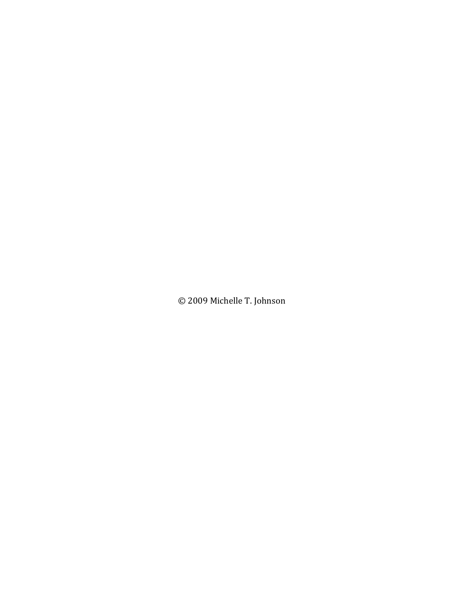© 2009 Michelle T. Johnson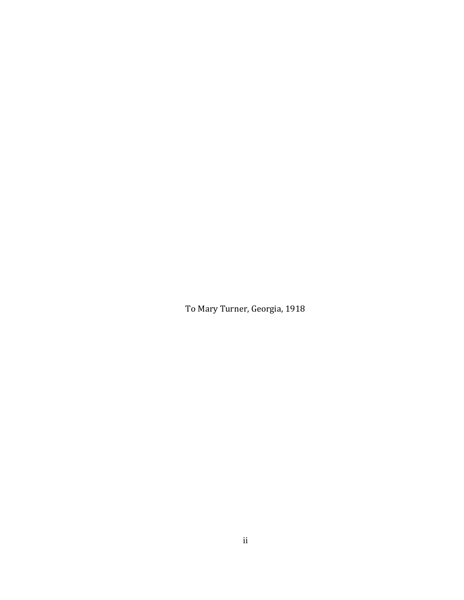To Mary Turner, Georgia, 1918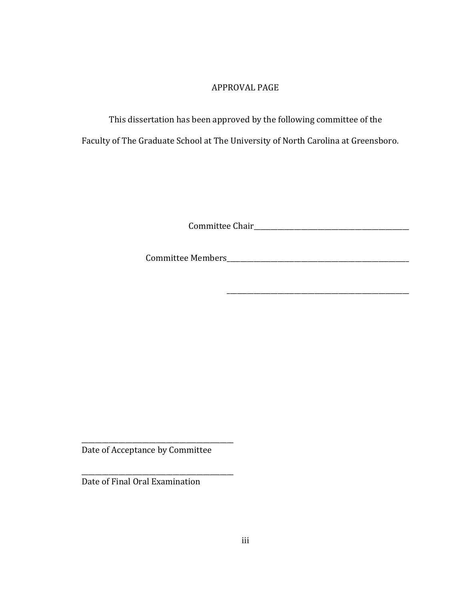### APPROVAL PAGE

This dissertation has been approved by the following committee of the

Faculty of The Graduate School at The University of North Carolina at Greensboro.

Committee Chair\_\_\_\_\_\_\_\_\_\_\_\_\_\_\_\_\_\_\_\_\_\_\_\_\_\_\_\_\_\_\_\_\_\_\_\_\_\_\_\_\_\_\_\_\_\_

\_\_\_\_\_\_\_\_\_\_\_\_\_\_\_\_\_\_\_\_\_\_\_\_\_\_\_\_\_\_\_\_\_\_\_\_\_\_\_\_\_\_\_\_\_\_\_\_\_\_\_\_\_\_

Committee Members\_\_\_\_\_\_\_\_\_\_\_\_\_\_\_\_\_\_\_\_\_\_\_\_\_\_\_\_\_\_\_\_\_\_\_\_\_\_\_\_\_\_\_\_\_\_\_\_\_\_\_\_\_\_

Date of Acceptance by Committee

\_\_\_\_\_\_\_\_\_\_\_\_\_\_\_\_\_\_\_\_\_\_\_\_\_\_\_\_\_\_\_\_\_\_\_\_\_\_\_\_\_\_\_\_\_

\_\_\_\_\_\_\_\_\_\_\_\_\_\_\_\_\_\_\_\_\_\_\_\_\_\_\_\_\_\_\_\_\_\_\_\_\_\_\_\_\_\_\_\_

Date of Final Oral Examination

\_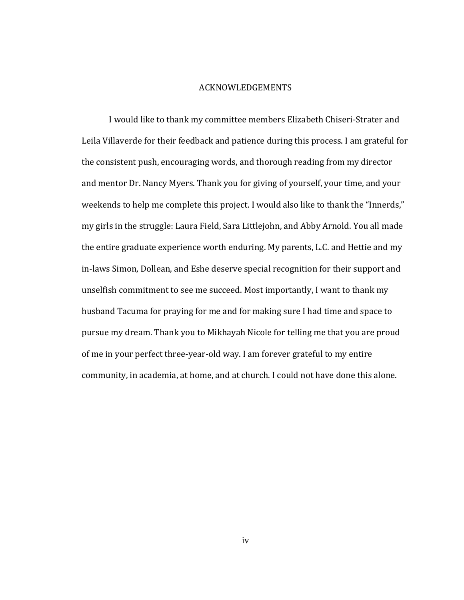#### **ACKNOWLEDGEMENTS**

I would like to thank my committee members Elizabeth Chiseri-Strater and Leila Villaverde for their feedback and patience during this process. I am grateful for the consistent push, encouraging words, and thorough reading from my director and mentor Dr. Nancy Myers. Thank you for giving of yourself, your time, and your weekends to help me complete this project. I would also like to thank the "Innerds," my girls in the struggle: Laura Field, Sara Littlejohn, and Abby Arnold. You all made the entire graduate experience worth enduring. My parents, L.C. and Hettie and my in-laws Simon, Dollean, and Eshe deserve special recognition for their support and unselfish commitment to see me succeed. Most importantly, I want to thank my husband Tacuma for praying for me and for making sure I had time and space to pursue my dream. Thank you to Mikhayah Nicole for telling me that you are proud of me in your perfect three-year-old way. I am forever grateful to my entire community, in academia, at home, and at church. I could not have done this alone.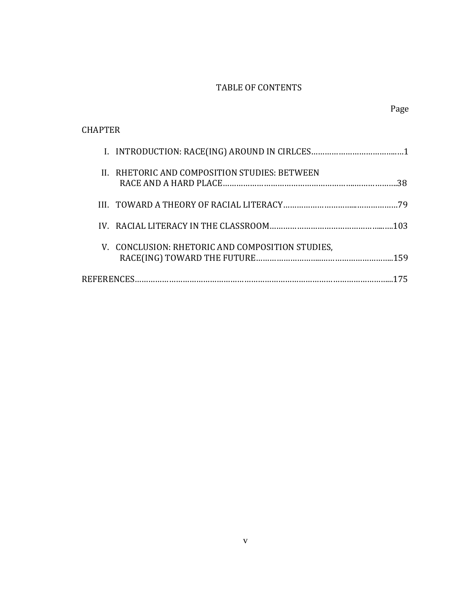# TABLE OF CONTENTS

Page

| <b>CHAPTER</b>                                       |
|------------------------------------------------------|
|                                                      |
| II. RHETORIC AND COMPOSITION STUDIES: BETWEEN<br>.38 |
| 79                                                   |
|                                                      |
| V. CONCLUSION: RHETORIC AND COMPOSITION STUDIES,     |
| <b>REFERENCES.</b>                                   |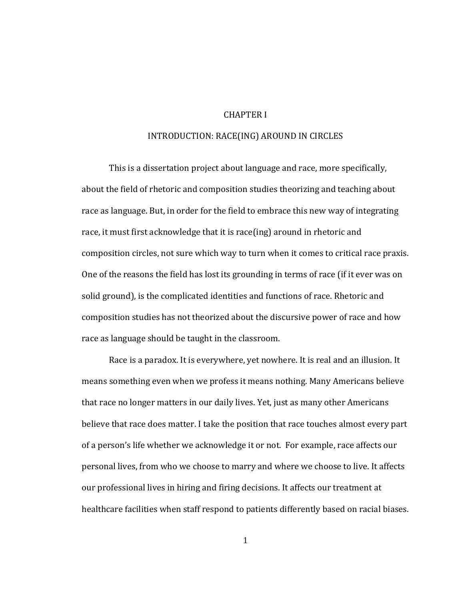#### CHAPTER I

#### INTRODUCTION: RACE(ING) AROUND IN CIRCLES

This is a dissertation project about language and race, more specifically, about the field of rhetoric and composition studies theorizing and teaching about race as language. But, in order for the field to embrace this new way of integrating race, it must first acknowledge that it is race(ing) around in rhetoric and composition circles, not sure which way to turn when it comes to critical race praxis. One of the reasons the field has lost its grounding in terms of race (if it ever was on solid ground), is the complicated identities and functions of race. Rhetoric and composition studies has not theorized about the discursive power of race and how race as language should be taught in the classroom.

Race is a paradox. It is everywhere, yet nowhere. It is real and an illusion. It means something even when we profess it means nothing. Many Americans believe that race no longer matters in our daily lives. Yet, just as many other Americans believe that race does matter. I take the position that race touches almost every part of a person's life whether we acknowledge it or not. For example, race affects our personal lives, from who we choose to marry and where we choose to live. It affects our professional lives in hiring and firing decisions. It affects our treatment at healthcare facilities when staff respond to patients differently based on racial biases.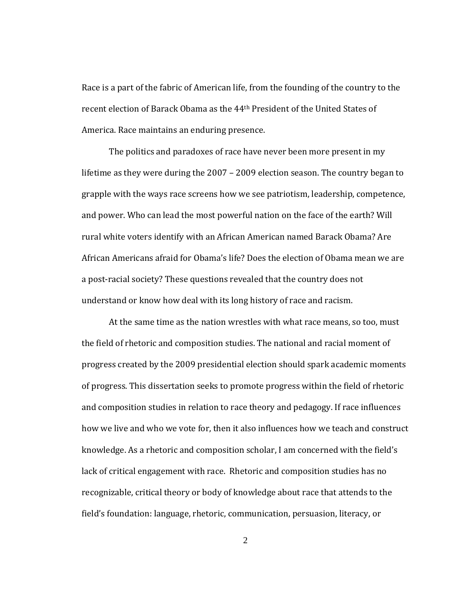Race is a part of the fabric of American life, from the founding of the country to the recent election of Barack Obama as the 44th President of the United States of America. Race maintains an enduring presence.

understand or know how deal with its long history of race and racism. The politics and paradoxes of race have never been more present in my lifetime as they were during the 2007 – 2009 election season. The country began to grapple with the ways race screens how we see patriotism, leadership, competence, and power. Who can lead the most powerful nation on the face of the earth? Will rural white voters identify with an African American named Barack Obama? Are African Americans afraid for Obama's life? Does the election of Obama mean we are a post‐racial society? These questions revealed that the country does not

At the same time as the nation wrestles with what race means, so too, must the field of rhetoric and composition studies. The national and racial moment of progress created by the 2009 presidential election should spark academic moments of progress. This dissertation seeks to promote progress within the field of rhetoric and composition studies in relation to race theory and pedagogy. If race influences how we live and who we vote for, then it also influences how we teach and construct knowledge. As a rhetoric and composition scholar, I am concerned with the field's lack of critical engagement with race. Rhetoric and composition studies has no recognizable, critical theory or body of knowledge about race that attends to the field's foundation: language, rhetoric, communication, persuasion, literacy, or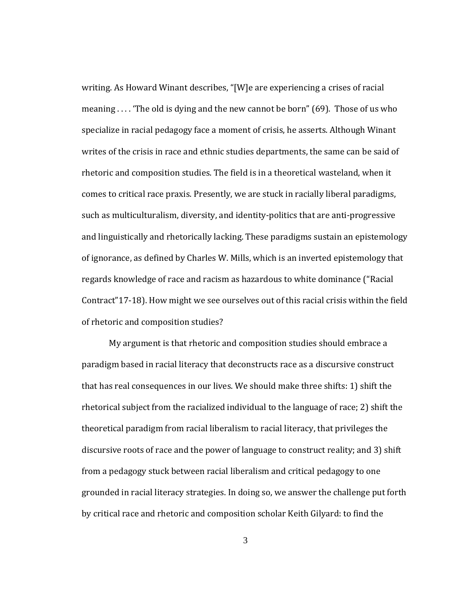of rhetoric and composition studies? writing. As Howard Winant describes, "[W]e are experiencing a crises of racial meaning . . . . 'The old is dying and the new cannot be born" (69). Those of us who specialize in racial pedagogy face a moment of crisis, he asserts. Although Winant writes of the crisis in race and ethnic studies departments, the same can be said of rhetoric and composition studies. The field is in a theoretical wasteland, when it comes to critical race praxis. Presently, we are stuck in racially liberal paradigms, such as multiculturalism, diversity, and identity‐politics that are anti‐progressive and linguistically and rhetorically lacking. These paradigms sustain an epistemology of ignorance, as defined by Charles W. Mills, which is an inverted epistemology that regards knowledge of race and racism as hazardous to white dominance ("Racial Contract"17‐18). How might we see ourselves out of this racial crisis within the field

My argument is that rhetoric and composition studies should embrace a paradigm based in racial literacy that deconstructs race as a discursive construct that has real consequences in our lives. We should make three shifts: 1) shift the rhetorical subject from the racialized individual to the language of race; 2) shift the theoretical paradigm from racial liberalism to racial literacy, that privileges the discursive roots of race and the power of language to construct reality; and 3) shift from a pedagogy stuck between racial liberalism and critical pedagogy to one grounded in racial literacy strategies. In doing so, we answer the challenge put forth by critical race and rhetoric and composition scholar Keith Gilyard: to find the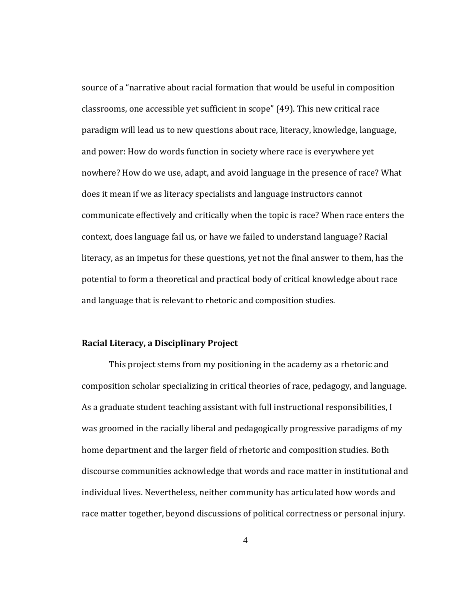source of a "narrative about racial formation that would be useful in composition classrooms, one accessible yet sufficient in scope" (49). This new critical race paradigm will lead us to new questions about race, literacy, knowledge, language, and power: How do words function in society where race is everywhere yet nowhere? How do we use, adapt, and avoid language in the presence of race? What does it mean if we as literacy specialists and language instructors cannot communicate effectively and critically when the topic is race? When race enters the context, does language fail us, or have we failed to understand language? Racial literacy, as an impetus for these questions, yet not the final answer to them, has the potential to form a theoretical and practical body of critical knowledge about race and language that is relevant to rhetoric and composition studies.

#### **Literacy, a Disciplinary Project Racial**

This project stems from my positioning in the academy as a rhetoric and composition scholar specializing in critical theories of race, pedagogy, and language. As a graduate student teaching assistant with full instructional responsibilities, I was groomed in the racially liberal and pedagogically progressive paradigms of my home department and the larger field of rhetoric and composition studies. Both discourse communities acknowledge that words and race matter in institutional and individual lives. Nevertheless, neither community has articulated how words and race matter together, beyond discussions of political correctness or personal injury.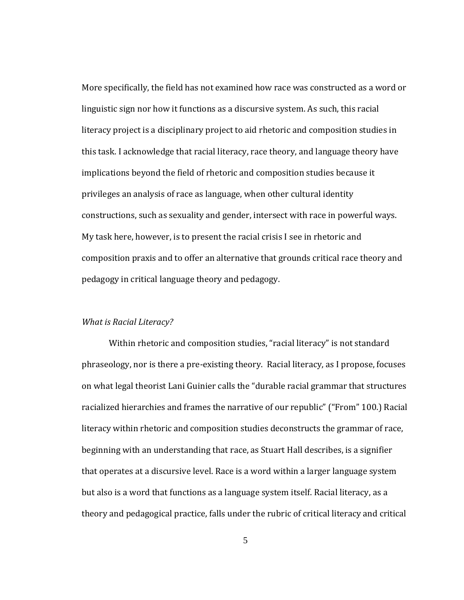More specifically, the field has not examined how race was constructed as a word or linguistic sign nor how it functions as a discursive system. As such, this racial literacy project is a disciplinary project to aid rhetoric and composition studies in this task. I acknowledge that racial literacy, race theory, and language theory have implications beyond the field of rhetoric and composition studies because it privileges an analysis of race as language, when other cultural identity constructions, such as sexuality and gender, intersect with race in powerful ways. My task here, however, is to present the racial crisis I see in rhetoric and composition praxis and to offer an alternative that grounds critical race theory and pedagogy in critical language theory and pedagogy.

#### *Racial Literacy? What is*

Within rhetoric and composition studies, "racial literacy" is not standard phraseology, nor is there a pre‐existing theory. Racial literacy, as I propose, focuses on what legal theorist Lani Guinier calls the "durable racial grammar that structures racialized hierarchies and frames the narrative of our republic" ("From" 100.) Racial literacy within rhetoric and composition studies deconstructs the grammar of race, beginning with an understanding that race, as Stuart Hall describes, is a signifier that operates at a discursive level. Race is a word within a larger language system but also is a word that functions as a language system itself. Racial literacy, as a theory and pedagogical practice, falls under the rubric of critical literacy and critical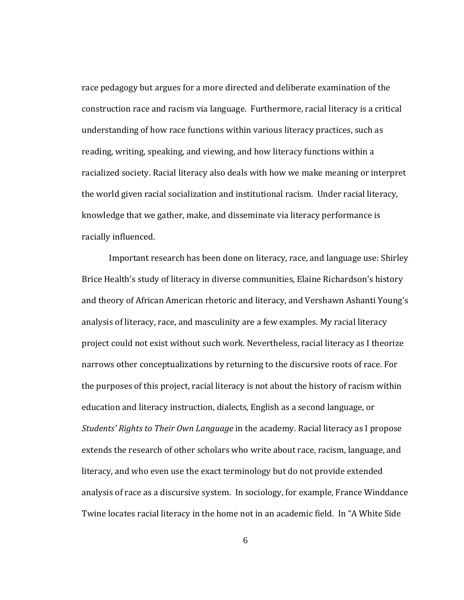racially influenced. race pedagogy but argues for a more directed and deliberate examination of the construction race and racism via language. Furthermore, racial literacy is a critical understanding of how race functions within various literacy practices, such as reading, writing, speaking, and viewing, and how literacy functions within a racialized society. Racial literacy also deals with how we make meaning or interpret the world given racial socialization and institutional racism. Under racial literacy, knowledge that we gather, make, and disseminate via literacy performance is

Important research has been done on literacy, race, and language use: Shirley Brice Health's study of literacy in diverse communities, Elaine Richardson's history and theory of African American rhetoric and literacy, and Vershawn Ashanti Young's analysis of literacy, race, and masculinity are a few examples. My racial literacy project could not exist without such work. Nevertheless, racial literacy as I theorize narrows other conceptualizations by returning to the discursive roots of race. For the purposes of this project, racial literacy is not about the history of racism within education and literacy instruction, dialects, English as a second language, or *Students' Rights to Their Own Language* in the academy. Racial literacy as I propose extends the research of other scholars who write about race, racism, language, and literacy, and who even use the exact terminology but do not provide extended analysis of race as a discursive system. In sociology, for example, France Winddance Twine locates racial literacy in the home not in an academic field. In "A White Side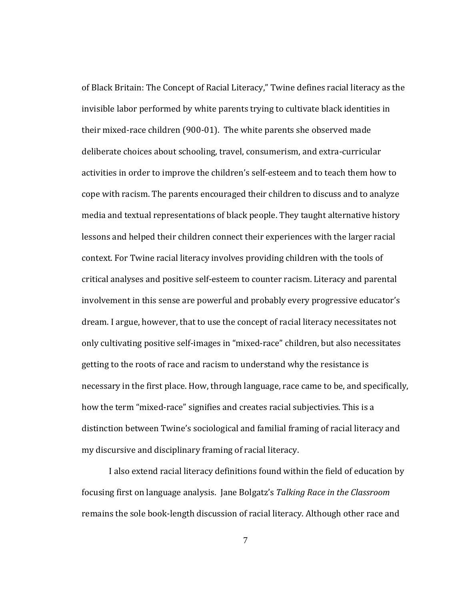my discursive and disciplinary framing of racial literacy. of Black Britain: The Concept of Racial Literacy," Twine defines racial literacy as the invisible labor performed by white parents trying to cultivate black identities in their mixed‐race children (900‐01). The white parents she observed made deliberate choices about schooling, travel, consumerism, and extra‐curricular activities in order to improve the children's self‐esteem and to teach them how to cope with racism. The parents encouraged their children to discuss and to analyze media and textual representations of black people. They taught alternative history lessons and helped their children connect their experiences with the larger racial context. For Twine racial literacy involves providing children with the tools of critical analyses and positive self‐esteem to counter racism. Literacy and parental involvement in this sense are powerful and probably every progressive educator's dream. I argue, however, that to use the concept of racial literacy necessitates not only cultivating positive self‐images in "mixed‐race" children, but also necessitates getting to the roots of race and racism to understand why the resistance is necessary in the first place. How, through language, race came to be, and specifically, how the term "mixed‐race" signifies and creates racial subjectivies. This is a distinction between Twine's sociological and familial framing of racial literacy and

I also extend racial literacy definitions found within the field of education by focusing first on language analysis. Jane Bolgatz's *Talking Race in the Classroom* remains the sole book‐length discussion of racial literacy. Although other race and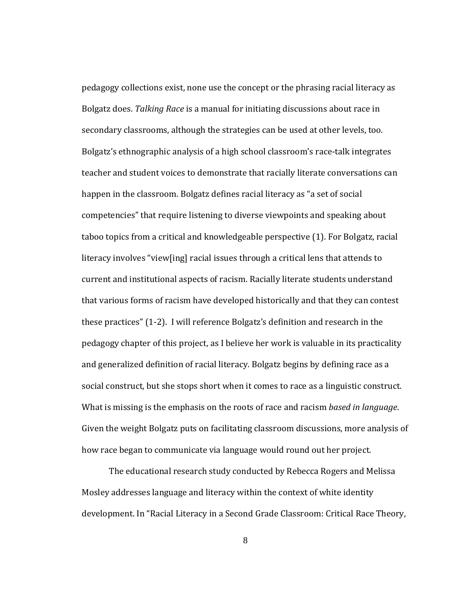how race began to communicate via language would round out her project. pedagogy collections exist, none use the concept or the phrasing racial literacy as Bolgatz does. *Talking Race* is a manual for initiating discussions about race in secondary classrooms, although the strategies can be used at other levels, too. Bolgatz's ethnographic analysis of a high school classroom's race‐talk integrates teacher and student voices to demonstrate that racially literate conversations can happen in the classroom. Bolgatz defines racial literacy as "a set of social competencies" that require listening to diverse viewpoints and speaking about taboo topics from a critical and knowledgeable perspective (1). For Bolgatz, racial literacy involves "view[ing] racial issues through a critical lens that attends to current and institutional aspects of racism. Racially literate students understand that various forms of racism have developed historically and that they can contest these practices" (1‐2). I will reference Bolgatz's definition and research in the pedagogy chapter of this project, as I believe her work is valuable in its practicality and generalized definition of racial literacy. Bolgatz begins by defining race as a social construct, but she stops short when it comes to race as a linguistic construct. What is missing is the emphasis on the roots of race and racism *based in language*. Given the weight Bolgatz puts on facilitating classroom discussions, more analysis of

 The educational research study conducted by Rebecca Rogers and Melissa Mosley addresses language and literacy within the context of white identity development. In "Racial Literacy in a Second Grade Classroom: Critical Race Theory,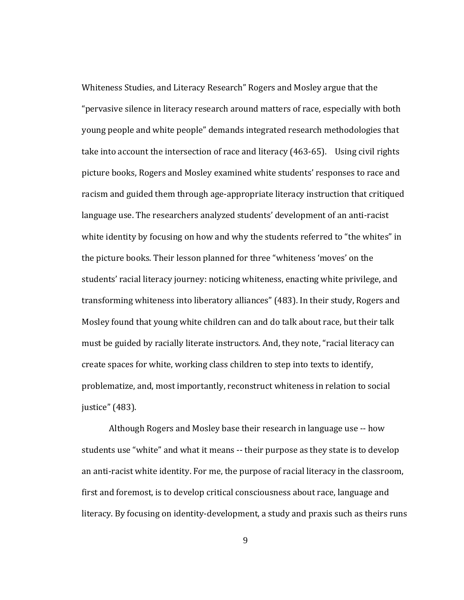(483). justice"Whiteness Studies, and Literacy Research" Rogers and Mosley argue that the "pervasive silence in literacy research around matters of race, especially with both young people and white people" demands integrated research methodologies that take into account the intersection of race and literacy (463-65). Using civil rights picture books, Rogers and Mosley examined white students' responses to race and racism and guided them through age-appropriate literacy instruction that critiqued language use. The researchers analyzed students' development of an anti-racist white identity by focusing on how and why the students referred to "the whites" in the picture books. Their lesson planned for three "whiteness 'moves' on the students' racial literacy journey: noticing whiteness, enacting white privilege, and transforming whiteness into liberatory alliances" (483). In their study, Rogers and Mosley found that young white children can and do talk about race, but their talk must be guided by racially literate instructors. And, they note, "racial literacy can create spaces for white, working class children to step into texts to identify, problematize, and, most importantly, reconstruct whiteness in relation to social

Although Rogers and Mosley base their research in language use ‐‐ how students use "white" and what it means ‐‐ their purpose as they state is to develop an anti‐racist white identity. For me, the purpose of racial literacy in the classroom, first and foremost, is to develop critical consciousness about race, language and literacy. By focusing on identity‐development, a study and praxis such as theirs runs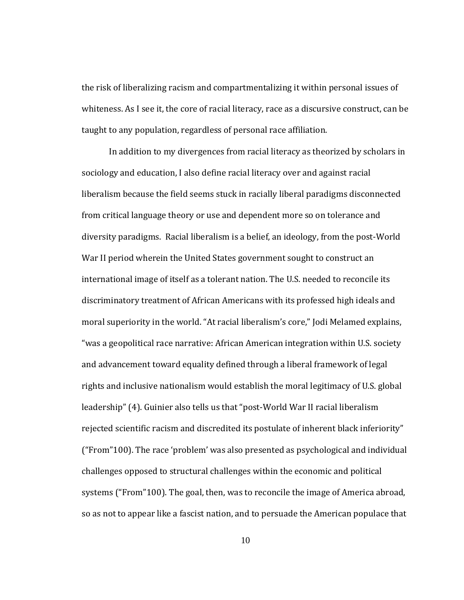the risk of liberalizing racism and compartmentalizing it within personal issues of whiteness. As I see it, the core of racial literacy, race as a discursive construct, can be taught to any population, regardless of personal race affiliation.

In addition to my divergences from racial literacy as theorized by scholars in sociology and education, I also define racial literacy over and against racial liberalism because the field seems stuck in racially liberal paradigms disconnected from critical language theory or use and dependent more so on tolerance and diversity paradigms. Racial liberalism is a belief, an ideology, from the post‐World War II period wherein the United States government sought to construct an international image of itself as a tolerant nation. The U.S. needed to reconcile its discriminatory treatment of African Americans with its professed high ideals and moral superiority in the world. "At racial liberalism's core," Jodi Melamed explains, "was a geopolitical race narrative: African American integration within U.S. society and advancement toward equality defined through a liberal framework of legal rights and inclusive nationalism would establish the moral legitimacy of U.S. global leadership" (4). Guinier also tells us that "post‐World War II racial liberalism rejected scientific racism and discredited its postulate of inherent black inferiority" ("From"100). The race 'problem' was also presented as psychological and individual challenges opposed to structural challenges within the economic and political systems ("From"100). The goal, then, was to reconcile the image of America abroad, so as not to appear like a fascist nation, and to persuade the American populace that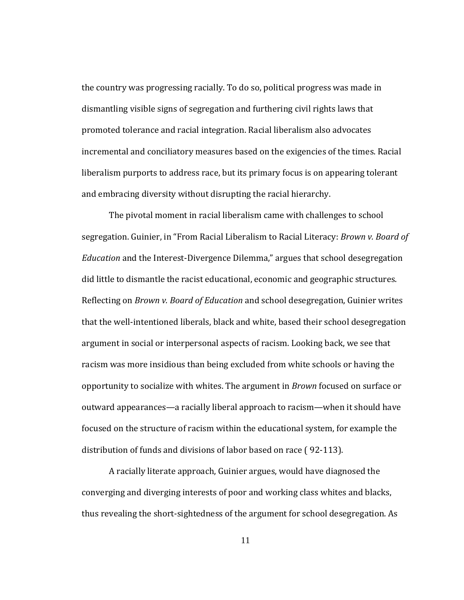the country was progressing racially. To do so, political progress was made in dismantling visible signs of segregation and furthering civil rights laws that promoted tolerance and racial integration. Racial liberalism also advocates incremental and conciliatory measures based on the exigencies of the times. Racial liberalism purports to address race, but its primary focus is on appearing tolerant and embracing diversity without disrupting the racial hierarchy.

distribution of funds and divisions of labor based on race (92-113). The pivotal moment in racial liberalism came with challenges to school segregation. Guinier, in "From Racial Liberalism to Racial Literacy: *Brown v. Board of Education* and the Interest‐Divergence Dilemma," argues that school desegregation did little to dismantle the racist educational, economic and geographic structures. Reflecting on *Brown v. Board of Education* and school desegregation, Guinier writes that the well‐intentioned liberals, black and white, based their school desegregation argument in social or interpersonal aspects of racism. Looking back, we see that racism was more insidious than being excluded from white schools or having the opportunity to socialize with whites. The argument in *Brown* focused on surface or outward appearances—a racially liberal approach to racism—when it should have focused on the structure of racism within the educational system, for example the

A racially literate approach, Guinier argues, would have diagnosed the converging and diverging interests of poor and working class whites and blacks, thus revealing the short‐sightedness of the argument for school desegregation. As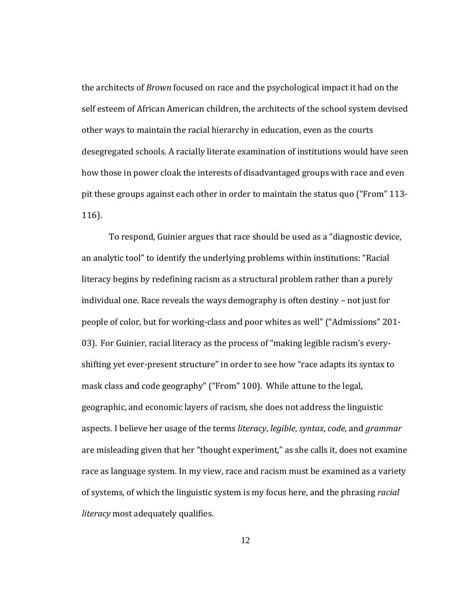the architects of *Brown* focused on race and the psychological impact it had on the self esteem of African American children, the architects of the school system devised other ways to maintain the racial hierarchy in education, even as the courts desegregated schools. A racially literate examination of institutions would have seen how those in power cloak the interests of disadvantaged groups with race and even pit these groups against each other in order to maintain the status quo ("From" 113‐ 116).

To respond, Guinier argues that race should be used as a "diagnostic device, an analytic tool" to identify the underlying problems within institutions: "Racial literacy begins by redefining racism as a structural problem rather than a purely individual one. Race reveals the ways demography is often destiny – not just for people of color, but for working‐class and poor whites as well" ("Admissions" 201‐ 03). For Guinier, racial literacy as the process of "making legible racism's every‐ shifting yet ever‐present structure" in order to see how "race adapts its syntax to mask class and code geography" ("From" 100). While attune to the legal, geographic, and economic layers of racism, she does not address the linguistic aspects. I believe her usage of the terms *literacy*, *legible*, *syntax*, *code*, and *grammar* are misleading given that her "thought experiment," as she calls it, does not examine race as language system. In my view, race and racism must be examined as a variety of systems, of which the linguistic system is my focus here, and the phrasing *racial literacy* most adequately qualifies.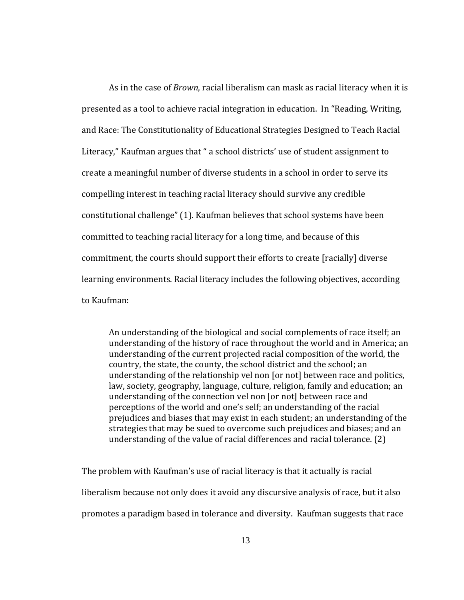As in the case of *Brown*, racial liberalism can mask as racial literacy when it is presented as a tool to achieve racial integration in education. In "Reading, Writing, and Race: The Constitutionality of Educational Strategies Designed to Teach Racial Literacy," Kaufman argues that " a school districts' use of student assignment to create a meaningful number of diverse students in a school in order to serve its compelling interest in teaching racial literacy should survive any credible constitutional challenge" (1). Kaufman believes that school systems have been committed to teaching racial literacy for a long time, and because of this commitment, the courts should support their efforts to create [racially] diverse learning environments. Racial literacy includes the following objectives, according to Kaufman:

An understanding of the biological and social complements of race itself; an understanding of the history of race throughout the world and in America; an understanding of the current projected racial composition of the world, the country, the state, the county, the school district and the school; an understanding of the relationship vel non [or not] between race and politics, law, society, geography, language, culture, religion, family and education; an understanding of the connection vel non [or not] between race and perceptions of the world and one's self; an understanding of the racial prejudices and biases that may exist in each student; an understanding of the strategies that may be sued to overcome such prejudices and biases; and an understanding of the value of racial differences and racial tolerance. (2)

The problem with Kaufman's use of racial literacy is that it actually is racial liberalism because not only does it avoid any discursive analysis of race, but it also promotes a paradigm based in tolerance and diversity. Kaufman suggests that race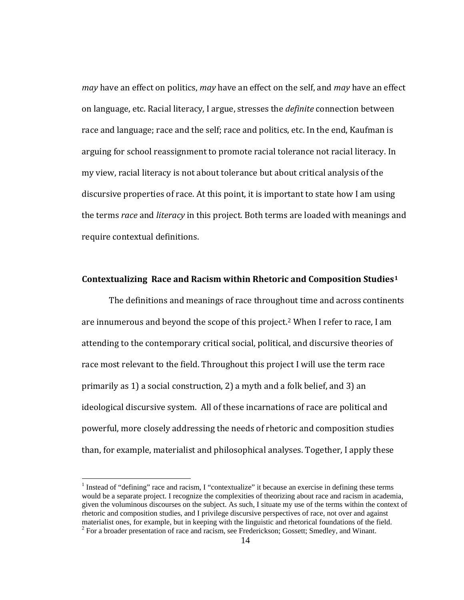*may* have an effect on politics, *may* have an effect on the self, and *may* have an effect on language, etc. Racial literacy, I argue, stresses the *definite* connection between race and language; race and the self; race and politics, etc. In the end, Kaufman is arguing for school reassignment to promote racial tolerance not racial literacy. In my view, racial literacy is not about tolerance but about critical analysis of the discursive properties of race. At this point, it is important to state how I am using the terms *race* and *literacy* in this project. Both terms are loaded with meanings and require contextual definitions.

### **Contextualizing Race and Racism within Rhetoric and Composition Studies[1](#page-21-0)**

 The definitions and meanings of race throughout time and across continents are innumerous and beyond the scope of this project.[2](#page-21-0) When I refer to race, I am attending to the contemporary critical social, political, and discursive theories of race most relevant to the field. Throughout this project I will use the term race primarily as 1) a social construction, 2) a myth and a folk belief, and 3) an ideological discursive system. All of these incarnations of race are political and powerful, more closely addressing the needs of rhetoric and composition studies than, for example, materialist and philosophical analyses. Together, I apply these

 $\overline{a}$ 

<span id="page-21-0"></span><sup>&</sup>lt;sup>1</sup> Instead of "defining" race and racism, I "contextualize" it because an exercise in defining these terms would be a separate project. I recognize the complexities of theorizing about race and racism in academia, given the voluminous discourses on the subject. As such, I situate my use of the terms within the context of rhetoric and composition studies, and I privilege discursive perspectives of race, not over and against materialist ones, for example, but in keeping with the linguistic and rhetorical foundations of the field. 2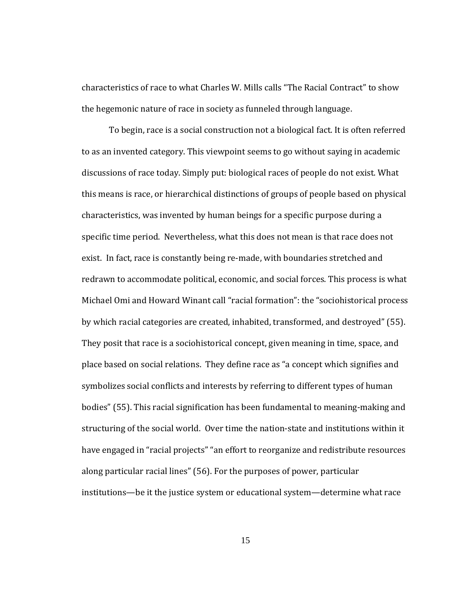characteristics of race to what Charles W. Mills calls "The Racial Contract" to show the hegemonic nature of race in society as funneled through language.

To begin, race is a social construction not a biological fact. It is often referred to as an invented category. This viewpoint seems to go without saying in academic discussions of race today. Simply put: biological races of people do not exist. What this means is race, or hierarchical distinctions of groups of people based on physical characteristics, was invented by human beings for a specific purpose during a specific time period. Nevertheless, what this does not mean is that race does not exist. In fact, race is constantly being re‐made, with boundaries stretched and redrawn to accommodate political, economic, and social forces. This process is what Michael Omi and Howard Winant call "racial formation": the "sociohistorical process by which racial categories are created, inhabited, transformed, and destroyed" (55). They posit that race is a sociohistorical concept, given meaning in time, space, and place based on social relations. They define race as "a concept which signifies and symbolizes social conflicts and interests by referring to different types of human bodies" (55). This racial signification has been fundamental to meaning‐making and structuring of the social world. Over time the nation‐state and institutions within it have engaged in "racial projects" "an effort to reorganize and redistribute resources along particular racial lines" (56). For the purposes of power, particular institutions—be it the justice system or educational system—determine what race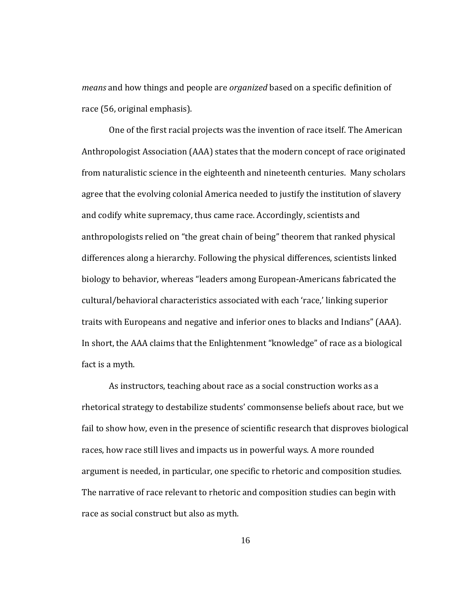*means* and how things and people are *organized* based on a specific definition of race (56, original emphasis).

fact is a myth. One of the first racial projects was the invention of race itself. The American Anthropologist Association (AAA) states that the modern concept of race originated from naturalistic science in the eighteenth and nineteenth centuries. Many scholars agree that the evolving colonial America needed to justify the institution of slavery and codify white supremacy, thus came race. Accordingly, scientists and anthropologists relied on "the great chain of being" theorem that ranked physical differences along a hierarchy. Following the physical differences, scientists linked biology to behavior, whereas "leaders among European‐Americans fabricated the cultural/behavioral characteristics associated with each 'race,' linking superior traits with Europeans and negative and inferior ones to blacks and Indians" (AAA). In short, the AAA claims that the Enlightenment "knowledge" of race as a biological

As instructors, teaching about race as a social construction works as a rhetorical strategy to destabilize students' commonsense beliefs about race, but we fail to show how, even in the presence of scientific research that disproves biological races, how race still lives and impacts us in powerful ways. A more rounded argument is needed, in particular, one specific to rhetoric and composition studies. The narrative of race relevant to rhetoric and composition studies can begin with race as social construct but also as myth.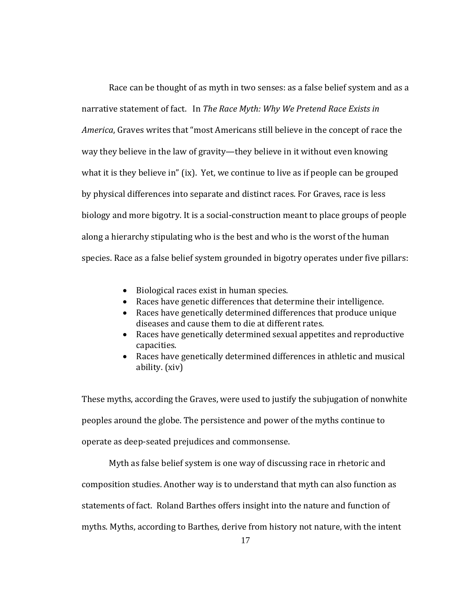Race can be thought of as myth in two senses: as a false belief system and as a narrative statement of fact. In *The Race Myth: Why We Pretend Race Exists in America*, Graves writes that "most Americans still believe in the concept of race the way they believe in the law of gravity—they believe in it without even knowing what it is they believe in" (ix). Yet, we continue to live as if people can be grouped by physical differences into separate and distinct races. For Graves, race is less biology and more bigotry. It is a social‐construction meant to place groups of people along a hierarchy stipulating who is the best and who is the worst of the human species. Race as a false belief system grounded in bigotry operates under five pillars:

- Biological races exist in human species.
- Races have genetic differences that determine their intelligence. •
- Races have genetically determined differences that produce unique diseases and cause them to die at different rates.
- Races have genetically determined sexual appetites and reproductive capacities.
- Races have genetically determined differences in athletic and musical ability. (xiv)

operate as deep‐seated prejudices and commonsense. These myths, according the Graves, were used to justify the subjugation of nonwhite peoples around the globe. The persistence and power of the myths continue to

Myth as false belief system is one way of discussing race in rhetoric and

composition studies. Another way is to understand that myth can also function as

statements of fact. Roland Barthes offers insight into the nature and function of

myths. Myths, according to Barthes, derive from history not nature, with the intent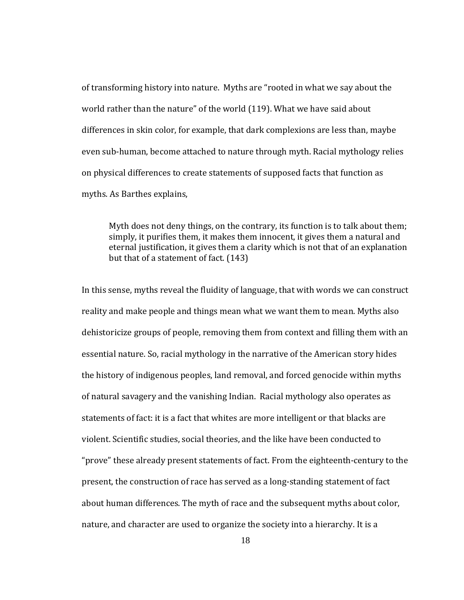of transforming history into nature. Myths are "rooted in what we say about the world rather than the nature" of the world (119). What we have said about differences in skin color, for example, that dark complexions are less than, maybe even sub‐human, become attached to nature through myth. Racial mythology relies on physical differences to create statements of supposed facts that function as myths. As Barthes explains,

Myth does not deny things, on the contrary, its function is to talk about them; simply, it purifies them, it makes them innocent, it gives them a natural and eternal justification, it gives them a clarity which is not that of an explanation but that of a statement of fact. (143)

In this sense, myths reveal the fluidity of language, that with words we can construct reality and make people and things mean what we want them to mean. Myths also dehistoricize groups of people, removing them from context and filling them with an essential nature. So, racial mythology in the narrative of the American story hides the history of indigenous peoples, land removal, and forced genocide within myths of natural savagery and the vanishing Indian. Racial mythology also operates as statements of fact: it is a fact that whites are more intelligent or that blacks are violent. Scientific studies, social theories, and the like have been conducted to "prove" these already present statements of fact. From the eighteenth‐century to the present, the construction of race has served as a long‐standing statement of fact about human differences. The myth of race and the subsequent myths about color, nature, and character are used to organize the society into a hierarchy. It is a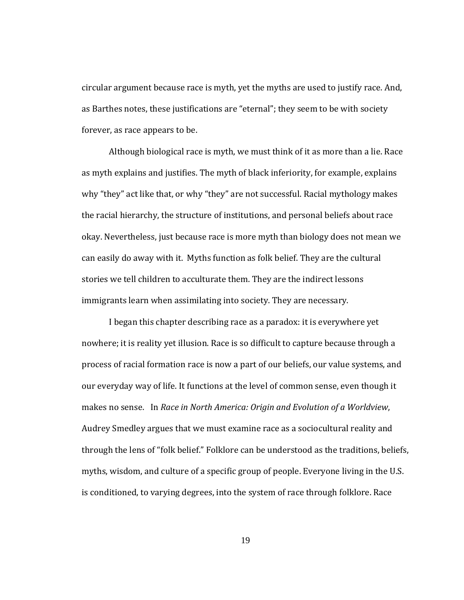circular argument because race is myth, yet the myths are used to justify race. And, as Barthes notes, these justifications are "eternal"; they seem to be with society forever, as race appears to be.

Although biological race is myth, we must think of it as more than a lie. Race as myth explains and justifies. The myth of black inferiority, for example, explains why "they" act like that, or why "they" are not successful. Racial mythology makes the racial hierarchy, the structure of institutions, and personal beliefs about race okay. Nevertheless, just because race is more myth than biology does not mean we can easily do away with it. Myths function as folk belief. They are the cultural stories we tell children to acculturate them. They are the indirect lessons immigrants learn when assimilating into society. They are necessary.

I began this chapter describing race as a paradox: it is everywhere yet nowhere; it is reality yet illusion. Race is so difficult to capture because through a process of racial formation race is now a part of our beliefs, our value systems, and our everyday way of life. It functions at the level of common sense, even though it makes no sense. In *Race in North America: Origin and Evolution of a Worldview*, Audrey Smedley argues that we must examine race as a sociocultural reality and through the lens of "folk belief." Folklore can be understood as the traditions, beliefs, myths, wisdom, and culture of a specific group of people. Everyone living in the U.S. is conditioned, to varying degrees, into the system of race through folklore. Race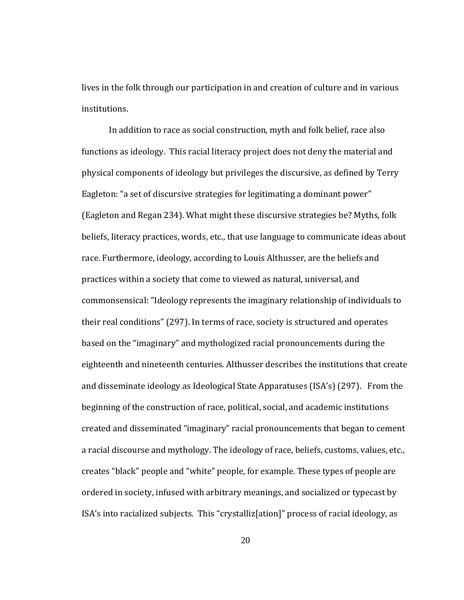institutions. lives in the folk through our participation in and creation of culture and in various

In addition to race as social construction, myth and folk belief, race also functions as ideology. This racial literacy project does not deny the material and physical components of ideology but privileges the discursive, as defined by Terry Eagleton: "a set of discursive strategies for legitimating a dominant power" (Eagleton and Regan 234). What might these discursive strategies be? Myths, folk beliefs, literacy practices, words, etc., that use language to communicate ideas about race. Furthermore, ideology, according to Louis Althusser, are the beliefs and practices within a society that come to viewed as natural, universal, and commonsensical: "Ideology represents the imaginary relationship of individuals to their real conditions" (297). In terms of race, society is structured and operates based on the "imaginary" and mythologized racial pronouncements during the eighteenth and nineteenth centuries. Althusser describes the institutions that create and disseminate ideology as Ideological State Apparatuses (ISA's) (297). From the beginning of the construction of race, political, social, and academic institutions created and disseminated "imaginary" racial pronouncements that began to cement a racial discourse and mythology. The ideology of race, beliefs, customs, values, etc., creates "black" people and "white" people, for example. These types of people are ordered in society, infused with arbitrary meanings, and socialized or typecast by ISA's into racialized subjects. This "crystalliz[ation]" process of racial ideology, as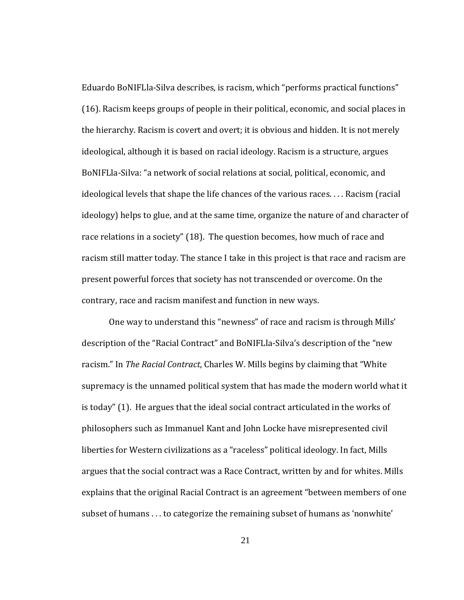contrary, race and racism manifest and function in new ways. Eduardo BoNIFLla‐Silva describes, is racism, which "performs practical functions" (16). Racism keeps groups of people in their political, economic, and social places in the hierarchy. Racism is covert and overt; it is obvious and hidden. It is not merely ideological, although it is based on racial ideology. Racism is a structure, argues BoNIFLla‐Silva: "a network of social relations at social, political, economic, and ideological levels that shape the life chances of the various races. . . . Racism (racial ideology) helps to glue, and at the same time, organize the nature of and character of race relations in a society" (18). The question becomes, how much of race and racism still matter today. The stance I take in this project is that race and racism are present powerful forces that society has not transcended or overcome. On the

One way to understand this "newness" of race and racism is through Mills' description of the "Racial Contract" and BoNIFLla‐Silva's description of the "new racism." In *The Racial Contract*, Charles W. Mills begins by claiming that "White supremacy is the unnamed political system that has made the modern world what it is today" (1). He argues that the ideal social contract articulated in the works of philosophers such as Immanuel Kant and John Locke have misrepresented civil liberties for Western civilizations as a "raceless" political ideology. In fact, Mills argues that the social contract was a Race Contract, written by and for whites. Mills explains that the original Racial Contract is an agreement "between members of one subset of humans . . . to categorize the remaining subset of humans as 'nonwhite'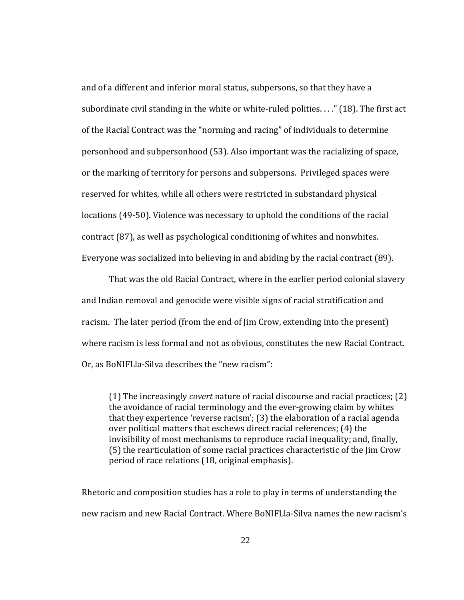and of a different and inferior moral status, subpersons, so that they have a subordinate civil standing in the white or white-ruled polities...." (18). The first act of the Racial Contract was the "norming and racing" of individuals to determine personhood and subpersonhood (53). Also important was the racializing of space, or the marking of territory for persons and subpersons. Privileged spaces were reserved for whites, while all others were restricted in substandard physical locations (49‐50). Violence was necessary to uphold the conditions of the racial contract (87), as well as psychological conditioning of whites and nonwhites. Everyone was socialized into believing in and abiding by the racial contract (89).

That was the old Racial Contract, where in the earlier period colonial slavery and Indian removal and genocide were visible signs of racial stratification and racism. The later period (from the end of Jim Crow, extending into the present) where racism is less formal and not as obvious, constitutes the new Racial Contract. Or, as BoNIFLla‐Silva describes the "new racism":

(1) The increasingly *covert* nature of racial discourse and racial practices; (2) the avoidance of racial terminology and the ever‐growing claim by whites that they experience 'reverse racism'; (3) the elaboration of a racial agenda over political matters that eschews direct racial references; (4) the invisibility of most mechanisms to reproduce racial inequality; and, finally, (5) the rearticulation of some racial practices characteristic of the Jim Crow period of race relations (18, original emphasis).

Rhetoric and composition studies has a role to play in terms of understanding the new racism and new Racial Contract. Where BoNIFLla‐Silva names the new racism's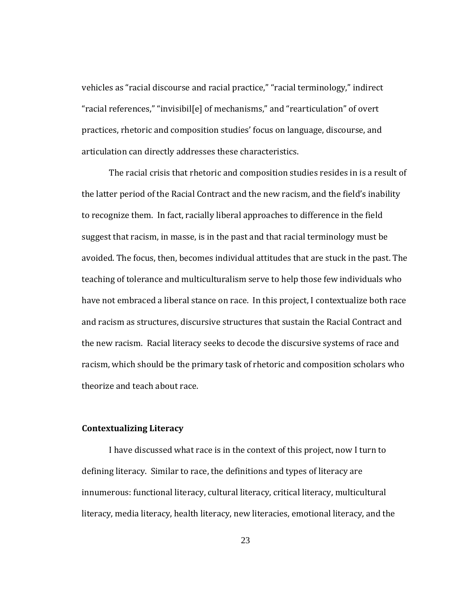vehicles as "racial discourse and racial practice," "racial terminology," indirect "racial references," "invisibil[e] of mechanisms," and "rearticulation" of overt practices, rhetoric and composition studies' focus on language, discourse, and articulation can directly addresses these characteristics.

The racial crisis that rhetoric and composition studies resides in is a result of the latter period of the Racial Contract and the new racism, and the field's inability to recognize them. In fact, racially liberal approaches to difference in the field suggest that racism, in masse, is in the past and that racial terminology must be avoided. The focus, then, becomes individual attitudes that are stuck in the past. The teaching of tolerance and multiculturalism serve to help those few individuals who have not embraced a liberal stance on race. In this project, I contextualize both race and racism as structures, discursive structures that sustain the Racial Contract and the new racism. Racial literacy seeks to decode the discursive systems of race and racism, which should be the primary task of rhetoric and composition scholars who theorize and teach about race.

#### *Contextualizing* Literacy

I have discussed what race is in the context of this project, now I turn to defining literacy. Similar to race, the definitions and types of literacy are innumerous: functional literacy, cultural literacy, critical literacy, multicultural literacy, media literacy, health literacy, new literacies, emotional literacy, and the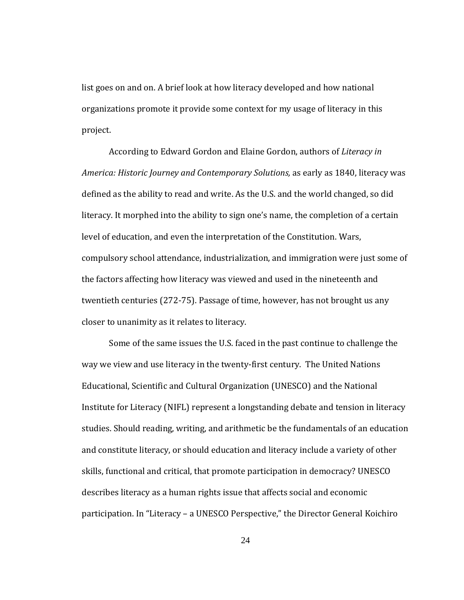list goes on and on. A brief look at how literacy developed and how national organizations promote it provide some context for my usage of literacy in this project.

closer to unanimity as it relates to literacy. According to Edward Gordon and Elaine Gordon, authors of *Literacy in America: Historic Journey and Contemporary Solutions,* as early as 1840, literacy was defined as the ability to read and write. As the U.S. and the world changed, so did literacy. It morphed into the ability to sign one's name, the completion of a certain level of education, and even the interpretation of the Constitution. Wars, compulsory school attendance, industrialization, and immigration were just some of the factors affecting how literacy was viewed and used in the nineteenth and twentieth centuries (272‐75). Passage of time, however, has not brought us any

Some of the same issues the U.S. faced in the past continue to challenge the way we view and use literacy in the twenty‐first century. The United Nations Educational, Scientific and Cultural Organization (UNESCO) and the National Institute for Literacy (NIFL) represent a longstanding debate and tension in literacy studies. Should reading, writing, and arithmetic be the fundamentals of an education and constitute literacy, or should education and literacy include a variety of other skills, functional and critical, that promote participation in democracy? UNESCO describes literacy as a human rights issue that affects social and economic participation. In "Literacy – a UNESCO Perspective," the Director General Koichiro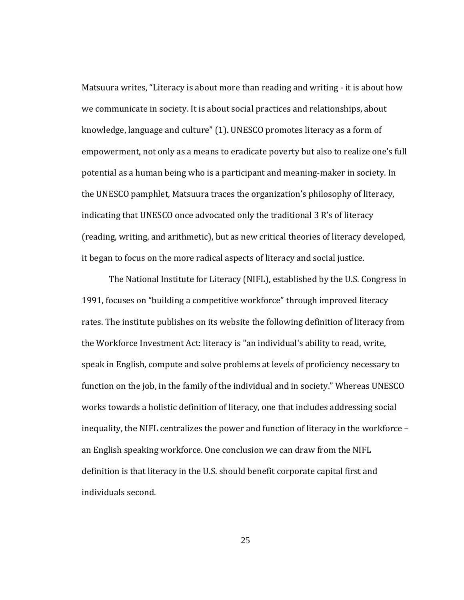Matsuura writes, "Literacy is about more than reading and writing ‐ it is about how we communicate in society. It is about social practices and relationships, about knowledge, language and culture" (1). UNESCO promotes literacy as a form of empowerment, not only as a means to eradicate poverty but also to realize one's full potential as a human being who is a participant and meaning‐maker in society. In the UNESCO pamphlet, Matsuura traces the organization's philosophy of literacy, indicating that UNESCO once advocated only the traditional 3 R's of literacy (reading, writing, and arithmetic), but as new critical theories of literacy developed, it began to focus on the more radical aspects of literacy and social justice.

The National Institute for Literacy (NIFL), established by the U.S. Congress in 1991, focuses on "building a competitive workforce" through improved literacy rates. The institute publishes on its website the following definition of literacy from the Workforce Investment Act: literacy is "an individual's ability to read, write, speak in English, compute and solve problems at levels of proficiency necessary to function on the job, in the family of the individual and in society." Whereas UNESCO works towards a holistic definition of literacy, one that includes addressing social inequality, the NIFL centralizes the power and function of literacy in the workforce – an English speaking workforce. One conclusion we can draw from the NIFL definition is that literacy in the U.S. should benefit corporate capital first and individuals second.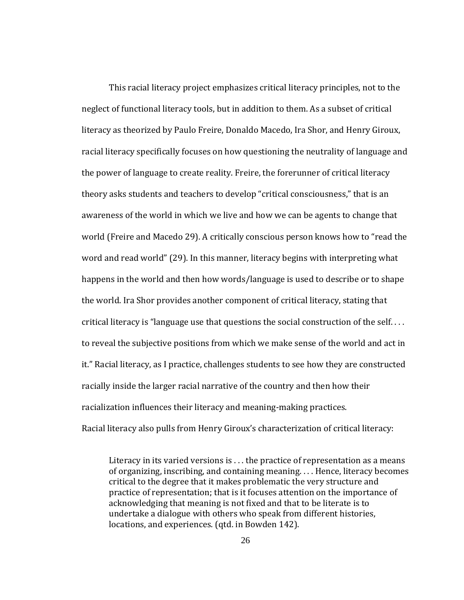This racial literacy project emphasizes critical literacy principles, not to the neglect of functional literacy tools, but in addition to them. As a subset of critical literacy as theorized by Paulo Freire, Donaldo Macedo, Ira Shor, and Henry Giroux, racial literacy specifically focuses on how questioning the neutrality of language and the power of language to create reality. Freire, the forerunner of critical literacy theory asks students and teachers to develop "critical consciousness," that is an awareness of the world in which we live and how we can be agents to change that world (Freire and Macedo 29). A critically conscious person knows how to "read the word and read world" (29). In this manner, literacy begins with interpreting what happens in the world and then how words/language is used to describe or to shape the world. Ira Shor provides another component of critical literacy, stating that critical literacy is "language use that questions the social construction of the self. . . . to reveal the subjective positions from which we make sense of the world and act in it." Racial literacy, as I practice, challenges students to see how they are constructed racially inside the larger racial narrative of the country and then how their racialization influences their literacy and meaning‐making practices. Racial literacy also pulls from Henry Giroux's characterization of critical literacy:

Literacy in its varied versions is  $\dots$  the practice of representation as a means of organizing, inscribing, and containing meaning. . . . Hence, literacy becomes critical to the degree that it makes problematic the very structure and practice of representation; that is it focuses attention on the importance of acknowledging that meaning is not fixed and that to be literate is to undertake a dialogue with others who speak from different histories, locations, and experiences. (qtd. in Bowden 142).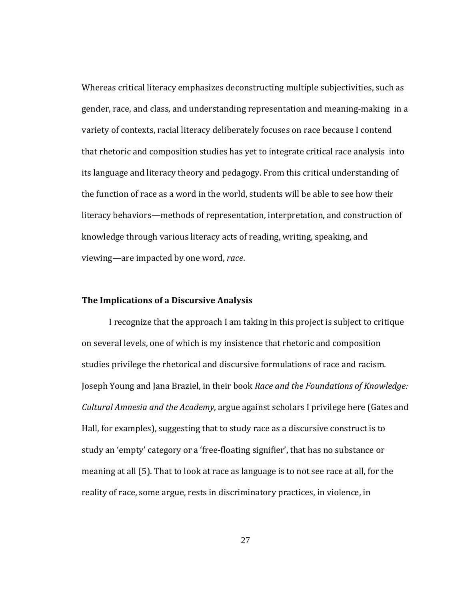Whereas critical literacy emphasizes deconstructing multiple subjectivities, such as gender, race, and class, and understanding representation and meaning‐making in a variety of contexts, racial literacy deliberately focuses on race because I contend that rhetoric and composition studies has yet to integrate critical race analysis into its language and literacy theory and pedagogy. From this critical understanding of the function of race as a word in the world, students will be able to see how their literacy behaviors—methods of representation, interpretation, and construction of knowledge through various literacy acts of reading, writing, speaking, and viewing—are impacted by one word, *race*.

#### **The Implications of a Discursive Analysis**

I recognize that the approach I am taking in this project is subject to critique on several levels, one of which is my insistence that rhetoric and composition studies privilege the rhetorical and discursive formulations of race and racism. Joseph Young and Jana Braziel, in their book *Race and the Foundations of Knowledge: Cultural Amnesia and the Academy*, argue against scholars I privilege here (Gates and Hall, for examples), suggesting that to study race as a discursive construct is to study an 'empty' category or a 'free‐floating signifier', that has no substance or meaning at all (5). That to look at race as language is to not see race at all, for the reality of race, some argue, rests in discriminatory practices, in violence, in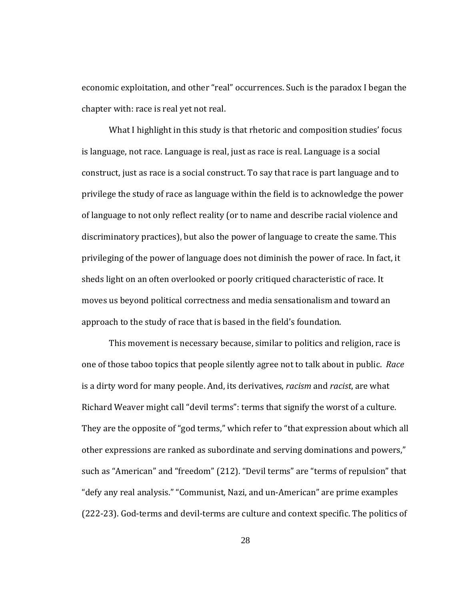economic exploitation, and other "real" occurrences. Such is the paradox I began the chapter with: race is real yet not real.

approach to the study of race that is based in the field's foundation. What I highlight in this study is that rhetoric and composition studies' focus is language, not race. Language is real, just as race is real. Language is a social construct, just as race is a social construct. To say that race is part language and to privilege the study of race as language within the field is to acknowledge the power of language to not only reflect reality (or to name and describe racial violence and discriminatory practices), but also the power of language to create the same. This privileging of the power of language does not diminish the power of race. In fact, it sheds light on an often overlooked or poorly critiqued characteristic of race. It moves us beyond political correctness and media sensationalism and toward an

This movement is necessary because, similar to politics and religion, race is one of those taboo topics that people silently agree not to talk about in public. *Race* is a dirty word for many people. And, its derivatives, *racism* and *racist*, are what Richard Weaver might call "devil terms": terms that signify the worst of a culture. They are the opposite of "god terms," which refer to "that expression about which all other expressions are ranked as subordinate and serving dominations and powers," such as "American" and "freedom" (212). "Devil terms" are "terms of repulsion" that "defy any real analysis." "Communist, Nazi, and un‐American" are prime examples (222-23). God-terms and devil-terms are culture and context specific. The politics of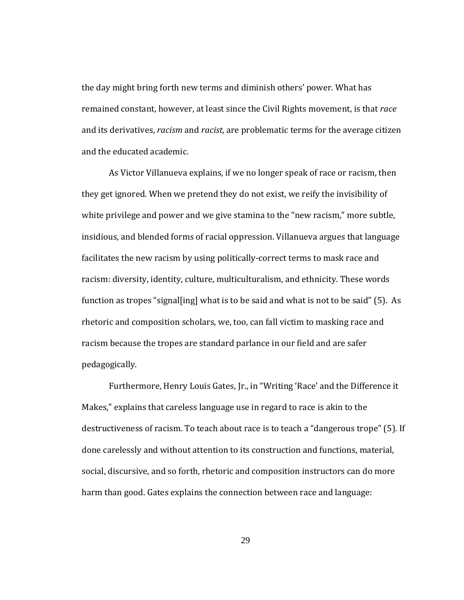the day might bring forth new terms and diminish others' power. What has remained constant, however, at least since the Civil Rights movement, is that *race* and its derivatives, *racism* and *racist*, are problematic terms for the average citizen and the educated academic.

As Victor Villanueva explains, if we no longer speak of race or racism, then they get ignored. When we pretend they do not exist, we reify the invisibility of white privilege and power and we give stamina to the "new racism," more subtle, insidious, and blended forms of racial oppression. Villanueva argues that language facilitates the new racism by using politically‐correct terms to mask race and racism: diversity, identity, culture, multiculturalism, and ethnicity. These words function as tropes "signal[ing] what is to be said and what is not to be said" (5). As rhetoric and composition scholars, we, too, can fall victim to masking race and racism because the tropes are standard parlance in our field and are safer pedagogically.

Furthermore, Henry Louis Gates, Jr., in "Writing 'Race' and the Difference it Makes," explains that careless language use in regard to race is akin to the destructiveness of racism. To teach about race is to teach a "dangerous trope" (5). If done carelessly and without attention to its construction and functions, material, social, discursive, and so forth, rhetoric and composition instructors can do more harm than good. Gates explains the connection between race and language: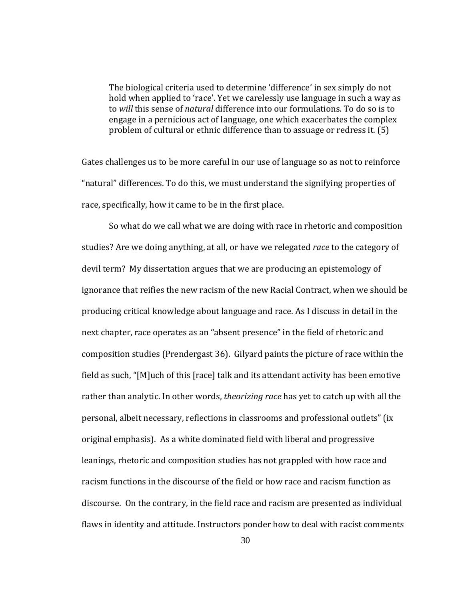The biological criteria used to determine 'difference' in sex simply do not hold when applied to 'race'. Yet we carelessly use language in such a way as to *will* this sense of *natural* difference into our formulations. To do so is to engage in a pernicious act of language, one which exacerbates the complex problem of cultural or ethnic difference than to assuage or redress it. (5)

race, specifically, how it came to be in the first place. Gates challenges us to be more careful in our use of language so as not to reinforce "natural" differences. To do this, we must understand the signifying properties of

So what do we call what we are doing with race in rhetoric and composition studies? Are we doing anything, at all, or have we relegated *race* to the category of devil term? My dissertation argues that we are producing an epistemology of ignorance that reifies the new racism of the new Racial Contract, when we should be producing critical knowledge about language and race. As I discuss in detail in the next chapter, race operates as an "absent presence" in the field of rhetoric and composition studies (Prendergast 36). Gilyard paints the picture of race within the field as such, "[M]uch of this [race] talk and its attendant activity has been emotive rather than analytic. In other words, *theorizing race* has yet to catch up with all the personal, albeit necessary, reflections in classrooms and professional outlets" (ix original emphasis). As a white dominated field with liberal and progressive leanings, rhetoric and composition studies has not grappled with how race and racism functions in the discourse of the field or how race and racism function as discourse. On the contrary, in the field race and racism are presented as individual flaws in identity and attitude. Instructors ponder how to deal with racist comments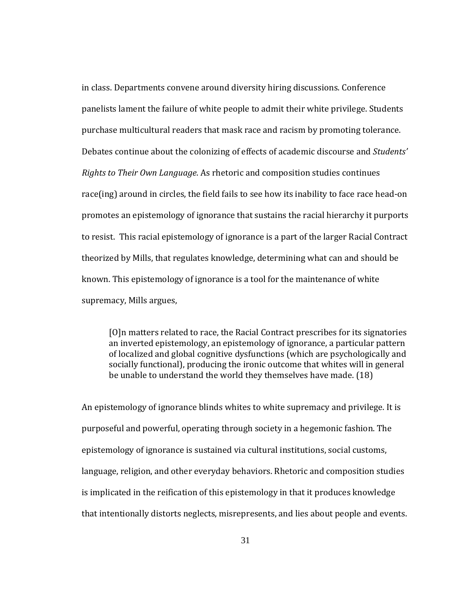in class. Departments convene around diversity hiring discussions. Conference panelists lament the failure of white people to admit their white privilege. Students purchase multicultural readers that mask race and racism by promoting tolerance. Debates continue about the colonizing of effects of academic discourse and *Students' Rights to Their Own Language*. As rhetoric and composition studies continues race(ing) around in circles, the field fails to see how its inability to face race head-on promotes an epistemology of ignorance that sustains the racial hierarchy it purports to resist. This racial epistemology of ignorance is a part of the larger Racial Contract theorized by Mills, that regulates knowledge, determining what can and should be known. This epistemology of ignorance is a tool for the maintenance of white supremacy, Mills argues,

[O]n matters related to race, the Racial Contract prescribes for its signatories an inverted epistemology, an epistemology of ignorance, a particular pattern of localized and global cognitive dysfunctions (which are psychologically and socially functional), producing the ironic outcome that whites will in general be unable to understand the world they themselves have made. (18)

An epistemology of ignorance blinds whites to white supremacy and privilege. It is purposeful and powerful, operating through society in a hegemonic fashion. The epistemology of ignorance is sustained via cultural institutions, social customs, language, religion, and other everyday behaviors. Rhetoric and composition studies is implicated in the reification of this epistemology in that it produces knowledge that intentionally distorts neglects, misrepresents, and lies about people and events.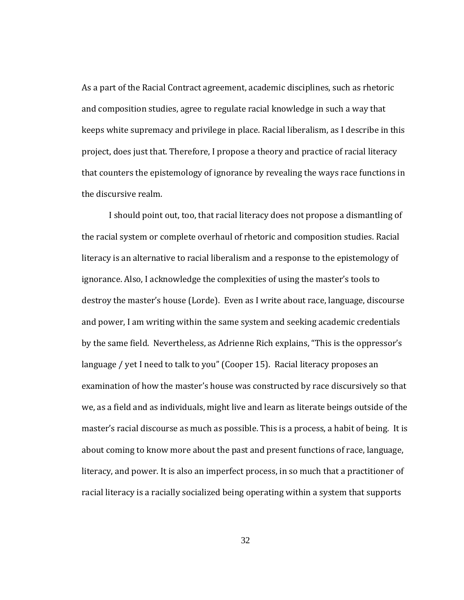As a part of the Racial Contract agreement, academic disciplines, such as rhetoric and composition studies, agree to regulate racial knowledge in such a way that keeps white supremacy and privilege in place. Racial liberalism, as I describe in this project, does just that. Therefore, I propose a theory and practice of racial literacy that counters the epistemology of ignorance by revealing the ways race functions in the discursive realm.

I should point out, too, that racial literacy does not propose a dismantling of the racial system or complete overhaul of rhetoric and composition studies. Racial literacy is an alternative to racial liberalism and a response to the epistemology of ignorance. Also, I acknowledge the complexities of using the master's tools to destroy the master's house (Lorde). Even as I write about race, language, discourse and power, I am writing within the same system and seeking academic credentials by the same field. Nevertheless, as Adrienne Rich explains, "This is the oppressor's language / yet I need to talk to you" (Cooper 15). Racial literacy proposes an examination of how the master's house was constructed by race discursively so that we, as a field and as individuals, might live and learn as literate beings outside of the master's racial discourse as much as possible. This is a process, a habit of being. It is about coming to know more about the past and present functions of race, language, literacy, and power. It is also an imperfect process, in so much that a practitioner of racial literacy is a racially socialized being operating within a system that supports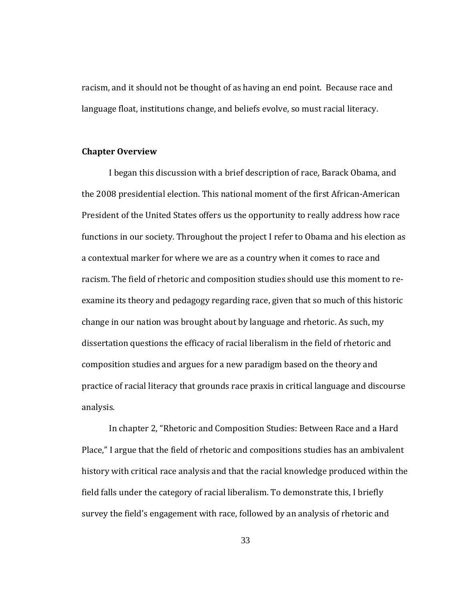racism, and it should not be thought of as having an end point. Because race and language float, institutions change, and beliefs evolve, so must racial literacy.

## **Chapter Overview**

analysis. I began this discussion with a brief description of race, Barack Obama, and the 2008 presidential election. This national moment of the first African‐American President of the United States offers us the opportunity to really address how race functions in our society. Throughout the project I refer to Obama and his election as a contextual marker for where we are as a country when it comes to race and racism. The field of rhetoric and composition studies should use this moment to re‐ examine its theory and pedagogy regarding race, given that so much of this historic change in our nation was brought about by language and rhetoric. As such, my dissertation questions the efficacy of racial liberalism in the field of rhetoric and composition studies and argues for a new paradigm based on the theory and practice of racial literacy that grounds race praxis in critical language and discourse

In chapter 2, "Rhetoric and Composition Studies: Between Race and a Hard Place," I argue that the field of rhetoric and compositions studies has an ambivalent history with critical race analysis and that the racial knowledge produced within the field falls under the category of racial liberalism. To demonstrate this, I briefly survey the field's engagement with race, followed by an analysis of rhetoric and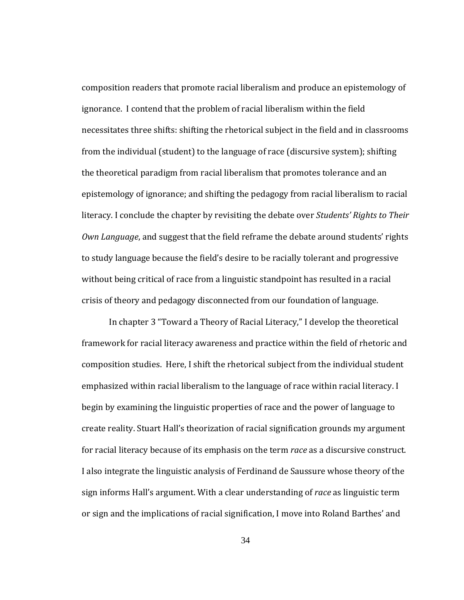crisis of theory and pedagogy disconnected from our foundation of language. composition readers that promote racial liberalism and produce an epistemology of ignorance. I contend that the problem of racial liberalism within the field necessitates three shifts: shifting the rhetorical subject in the field and in classrooms from the individual (student) to the language of race (discursive system); shifting the theoretical paradigm from racial liberalism that promotes tolerance and an epistemology of ignorance; and shifting the pedagogy from racial liberalism to racial literacy. I conclude the chapter by revisiting the debate over *Students' Rights to Their Own Language*, and suggest that the field reframe the debate around students' rights to study language because the field's desire to be racially tolerant and progressive without being critical of race from a linguistic standpoint has resulted in a racial

In chapter 3 "Toward a Theory of Racial Literacy," I develop the theoretical framework for racial literacy awareness and practice within the field of rhetoric and composition studies. Here, I shift the rhetorical subject from the individual student emphasized within racial liberalism to the language of race within racial literacy. I begin by examining the linguistic properties of race and the power of language to create reality. Stuart Hall's theorization of racial signification grounds my argument for racial literacy because of its emphasis on the term *race* as a discursive construct. I also integrate the linguistic analysis of Ferdinand de Saussure whose theory of the sign informs Hall's argument. With a clear understanding of *race* as linguistic term or sign and the implications of racial signification, I move into Roland Barthes' and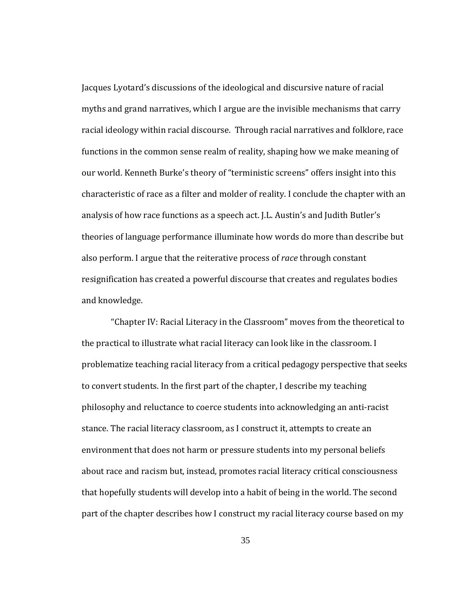and knowledge. Jacques Lyotard's discussions of the ideological and discursive nature of racial myths and grand narratives, which I argue are the invisible mechanisms that carry racial ideology within racial discourse. Through racial narratives and folklore, race functions in the common sense realm of reality, shaping how we make meaning of our world. Kenneth Burke's theory of "terministic screens" offers insight into this characteristic of race as a filter and molder of reality. I conclude the chapter with an analysis of how race functions as a speech act. J.L. Austin's and Judith Butler's theories of language performance illuminate how words do more than describe but also perform. I argue that the reiterative process of *race* through constant resignification has created a powerful discourse that creates and regulates bodies

 "Chapter IV: Racial Literacy in the Classroom" moves from the theoretical to the practical to illustrate what racial literacy can look like in the classroom. I problematize teaching racial literacy from a critical pedagogy perspective that seeks to convert students. In the first part of the chapter, I describe my teaching philosophy and reluctance to coerce students into acknowledging an anti‐racist stance. The racial literacy classroom, as I construct it, attempts to create an environment that does not harm or pressure students into my personal beliefs about race and racism but, instead, promotes racial literacy critical consciousness that hopefully students will develop into a habit of being in the world. The second part of the chapter describes how I construct my racial literacy course based on my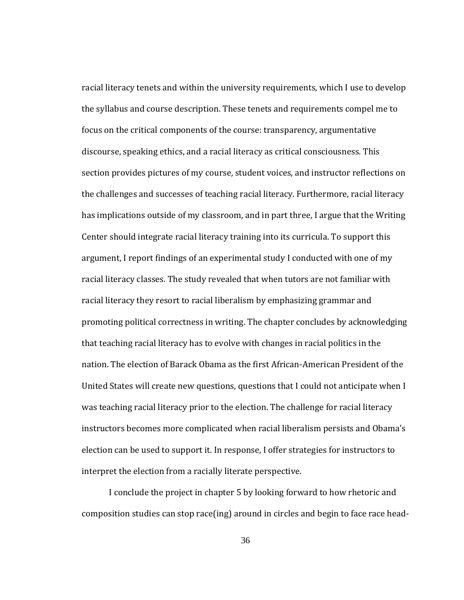interpret the election from a racially literate perspective. racial literacy tenets and within the university requirements, which I use to develop the syllabus and course description. These tenets and requirements compel me to focus on the critical components of the course: transparency, argumentative discourse, speaking ethics, and a racial literacy as critical consciousness. This section provides pictures of my course, student voices, and instructor reflections on the challenges and successes of teaching racial literacy. Furthermore, racial literacy has implications outside of my classroom, and in part three, I argue that the Writing Center should integrate racial literacy training into its curricula. To support this argument, I report findings of an experimental study I conducted with one of my racial literacy classes. The study revealed that when tutors are not familiar with racial literacy they resort to racial liberalism by emphasizing grammar and promoting political correctness in writing. The chapter concludes by acknowledging that teaching racial literacy has to evolve with changes in racial politics in the nation. The election of Barack Obama as the first African‐American President of the United States will create new questions, questions that I could not anticipate when I was teaching racial literacy prior to the election. The challenge for racial literacy instructors becomes more complicated when racial liberalism persists and Obama's election can be used to support it. In response, I offer strategies for instructors to

I conclude the project in chapter 5 by looking forward to how rhetoric and composition studies can stop race(ing) around in circles and begin to face race head‐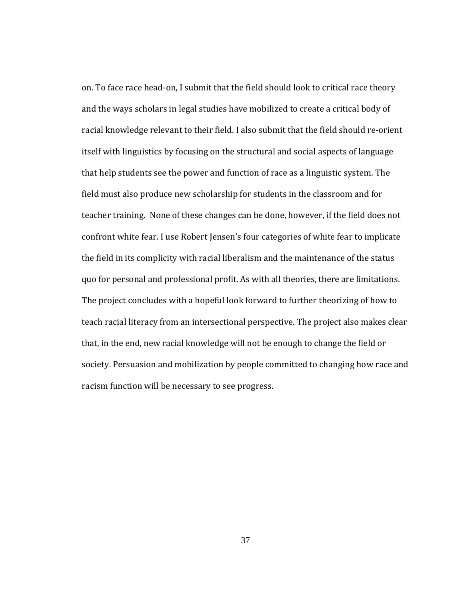on. To face race head‐on, I submit that the field should look to critical race theory and the ways scholars in legal studies have mobilized to create a critical body of racial knowledge relevant to their field. I also submit that the field should re‐orient itself with linguistics by focusing on the structural and social aspects of language that help students see the power and function of race as a linguistic system. The field must also produce new scholarship for students in the classroom and for teacher training. None of these changes can be done, however, if the field does not confront white fear. I use Robert Jensen's four categories of white fear to implicate the field in its complicity with racial liberalism and the maintenance of the status quo for personal and professional profit. As with all theories, there are limitations. The project concludes with a hopeful look forward to further theorizing of how to teach racial literacy from an intersectional perspective. The project also makes clear that, in the end, new racial knowledge will not be enough to change the field or society. Persuasion and mobilization by people committed to changing how race and racism function will be necessary to see progress.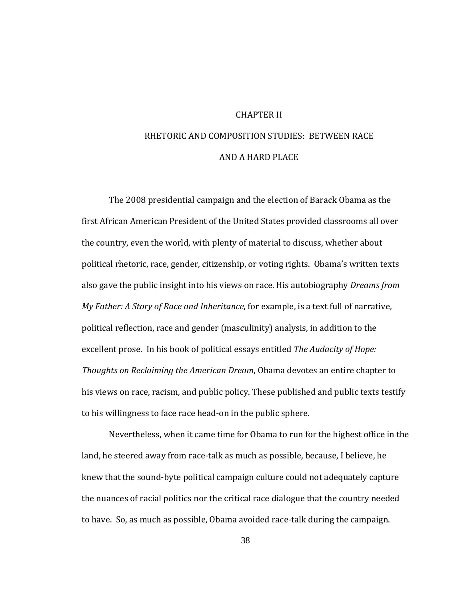## CHAPTER II

# RHETORIC AND COMPOSITION STUDIES: BETWEEN RACE AND A HARD PLACE

to his willingness to face race head-on in the public sphere. The 2008 presidential campaign and the election of Barack Obama as the first African American President of the United States provided classrooms all over the country, even the world, with plenty of material to discuss, whether about political rhetoric, race, gender, citizenship, or voting rights. Obama's written texts also gave the public insight into his views on race. His autobiography *Dreams from My Father: A Story of Race and Inheritance*, for example, is a text full of narrative, political reflection, race and gender (masculinity) analysis, in addition to the excellent prose. In his book of political essays entitled *The Audacity of Hope: Thoughts on Reclaiming the American Dream*, Obama devotes an entire chapter to his views on race, racism, and public policy. These published and public texts testify

Nevertheless, when it came time for Obama to run for the highest office in the land, he steered away from race-talk as much as possible, because, I believe, he knew that the sound‐byte political campaign culture could not adequately capture the nuances of racial politics nor the critical race dialogue that the country needed to have. So, as much as possible, Obama avoided race‐talk during the campaign.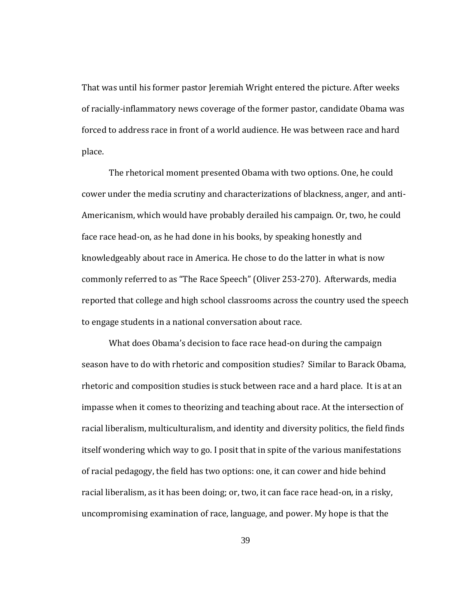That was until his former pastor Jeremiah Wright entered the picture. After weeks of racially‐inflammatory news coverage of the former pastor, candidate Obama was forced to address race in front of a world audience. He was between race and hard place.

to engage students in a national conversation about race. The rhetorical moment presented Obama with two options. One, he could cower under the media scrutiny and characterizations of blackness, anger, and anti‐ Americanism, which would have probably derailed his campaign. Or, two, he could face race head-on, as he had done in his books, by speaking honestly and knowledgeably about race in America. He chose to do the latter in what is now commonly referred to as "The Race Speech" (Oliver 253‐270). Afterwards, media reported that college and high school classrooms across the country used the speech

What does Obama's decision to face race head‐on during the campaign season have to do with rhetoric and composition studies? Similar to Barack Obama, rhetoric and composition studies is stuck between race and a hard place. It is at an impasse when it comes to theorizing and teaching about race. At the intersection of racial liberalism, multiculturalism, and identity and diversity politics, the field finds itself wondering which way to go. I posit that in spite of the various manifestations of racial pedagogy, the field has two options: one, it can cower and hide behind racial liberalism, as it has been doing; or, two, it can face race head‐on, in a risky, uncompromising examination of race, language, and power. My hope is that the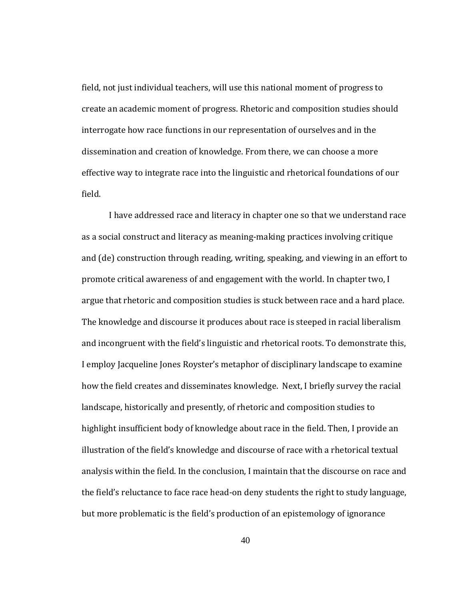field, not just individual teachers, will use this national moment of progress to create an academic moment of progress. Rhetoric and composition studies should interrogate how race functions in our representation of ourselves and in the dissemination and creation of knowledge. From there, we can choose a more effective way to integrate race into the linguistic and rhetorical foundations of our field.

I have addressed race and literacy in chapter one so that we understand race as a social construct and literacy as meaning‐making practices involving critique and (de) construction through reading, writing, speaking, and viewing in an effort to promote critical awareness of and engagement with the world. In chapter two, I argue that rhetoric and composition studies is stuck between race and a hard place. The knowledge and discourse it produces about race is steeped in racial liberalism and incongruent with the field's linguistic and rhetorical roots. To demonstrate this, I employ Jacqueline Jones Royster's metaphor of disciplinary landscape to examine how the field creates and disseminates knowledge. Next, I briefly survey the racial landscape, historically and presently, of rhetoric and composition studies to highlight insufficient body of knowledge about race in the field. Then, I provide an illustration of the field's knowledge and discourse of race with a rhetorical textual analysis within the field. In the conclusion, I maintain that the discourse on race and the field's reluctance to face race head‐on deny students the right to study language, but more problematic is the field's production of an epistemology of ignorance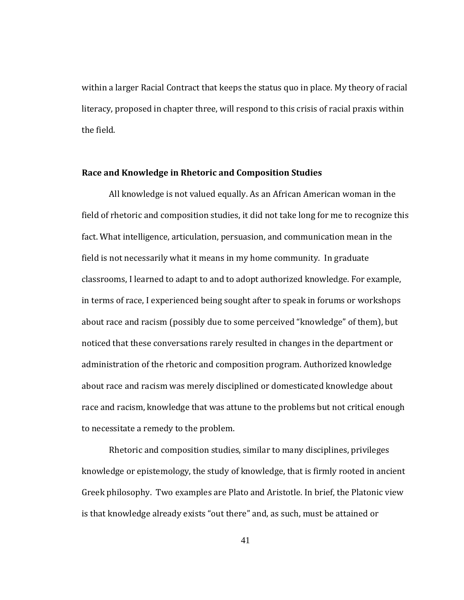within a larger Racial Contract that keeps the status quo in place. My theory of racial literacy, proposed in chapter three, will respond to this crisis of racial praxis within the field.

## **Race and Knowledge in Rhetoric and Composition Studies**

to necessitate a remedy to the problem. All knowledge is not valued equally. As an African American woman in the field of rhetoric and composition studies, it did not take long for me to recognize this fact. What intelligence, articulation, persuasion, and communication mean in the field is not necessarily what it means in my home community. In graduate classrooms, I learned to adapt to and to adopt authorized knowledge. For example, in terms of race, I experienced being sought after to speak in forums or workshops about race and racism (possibly due to some perceived "knowledge" of them), but noticed that these conversations rarely resulted in changes in the department or administration of the rhetoric and composition program. Authorized knowledge about race and racism was merely disciplined or domesticated knowledge about race and racism, knowledge that was attune to the problems but not critical enough

Rhetoric and composition studies, similar to many disciplines, privileges knowledge or epistemology, the study of knowledge, that is firmly rooted in ancient Greek philosophy. Two examples are Plato and Aristotle. In brief, the Platonic view is that knowledge already exists "out there" and, as such, must be attained or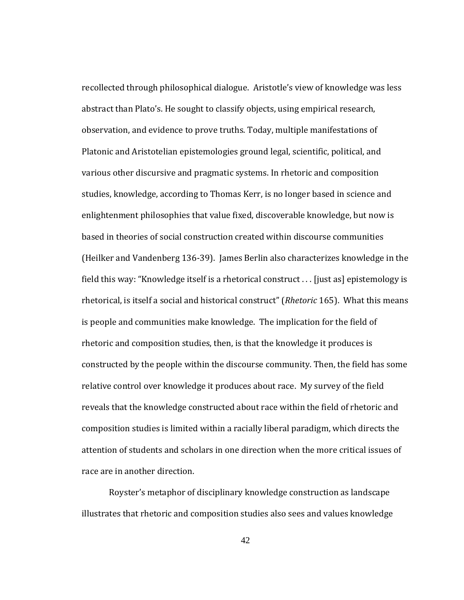race are in another direction. recollected through philosophical dialogue. Aristotle's view of knowledge was less abstract than Plato's. He sought to classify objects, using empirical research, observation, and evidence to prove truths. Today, multiple manifestations of Platonic and Aristotelian epistemologies ground legal, scientific, political, and various other discursive and pragmatic systems. In rhetoric and composition studies, knowledge, according to Thomas Kerr, is no longer based in science and enlightenment philosophies that value fixed, discoverable knowledge, but now is based in theories of social construction created within discourse communities (Heilker and Vandenberg 136‐39). James Berlin also characterizes knowledge in the field this way: "Knowledge itself is a rhetorical construct . . . [just as] epistemology is rhetorical, is itself a social and historical construct" (*Rhetoric* 165). What this means is people and communities make knowledge. The implication for the field of rhetoric and composition studies, then, is that the knowledge it produces is constructed by the people within the discourse community. Then, the field has some relative control over knowledge it produces about race. My survey of the field reveals that the knowledge constructed about race within the field of rhetoric and composition studies is limited within a racially liberal paradigm, which directs the attention of students and scholars in one direction when the more critical issues of

Royster's metaphor of disciplinary knowledge construction as landscape illustrates that rhetoric and composition studies also sees and values knowledge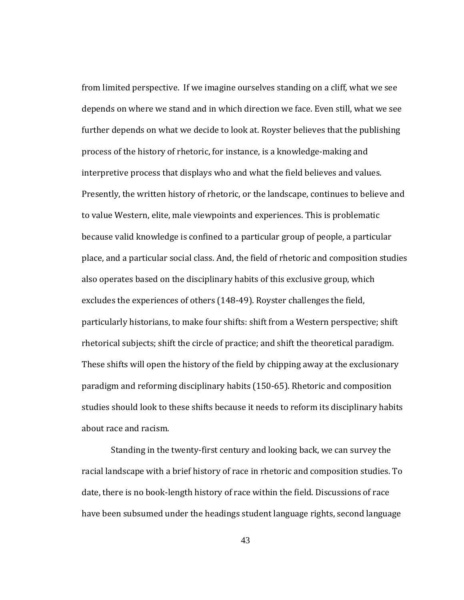about race and racism. from limited perspective. If we imagine ourselves standing on a cliff, what we see depends on where we stand and in which direction we face. Even still, what we see further depends on what we decide to look at. Royster believes that the publishing process of the history of rhetoric, for instance, is a knowledge‐making and interpretive process that displays who and what the field believes and values. Presently, the written history of rhetoric, or the landscape, continues to believe and to value Western, elite, male viewpoints and experiences. This is problematic because valid knowledge is confined to a particular group of people, a particular place, and a particular social class. And, the field of rhetoric and composition studies also operates based on the disciplinary habits of this exclusive group, which excludes the experiences of others (148‐49). Royster challenges the field, particularly historians, to make four shifts: shift from a Western perspective; shift rhetorical subjects; shift the circle of practice; and shift the theoretical paradigm. These shifts will open the history of the field by chipping away at the exclusionary paradigm and reforming disciplinary habits (150‐65). Rhetoric and composition studies should look to these shifts because it needs to reform its disciplinary habits

 Standing in the twenty‐first century and looking back, we can survey the racial landscape with a brief history of race in rhetoric and composition studies. To date, there is no book‐length history of race within the field. Discussions of race have been subsumed under the headings student language rights, second language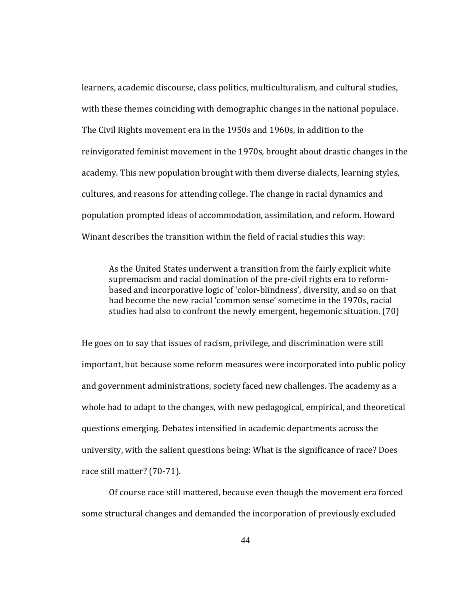learners, academic discourse, class politics, multiculturalism, and cultural studies, with these themes coinciding with demographic changes in the national populace. The Civil Rights movement era in the 1950s and 1960s, in addition to the reinvigorated feminist movement in the 1970s, brought about drastic changes in the academy. This new population brought with them diverse dialects, learning styles, cultures, and reasons for attending college. The change in racial dynamics and population prompted ideas of accommodation, assimilation, and reform. Howard Winant describes the transition within the field of racial studies this way:

As the United States underwent a transition from the fairly explicit white supremacism and racial domination of the pre‐civil rights era to reform‐ based and incorporative logic of 'color‐blindness', diversity, and so on that had become the new racial 'common sense' sometime in the 1970s, racial studies had also to confront the newly emergent, hegemonic situation. (70)

race still matter? (70-71). He goes on to say that issues of racism, privilege, and discrimination were still important, but because some reform measures were incorporated into public policy and government administrations, society faced new challenges. The academy as a whole had to adapt to the changes, with new pedagogical, empirical, and theoretical questions emerging. Debates intensified in academic departments across the university, with the salient questions being: What is the significance of race? Does

Of course race still mattered, because even though the movement era forced some structural changes and demanded the incorporation of previously excluded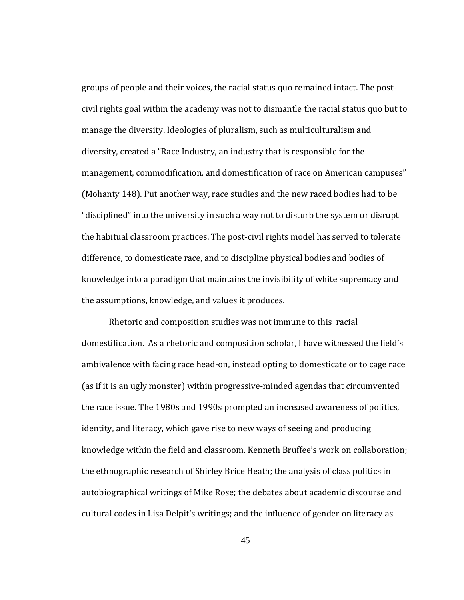the assumptions, knowledge, and values it produces. groups of people and their voices, the racial status quo remained intact. The post‐ civil rights goal within the academy was not to dismantle the racial status quo but to manage the diversity. Ideologies of pluralism, such as multiculturalism and diversity, created a "Race Industry, an industry that is responsible for the management, commodification, and domestification of race on American campuses" (Mohanty 148). Put another way, race studies and the new raced bodies had to be "disciplined" into the university in such a way not to disturb the system or disrupt the habitual classroom practices. The post‐civil rights model has served to tolerate difference, to domesticate race, and to discipline physical bodies and bodies of knowledge into a paradigm that maintains the invisibility of white supremacy and

Rhetoric and composition studies was not immune to this racial domestification. As a rhetoric and composition scholar, I have witnessed the field's ambivalence with facing race head‐on, instead opting to domesticate or to cage race (as if it is an ugly monster) within progressive‐minded agendas that circumvented the race issue. The 1980s and 1990s prompted an increased awareness of politics, identity, and literacy, which gave rise to new ways of seeing and producing knowledge within the field and classroom. Kenneth Bruffee's work on collaboration; the ethnographic research of Shirley Brice Heath; the analysis of class politics in autobiographical writings of Mike Rose; the debates about academic discourse and cultural codes in Lisa Delpit's writings; and the influence of gender on literacy as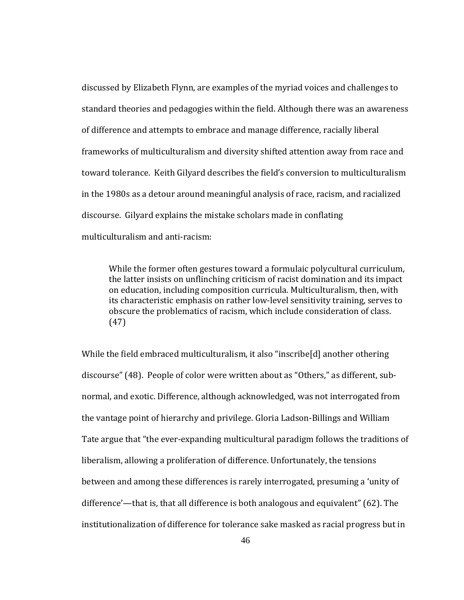discussed by Elizabeth Flynn, are examples of the myriad voices and challenges to standard theories and pedagogies within the field. Although there was an awareness of difference and attempts to embrace and manage difference, racially liberal frameworks of multiculturalism and diversity shifted attention away from race and toward tolerance. Keith Gilyard describes the field's conversion to multiculturalism in the 1980s as a detour around meaningful analysis of race, racism, and racialized discourse. Gilyard explains the mistake scholars made in conflating multiculturalism and anti‐racism:

While the former often gestures toward a formulaic polycultural curriculum, the latter insists on unflinching criticism of racist domination and its impact on education, including composition curricula. Multiculturalism, then, with its characteristic emphasis on rather low‐level sensitivity training, serves to obscure the problematics of racism, which include consideration of class. (47)

While the field embraced multiculturalism, it also "inscribe[d] another othering discourse" (48). People of color were written about as "Others," as different, sub‐ normal, and exotic. Difference, although acknowledged, was not interrogated from the vantage point of hierarchy and privilege. Gloria Ladson‐Billings and William Tate argue that "the ever‐expanding multicultural paradigm follows the traditions of liberalism, allowing a proliferation of difference. Unfortunately, the tensions between and among these differences is rarely interrogated, presuming a 'unity of difference'—that is, that all difference is both analogous and equivalent" (62). The institutionalization of difference for tolerance sake masked as racial progress but in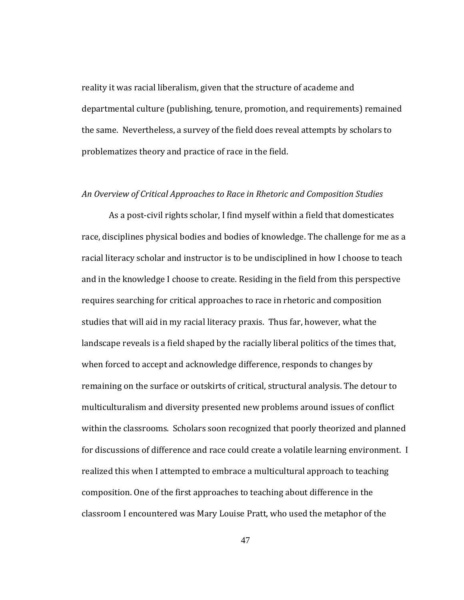reality it was racial liberalism, given that the structure of academe and departmental culture (publishing, tenure, promotion, and requirements) remained the same. Nevertheless, a survey of the field does reveal attempts by scholars to problematizes theory and practice of race in the field.

## *view of Critical Approaches to Race in Rhetoric and Composition Studies An Over*

As a post-civil rights scholar, I find myself within a field that domesticates race, disciplines physical bodies and bodies of knowledge. The challenge for me as a racial literacy scholar and instructor is to be undisciplined in how I choose to teach and in the knowledge I choose to create. Residing in the field from this perspective requires searching for critical approaches to race in rhetoric and composition studies that will aid in my racial literacy praxis. Thus far, however, what the landscape reveals is a field shaped by the racially liberal politics of the times that, when forced to accept and acknowledge difference, responds to changes by remaining on the surface or outskirts of critical, structural analysis. The detour to multiculturalism and diversity presented new problems around issues of conflict within the classrooms. Scholars soon recognized that poorly theorized and planned for discussions of difference and race could create a volatile learning environment. I realized this when I attempted to embrace a multicultural approach to teaching composition. One of the first approaches to teaching about difference in the classroom I encountered was Mary Louise Pratt, who used the metaphor of the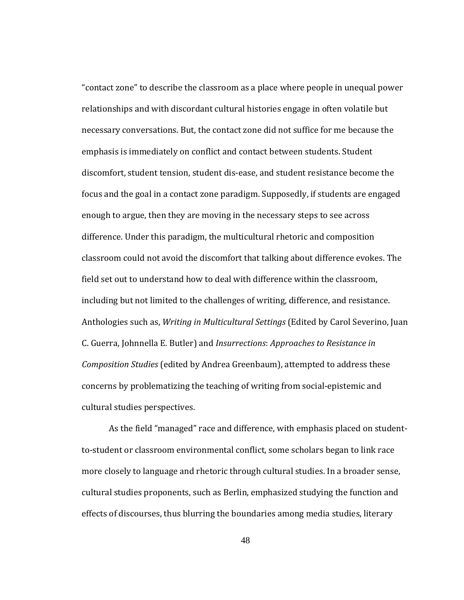cultural studies perspectives. "contact zone" to describe the classroom as a place where people in unequal power relationships and with discordant cultural histories engage in often volatile but necessary conversations. But, the contact zone did not suffice for me because the emphasis is immediately on conflict and contact between students. Student discomfort, student tension, student dis‐ease, and student resistance become the focus and the goal in a contact zone paradigm. Supposedly, if students are engaged enough to argue, then they are moving in the necessary steps to see across difference. Under this paradigm, the multicultural rhetoric and composition classroom could not avoid the discomfort that talking about difference evokes. The field set out to understand how to deal with difference within the classroom, including but not limited to the challenges of writing, difference, and resistance. Anthologies such as, *Writing in Multicultural Settings* (Edited by Carol Severino, Juan C. Guerra, Johnnella E. Butler) and *Insurrections*: *Approaches to Resistance in Composition Studies* (edited by Andrea Greenbaum), attempted to address these concerns by problematizing the teaching of writing from social‐epistemic and

As the field "managed" race and difference, with emphasis placed on student‐ to‐student or classroom environmental conflict, some scholars began to link race more closely to language and rhetoric through cultural studies. In a broader sense, cultural studies proponents, such as Berlin, emphasized studying the function and effects of discourses, thus blurring the boundaries among media studies, literary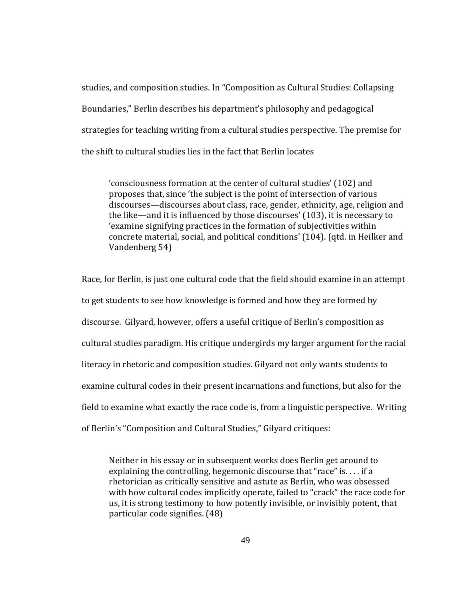studies, and composition studies. In "Composition as Cultural Studies: Collapsing Boundaries," Berlin describes his department's philosophy and pedagogical strategies for teaching writing from a cultural studies perspective. The premise for the shift to cultural studies lies in the fact that Berlin locates

'consciousness formation at the center of cultural studies' (102) and proposes that, since 'the subject is the point of intersection of various discourses—discourses about class, race, gender, ethnicity, age, religion and the like—and it is influenced by those discourses' (103), it is necessary to 'examine signifying practices in the formation of subjectivities within oncrete material, social, and political conditions' (104). (qtd. in Heilker and c Vandenberg 54)

Race, for Berlin, is just one cultural code that the field should examine in an attempt to get students to see how knowledge is formed and how they are formed by discourse. Gilyard, however, offers a useful critique of Berlin's composition as cultural studies paradigm. His critique undergirds my larger argument for the racial literacy in rhetoric and composition studies. Gilyard not only wants students to examine cultural codes in their present incarnations and functions, but also for the field to examine what exactly the race code is, from a linguistic perspective. Writing of Berlin's "Composition and Cultural Studies," Gilyard critiques:

Neither in his essay or in subsequent works does Berlin get around to explaining the controlling, hegemonic discourse that "race" is. . . . if a rhetorician as critically sensitive and astute as Berlin, who was obsessed with how cultural codes implicitly operate, failed to "crack" the race code for us, it is strong testimony to how potently invisible, or invisibly potent, that articular code signifies. (48) p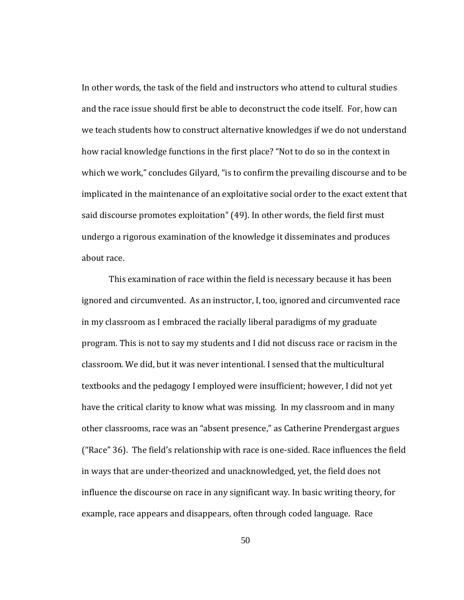about race. In other words, the task of the field and instructors who attend to cultural studies and the race issue should first be able to deconstruct the code itself. For, how can we teach students how to construct alternative knowledges if we do not understand how racial knowledge functions in the first place? "Not to do so in the context in which we work," concludes Gilyard, "is to confirm the prevailing discourse and to be implicated in the maintenance of an exploitative social order to the exact extent that said discourse promotes exploitation" (49). In other words, the field first must undergo a rigorous examination of the knowledge it disseminates and produces

This examination of race within the field is necessary because it has been ignored and circumvented. As an instructor, I, too, ignored and circumvented race in my classroom as I embraced the racially liberal paradigms of my graduate program. This is not to say my students and I did not discuss race or racism in the classroom. We did, but it was never intentional. I sensed that the multicultural textbooks and the pedagogy I employed were insufficient; however, I did not yet have the critical clarity to know what was missing. In my classroom and in many other classrooms, race was an "absent presence," as Catherine Prendergast argues ("Race" 36). The field's relationship with race is one‐sided. Race influences the field in ways that are under‐theorized and unacknowledged, yet, the field does not influence the discourse on race in any significant way. In basic writing theory, for example, race appears and disappears, often through coded language. Race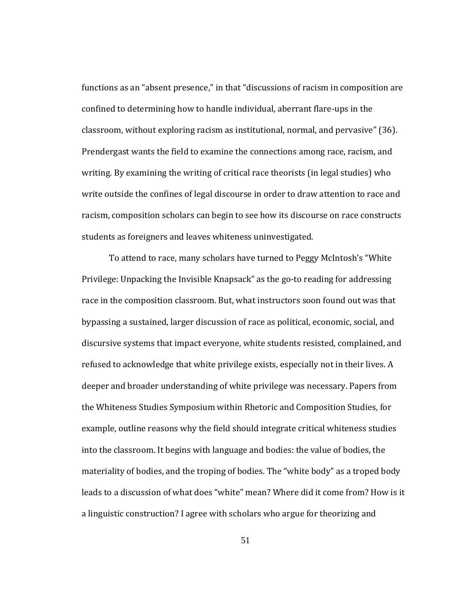students as foreigners and leaves whiteness uninvestigated. functions as an "absent presence," in that "discussions of racism in composition are confined to determining how to handle individual, aberrant flare‐ups in the classroom, without exploring racism as institutional, normal, and pervasive" (36). Prendergast wants the field to examine the connections among race, racism, and writing. By examining the writing of critical race theorists (in legal studies) who write outside the confines of legal discourse in order to draw attention to race and racism, composition scholars can begin to see how its discourse on race constructs

 To attend to race, many scholars have turned to Peggy McIntosh's "White Privilege: Unpacking the Invisible Knapsack" as the go‐to reading for addressing race in the composition classroom. But, what instructors soon found out was that bypassing a sustained, larger discussion of race as political, economic, social, and discursive systems that impact everyone, white students resisted, complained, and refused to acknowledge that white privilege exists, especially not in their lives. A deeper and broader understanding of white privilege was necessary. Papers from the Whiteness Studies Symposium within Rhetoric and Composition Studies, for example, outline reasons why the field should integrate critical whiteness studies into the classroom. It begins with language and bodies: the value of bodies, the materiality of bodies, and the troping of bodies. The "white body" as a troped body leads to a discussion of what does "white" mean? Where did it come from? How is it a linguistic construction? I agree with scholars who argue for theorizing and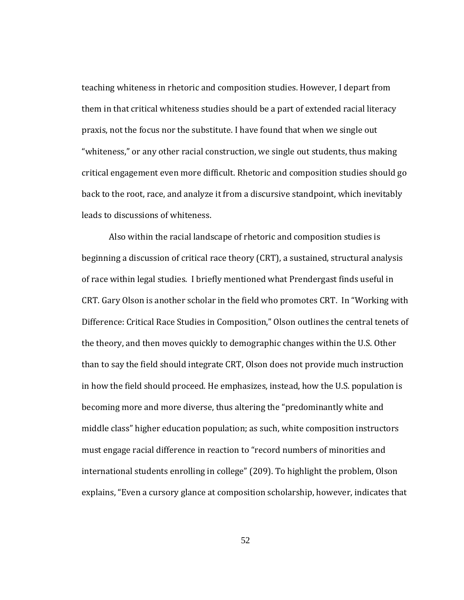teaching whiteness in rhetoric and composition studies. However, I depart from them in that critical whiteness studies should be a part of extended racial literacy praxis, not the focus nor the substitute. I have found that when we single out "whiteness," or any other racial construction, we single out students, thus making critical engagement even more difficult. Rhetoric and composition studies should go back to the root, race, and analyze it from a discursive standpoint, which inevitably leads to discussions of whiteness.

Also within the racial landscape of rhetoric and composition studies is beginning a discussion of critical race theory (CRT), a sustained, structural analysis of race within legal studies. I briefly mentioned what Prendergast finds useful in CRT. Gary Olson is another scholar in the field who promotes CRT. In "Working with Difference: Critical Race Studies in Composition," Olson outlines the central tenets of the theory, and then moves quickly to demographic changes within the U.S. Other than to say the field should integrate CRT, Olson does not provide much instruction in how the field should proceed. He emphasizes, instead, how the U.S. population is becoming more and more diverse, thus altering the "predominantly white and middle class" higher education population; as such, white composition instructors must engage racial difference in reaction to "record numbers of minorities and international students enrolling in college" (209). To highlight the problem, Olson explains, "Even a cursory glance at composition scholarship, however, indicates that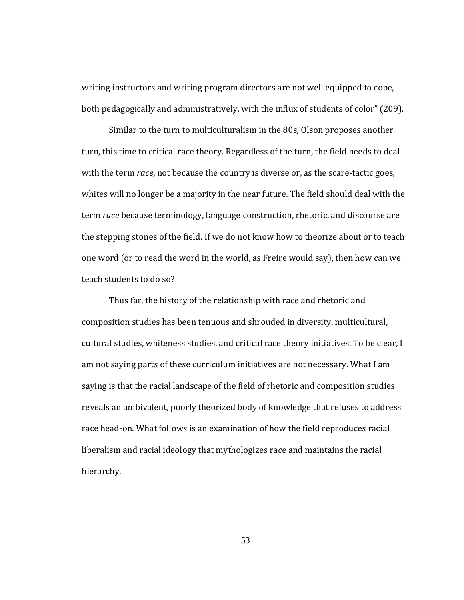writing instructors and writing program directors are not well equipped to cope, both pedagogically and administratively, with the influx of students of color" (209).

Similar to the turn to multiculturalism in the 80s, Olson proposes another turn, this time to critical race theory. Regardless of the turn, the field needs to deal with the term *race*, not because the country is diverse or, as the scare-tactic goes, whites will no longer be a majority in the near future. The field should deal with the term *race* because terminology, language construction, rhetoric, and discourse are the stepping stones of the field. If we do not know how to theorize about or to teach one word (or to read the word in the world, as Freire would say), then how can we teach students to do so?

Thus far, the history of the relationship with race and rhetoric and composition studies has been tenuous and shrouded in diversity, multicultural, cultural studies, whiteness studies, and critical race theory initiatives. To be clear, I am not saying parts of these curriculum initiatives are not necessary. What I am saying is that the racial landscape of the field of rhetoric and composition studies reveals an ambivalent, poorly theorized body of knowledge that refuses to address race head-on. What follows is an examination of how the field reproduces racial liberalism and racial ideology that mythologizes race and maintains the racial hierarchy.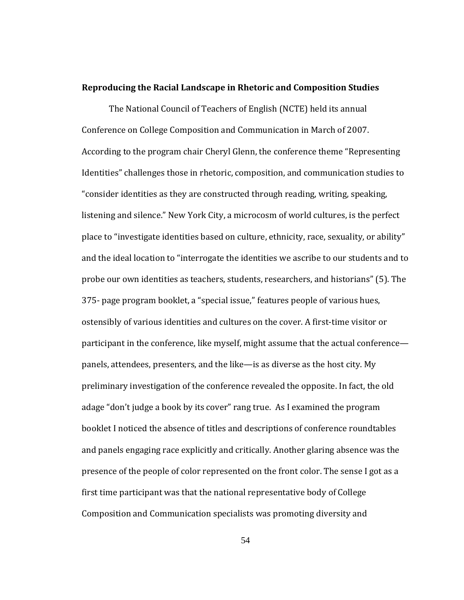## **Reproducing the Racial Landscape in Rhetoric and Composition Studies**

participant in the conference, like myself, might assume that the actual conference panels, attendees, presenters, and the like—is as diverse as the host city. My preliminary investigation of the conference revealed the opposite. In fact, the old adage "don't judge a book by its cover" rang true. As I examined the program booklet I noticed the absence of titles and descriptions of conference roundtables and panels engaging race explicitly and critically. Another glaring absence was the presence of the people of color represented on the front color. The sense I got as a first time participant was that the national representative body of College Composition and Communication specialists was promoting diversity and The National Council of Teachers of English (NCTE) held its annual Conference on College Composition and Communication in March of 2007. According to the program chair Cheryl Glenn, the conference theme "Representing Identities" challenges those in rhetoric, composition, and communication studies to "consider identities as they are constructed through reading, writing, speaking, listening and silence." New York City, a microcosm of world cultures, is the perfect place to "investigate identities based on culture, ethnicity, race, sexuality, or ability" and the ideal location to "interrogate the identities we ascribe to our students and to probe our own identities as teachers, students, researchers, and historians" (5). The 375‐ page program booklet, a "special issue," features people of various hues, ostensibly of various identities and cultures on the cover. A first‐time visitor or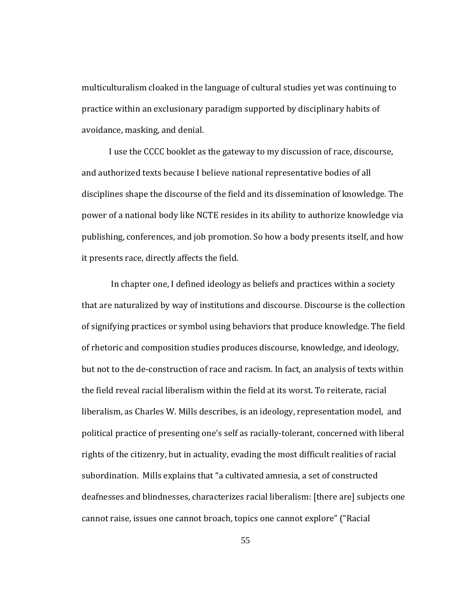multiculturalism cloaked in the language of cultural studies yet was continuing to practice within an exclusionary paradigm supported by disciplinary habits of avoidance, masking, and denial.

I use the CCCC booklet as the gateway to my discussion of race, discourse, and authorized texts because I believe national representative bodies of all disciplines shape the discourse of the field and its dissemination of knowledge. The power of a national body like NCTE resides in its ability to authorize knowledge via publishing, conferences, and job promotion. So how a body presents itself, and how it presents race, directly affects the field.

 In chapter one, I defined ideology as beliefs and practices within a society that are naturalized by way of institutions and discourse. Discourse is the collection of signifying practices or symbol using behaviors that produce knowledge. The field of rhetoric and composition studies produces discourse, knowledge, and ideology, but not to the de‐construction of race and racism. In fact, an analysis of texts within the field reveal racial liberalism within the field at its worst. To reiterate, racial liberalism, as Charles W. Mills describes, is an ideology, representation model, and political practice of presenting one's self as racially‐tolerant, concerned with liberal rights of the citizenry, but in actuality, evading the most difficult realities of racial subordination. Mills explains that "a cultivated amnesia, a set of constructed deafnesses and blindnesses, characterizes racial liberalism: [there are] subjects one cannot raise, issues one cannot broach, topics one cannot explore" ("Racial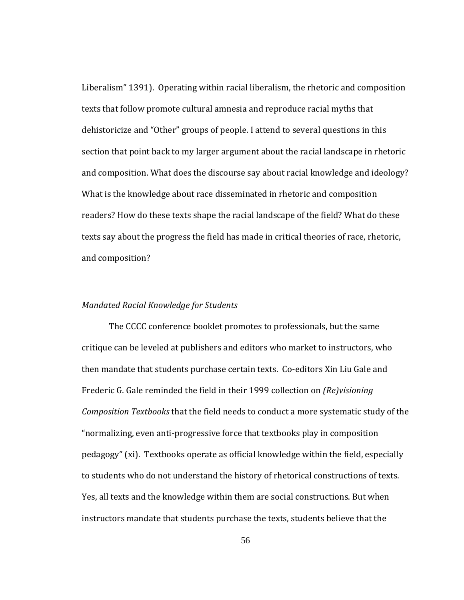Liberalism" 1391). Operating within racial liberalism, the rhetoric and composition texts that follow promote cultural amnesia and reproduce racial myths that dehistoricize and "Other" groups of people. I attend to several questions in this section that point back to my larger argument about the racial landscape in rhetoric and composition. What does the discourse say about racial knowledge and ideology? What is the knowledge about race disseminated in rhetoric and composition readers? How do these texts shape the racial landscape of the field? What do these texts say about the progress the field has made in critical theories of race, rhetoric, and composition?

## *ed Racial Knowledge for Students Mandat*

The CCCC conference booklet promotes to professionals, but the same critique can be leveled at publishers and editors who market to instructors, who then mandate that students purchase certain texts. Co‐editors Xin Liu Gale and Frederic G. Gale reminded the field in their 1999 collection on *(Re)visioning Composition Textbooks* that the field needs to conduct a more systematic study of the "normalizing, even anti‐progressive force that textbooks play in composition pedagogy" (xi). Textbooks operate as official knowledge within the field, especially to students who do not understand the history of rhetorical constructions of texts. Yes, all texts and the knowledge within them are social constructions. But when instructors mandate that students purchase the texts, students believe that the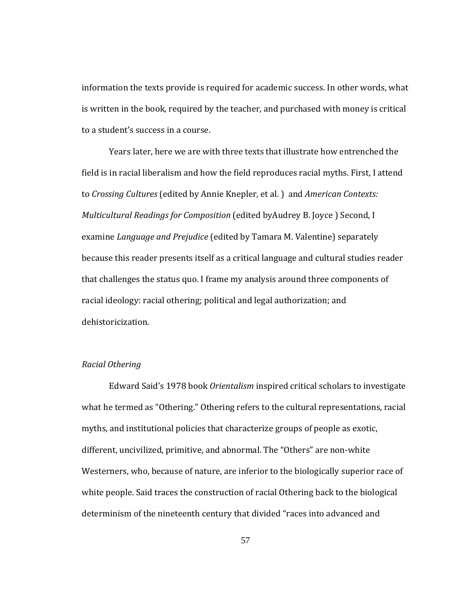information the texts provide is required for academic success. In other words, what is written in the book, required by the teacher, and purchased with money is critical to a student's success in a course.

Years later, here we are with three texts that illustrate how entrenched the field is in racial liberalism and how the field reproduces racial myths. First, I attend to *Crossing Cultures* (edited by Annie Knepler, et al. ) and *American Contexts: Multicultural Readings for Composition* (edited byAudrey B. Joyce ) Second, I examine *Language and Prejudice* (edited by Tamara M. Valentine) separately because this reader presents itself as a critical language and cultural studies reader that challenges the status quo. I frame my analysis around three components of racial ideology: racial othering; political and legal authorization; and dehistoricization.

## *R acial Othering*

 Edward Said's 1978 book *Orientalism* inspired critical scholars to investigate what he termed as "Othering." Othering refers to the cultural representations, racial myths, and institutional policies that characterize groups of people as exotic, different, uncivilized, primitive, and abnormal. The "Others" are non‐white Westerners, who, because of nature, are inferior to the biologically superior race of white people. Said traces the construction of racial Othering back to the biological determinism of the nineteenth century that divided "races into advanced and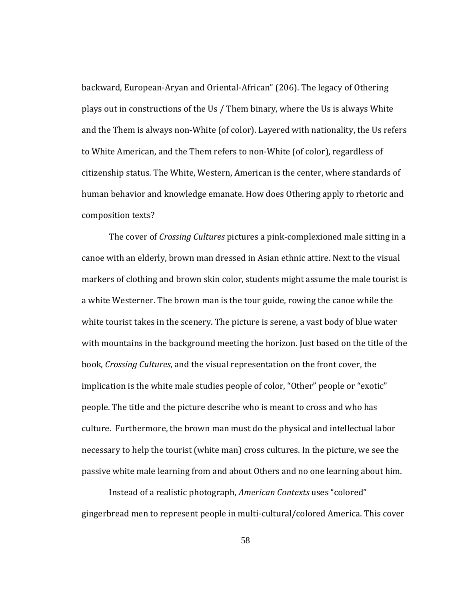backward, European‐Aryan and Oriental‐African" (206). The legacy of Othering plays out in constructions of the Us / Them binary, where the Us is always White and the Them is always non‐White (of color). Layered with nationality, the Us refers to White American, and the Them refers to non‐White (of color), regardless of citizenship status. The White, Western, American is the center, where standards of human behavior and knowledge emanate. How does Othering apply to rhetoric and composition texts?

passive white male learning from and about Others and no one learning about him. The cover of *Crossing Cultures* pictures a pink‐complexioned male sitting in a canoe with an elderly, brown man dressed in Asian ethnic attire. Next to the visual markers of clothing and brown skin color, students might assume the male tourist is a white Westerner. The brown man is the tour guide, rowing the canoe while the white tourist takes in the scenery. The picture is serene, a vast body of blue water with mountains in the background meeting the horizon. Just based on the title of the book, *Crossing Cultures*, and the visual representation on the front cover, the implication is the white male studies people of color, "Other" people or "exotic" people. The title and the picture describe who is meant to cross and who has culture. Furthermore, the brown man must do the physical and intellectual labor necessary to help the tourist (white man) cross cultures. In the picture, we see the

Instead of a realistic photograph, *American Contexts* uses "colored" gingerbread men to represent people in multi‐cultural/colored America. This cover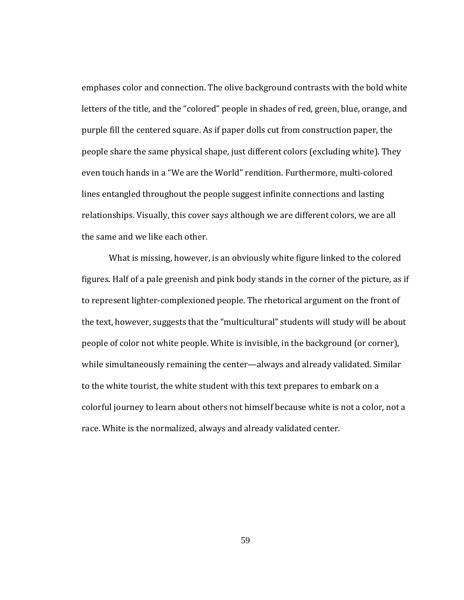emphases color and connection. The olive background contrasts with the bold white letters of the title, and the "colored" people in shades of red, green, blue, orange, and purple fill the centered square. As if paper dolls cut from construction paper, the people share the same physical shape, just different colors (excluding white). They even touch hands in a "We are the World" rendition. Furthermore, multi-colored lines entangled throughout the people suggest infinite connections and lasting relationships. Visually, this cover says although we are different colors, we are all the same and we like each other.

What is missing, however, is an obviously white figure linked to the colored figures. Half of a pale greenish and pink body stands in the corner of the picture, as if to represent lighter‐complexioned people. The rhetorical argument on the front of the text, however, suggests that the "multicultural" students will study will be about people of color not white people. White is invisible, in the background (or corner), while simultaneously remaining the center—always and already validated. Similar to the white tourist, the white student with this text prepares to embark on a colorful journey to learn about others not himself because white is not a color, not a race. White is the normalized, always and already validated center.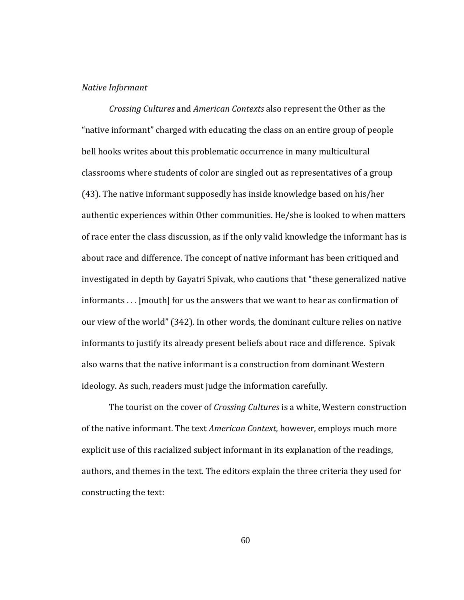### *N ative Informant*

*Crossing Cultures* and *American Contexts* also represent the Other as the "native informant" charged with educating the class on an entire group of people bell hooks writes about this problematic occurrence in many multicultural classrooms where students of color are singled out as representatives of a group (43). The native informant supposedly has inside knowledge based on his/her authentic experiences within Other communities. He/she is looked to when matters of race enter the class discussion, as if the only valid knowledge the informant has is about race and difference. The concept of native informant has been critiqued and investigated in depth by Gayatri Spivak, who cautions that "these generalized native informants . . . [mouth] for us the answers that we want to hear as confirmation of our view of the world" (342). In other words, the dominant culture relies on native informants to justify its already present beliefs about race and difference. Spivak also warns that the native informant is a construction from dominant Western ideology. As such, readers must judge the information carefully.

 The tourist on the cover of *Crossing Cultures* is a white, Western construction of the native informant. The text *American Context*, however, employs much more explicit use of this racialized subject informant in its explanation of the readings, authors, and themes in the text. The editors explain the three criteria they used for constructing the text: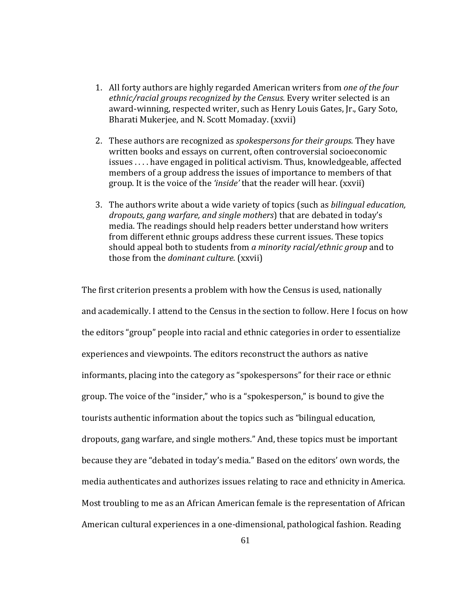- 1. All forty authors are highly regarded American writers from *one of the four ethnic/racial groups recognized by the Census*. Every writer selected is an award‐winning, respected writer, such as Henry Louis Gates, Jr., Gary Soto, Bharati Mukerjee, and N. Scott Momaday. (xxvii)
- 2. These authors are recognized as *spokespersons for their groups.* They have written books and essays on current, often controversial socioeconomic issues . . . . have engaged in political activism. Thus, knowledgeable, affected members of a group address the issues of importance to members of that group. It is the voice of the *'inside'* that the reader will hear. (xxvii)
- 3. The authors write about a wide variety of topics (such as *bilingual education, dropouts, gang warfare, and single mothers*) that are debated in today's media. The readings should help readers better understand how writers from different ethnic groups address these current issues. These topics should appeal both to students from *a minority racial/ethnic group* and to those from the *dominant culture*. (xxvii)

The first criterion presents a problem with how the Census is used, nationally and academically. I attend to the Census in the section to follow. Here I focus on how the editors "group" people into racial and ethnic categories in order to essentialize experiences and viewpoints. The editors reconstruct the authors as native informants, placing into the category as "spokespersons" for their race or ethnic group. The voice of the "insider," who is a "spokesperson," is bound to give the tourists authentic information about the topics such as "bilingual education, dropouts, gang warfare, and single mothers." And, these topics must be important because they are "debated in today's media." Based on the editors' own words, the media authenticates and authorizes issues relating to race and ethnicity in America. Most troubling to me as an African American female is the representation of African American cultural experiences in a one‐dimensional, pathological fashion. Reading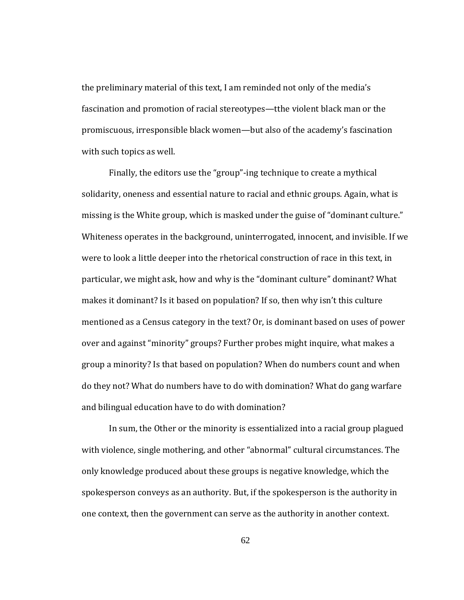the preliminary material of this text, I am reminded not only of the media's fascination and promotion of racial stereotypes—tthe violent black man or the promiscuous, irresponsible black women—but also of the academy's fascination with such topics as well.

and bilingual education have to do with domination? Finally, the editors use the "group"‐ing technique to create a mythical solidarity, oneness and essential nature to racial and ethnic groups. Again, what is missing is the White group, which is masked under the guise of "dominant culture." Whiteness operates in the background, uninterrogated, innocent, and invisible. If we were to look a little deeper into the rhetorical construction of race in this text, in particular, we might ask, how and why is the "dominant culture" dominant? What makes it dominant? Is it based on population? If so, then why isn't this culture mentioned as a Census category in the text? Or, is dominant based on uses of power over and against "minority" groups? Further probes might inquire, what makes a group a minority? Is that based on population? When do numbers count and when do they not? What do numbers have to do with domination? What do gang warfare

 In sum, the Other or the minority is essentialized into a racial group plagued with violence, single mothering, and other "abnormal" cultural circumstances. The only knowledge produced about these groups is negative knowledge, which the spokesperson conveys as an authority. But, if the spokesperson is the authority in one context, then the government can serve as the authority in another context.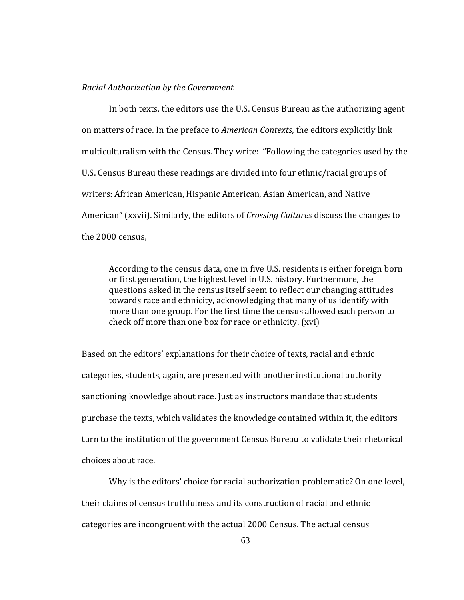#### *Racial Authorization by the Government*

In both texts, the editors use the U.S. Census Bureau as the authorizing agent on matters of race. In the preface to *American Contexts*, the editors explicitly link multiculturalism with the Census. They write: "Following the categories used by the U.S. Census Bureau these readings are divided into four ethnic/racial groups of writers: African American, Hispanic American, Asian American, and Native American" (xxvii). Similarly, the editors of *Crossing Cultures* discuss the changes to the 2000 census,

According to the census data, one in five U.S. residents is either foreign born or first generation, the highest level in U.S. history. Furthermore, the questions asked in the census itself seem to reflect our changing attitudes towards race and ethnicity, acknowledging that many of us identify with more than one group. For the first time the census allowed each person to check off more than one box for race or ethnicity. (xvi)

choices about race. Based on the editors' explanations for their choice of texts, racial and ethnic categories, students, again, are presented with another institutional authority sanctioning knowledge about race. Just as instructors mandate that students purchase the texts, which validates the knowledge contained within it, the editors turn to the institution of the government Census Bureau to validate their rhetorical

 Why is the editors' choice for racial authorization problematic? On one level, their claims of census truthfulness and its construction of racial and ethnic categories are incongruent with the actual 2000 Census. The actual census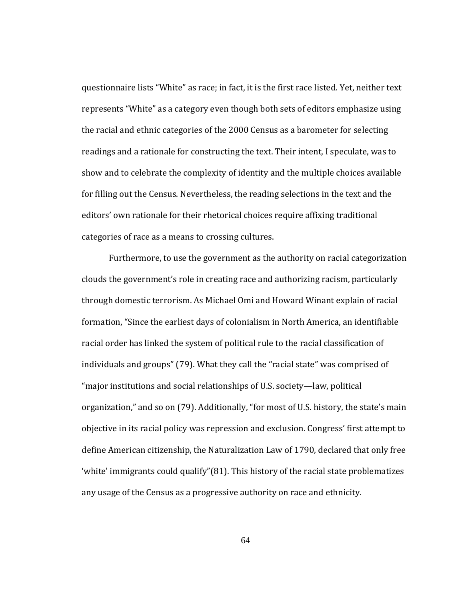questionnaire lists "White" as race; in fact, it is the first race listed. Yet, neither text represents "White" as a category even though both sets of editors emphasize using the racial and ethnic categories of the 2000 Census as a barometer for selecting readings and a rationale for constructing the text. Their intent, I speculate, was to show and to celebrate the complexity of identity and the multiple choices available for filling out the Census. Nevertheless, the reading selections in the text and the editors' own rationale for their rhetorical choices require affixing traditional categories of race as a means to crossing cultures.

 Furthermore, to use the government as the authority on racial categorization clouds the government's role in creating race and authorizing racism, particularly through domestic terrorism. As Michael Omi and Howard Winant explain of racial formation, "Since the earliest days of colonialism in North America, an identifiable racial order has linked the system of political rule to the racial classification of individuals and groups" (79). What they call the "racial state" was comprised of "major institutions and social relationships of U.S. society—law, political organization," and so on (79). Additionally, "for most of U.S. history, the state's main objective in its racial policy was repression and exclusion. Congress' first attempt to define American citizenship, the Naturalization Law of 1790, declared that only free 'white' immigrants could qualify"(81). This history of the racial state problematizes any usage of the Census as a progressive authority on race and ethnicity.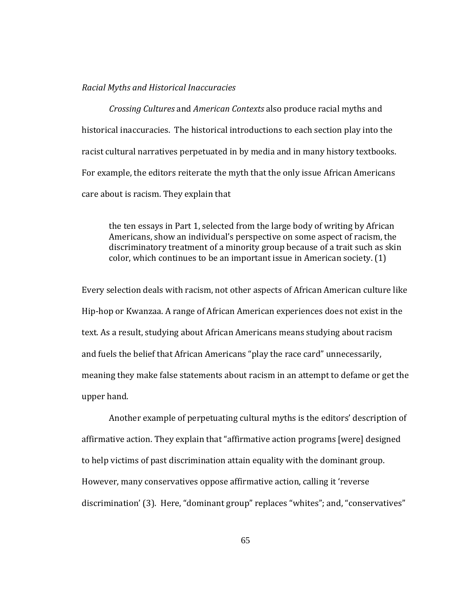#### *Racial Myths and Historical Inaccuracies*

*Crossing Cultures* and *American Contexts* also produce racial myths and historical inaccuracies. The historical introductions to each section play into the racist cultural narratives perpetuated in by media and in many history textbooks. For example, the editors reiterate the myth that the only issue African Americans care about is racism. They explain that

the ten essays in Part 1, selected from the large body of writing by African Americans, show an individual's perspective on some aspect of racism, the discriminatory treatment of a minority group because of a trait such as skin color, which continues to be an important issue in American society. (1)

Every selection deals with racism, not other aspects of African American culture like Hip‐hop or Kwanzaa. A range of African American experiences does not exist in the text. As a result, studying about African Americans means studying about racism and fuels the belief that African Americans "play the race card" unnecessarily, meaning they make false statements about racism in an attempt to defame or get the upper hand.

Another example of perpetuating cultural myths is the editors' description of affirmative action. They explain that "affirmative action programs [were] designed to help victims of past discrimination attain equality with the dominant group. However, many conservatives oppose affirmative action, calling it 'reverse discrimination' (3). Here, "dominant group" replaces "whites"; and, "conservatives"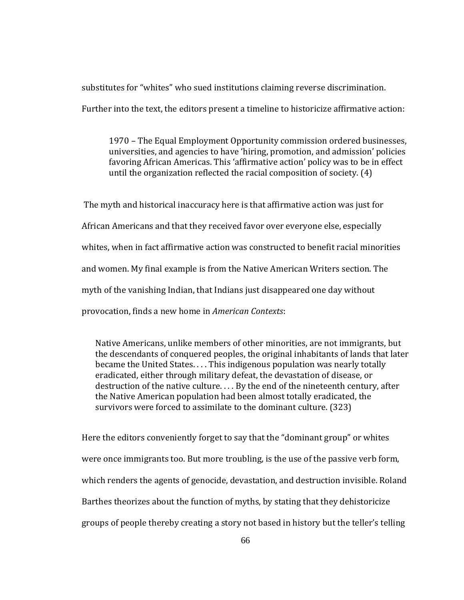substitutes for "whites" who sued institutions claiming reverse discrimination.

Further into the text, the editors present a timeline to historicize affirmative action:

1970 – The Equal Employment Opportunity commission ordered businesses, universities, and agencies to have 'hiring, promotion, and admission' policies favoring African Americas. This 'affirmative action' policy was to be in effect until the organization reflected the racial composition of society. (4)

 The myth and historical inaccuracy here is that affirmative action was just for African Americans and that they received favor over everyone else, especially whites, when in fact affirmative action was constructed to benefit racial minorities and women. My final example is from the Native American Writers section. The myth of the vanishing Indian, that Indians just disappeared one day without provocation, finds a new home in *American Contexts*:

Native Americans, unlike members of other minorities, are not immigrants, but the descendants of conquered peoples, the original inhabitants of lands that later became the United States. . . . This indigenous population was nearly totally eradicated, either through military defeat, the devastation of disease, or destruction of the native culture. . . . By the end of the nineteenth century, after the Native American population had been almost totally eradicated, the survivors were forced to assimilate to the dominant culture. (323)

Here the editors conveniently forget to say that the "dominant group" or whites were once immigrants too. But more troubling, is the use of the passive verb form, which renders the agents of genocide, devastation, and destruction invisible. Roland Barthes theorizes about the function of myths, by stating that they dehistoricize groups of people thereby creating a story not based in history but the teller's telling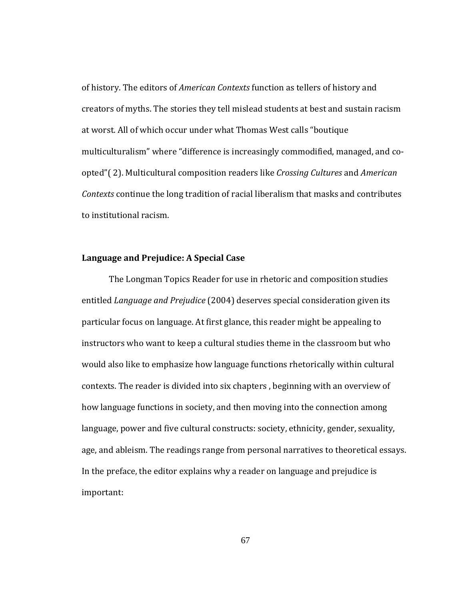of history. The editors of *American Contexts* function as tellers of history and creators of myths. The stories they tell mislead students at best and sustain racism at worst. All of which occur under what Thomas West calls "boutique multiculturalism" where "difference is increasingly commodified, managed, and coopted"( 2). Multicultural composition readers like *Crossing Cultures* and *American Contexts* continue the long tradition of racial liberalism that masks and contributes to institutional racism.

## **Language and Prejudice: A Special Case**

i mportant: The Longman Topics Reader for use in rhetoric and composition studies entitled *Language and Prejudice* (2004) deserves special consideration given its particular focus on language. At first glance, this reader might be appealing to instructors who want to keep a cultural studies theme in the classroom but who would also like to emphasize how language functions rhetorically within cultural contexts. The reader is divided into six chapters , beginning with an overview of how language functions in society, and then moving into the connection among language, power and five cultural constructs: society, ethnicity, gender, sexuality, age, and ableism. The readings range from personal narratives to theoretical essays. In the preface, the editor explains why a reader on language and prejudice is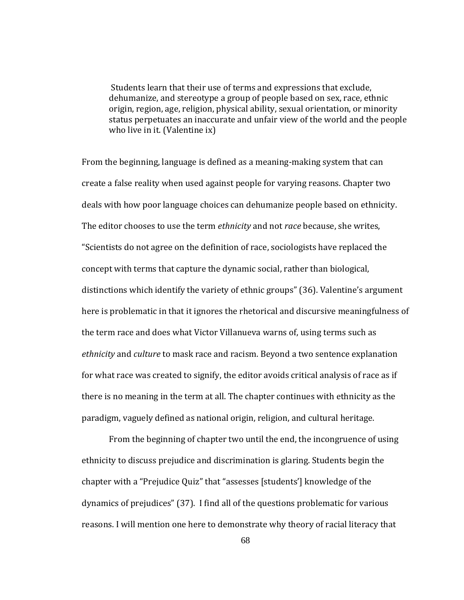Students learn that their use of terms and expressions that exclude, dehumanize, and stereotype a group of people based on sex, race, ethnic origin, region, age, religion, physical ability, sexual orientation, or minority tatus perpetuates an inaccurate and unfair view of the world and the people s who live in it. (Valentine ix)

paradigm, vaguely defined as national origin, religion, and cultural heritage. From the beginning, language is defined as a meaning‐making system that can create a false reality when used against people for varying reasons. Chapter two deals with how poor language choices can dehumanize people based on ethnicity. The editor chooses to use the term *ethnicity* and not *race* because, she writes, "Scientists do not agree on the definition of race, sociologists have replaced the concept with terms that capture the dynamic social, rather than biological, distinctions which identify the variety of ethnic groups" (36). Valentine's argument here is problematic in that it ignores the rhetorical and discursive meaningfulness of the term race and does what Victor Villanueva warns of, using terms such as *ethnicity* and *culture* to mask race and racism. Beyond a two sentence explanation for what race was created to signify, the editor avoids critical analysis of race as if there is no meaning in the term at all. The chapter continues with ethnicity as the

From the beginning of chapter two until the end, the incongruence of using ethnicity to discuss prejudice and discrimination is glaring. Students begin the chapter with a "Prejudice Quiz" that "assesses [students'] knowledge of the dynamics of prejudices" (37). I find all of the questions problematic for various reasons. I will mention one here to demonstrate why theory of racial literacy that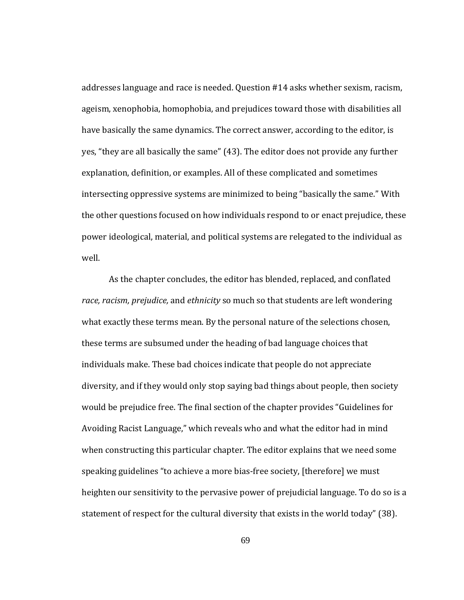addresses language and race is needed. Question #14 asks whether sexism, racism, ageism, xenophobia, homophobia, and prejudices toward those with disabilities all have basically the same dynamics. The correct answer, according to the editor, is yes, "they are all basically the same" (43). The editor does not provide any further explanation, definition, or examples. All of these complicated and sometimes intersecting oppressive systems are minimized to being "basically the same." With the other questions focused on how individuals respond to or enact prejudice, these power ideological, material, and political systems are relegated to the individual as well.

As the chapter concludes, the editor has blended, replaced, and conflated *race, racism, prejudice,* and *ethnicity* so much so that students are left wondering what exactly these terms mean. By the personal nature of the selections chosen, these terms are subsumed under the heading of bad language choices that individuals make. These bad choices indicate that people do not appreciate diversity, and if they would only stop saying bad things about people, then society would be prejudice free. The final section of the chapter provides "Guidelines for Avoiding Racist Language," which reveals who and what the editor had in mind when constructing this particular chapter. The editor explains that we need some speaking guidelines "to achieve a more bias-free society, [therefore] we must heighten our sensitivity to the pervasive power of prejudicial language. To do so is a statement of respect for the cultural diversity that exists in the world today" (38).

69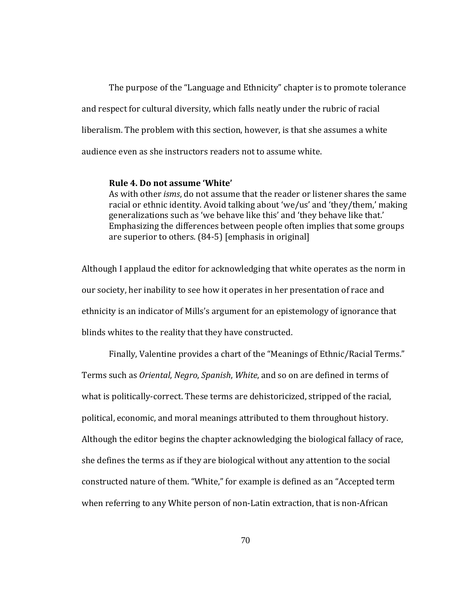The purpose of the "Language and Ethnicity" chapter is to promote tolerance and respect for cultural diversity, which falls neatly under the rubric of racial liberalism. The problem with this section, however, is that she assumes a white audience even as she instructors readers not to assume white.

### **Rule 4. Do not assume 'White'**

As with other *isms*, do not assume that the reader or listener shares the same racial or ethnic identity. Avoid talking about 'we/us' and 'they/them,' making generalizations such as 'we behave like this' and 'they behave like that.' Emphasizing the differences between people often implies that some groups are superior to others. (84‐5) [emphasis in original]

Although I applaud the editor for acknowledging that white operates as the norm in our society, her inability to see how it operates in her presentation of race and ethnicity is an indicator of Mills's argument for an epistemology of ignorance that blinds whites to the reality that they have constructed.

Finally, Valentine provides a chart of the "Meanings of Ethnic/Racial Terms." Terms such as *Oriental*, *Negro*, *Spanish*, *White*, and so on are defined in terms of what is politically-correct. These terms are dehistoricized, stripped of the racial, political, economic, and moral meanings attributed to them throughout history. Although the editor begins the chapter acknowledging the biological fallacy of race, she defines the terms as if they are biological without any attention to the social constructed nature of them. "White," for example is defined as an "Accepted term when referring to any White person of non-Latin extraction, that is non-African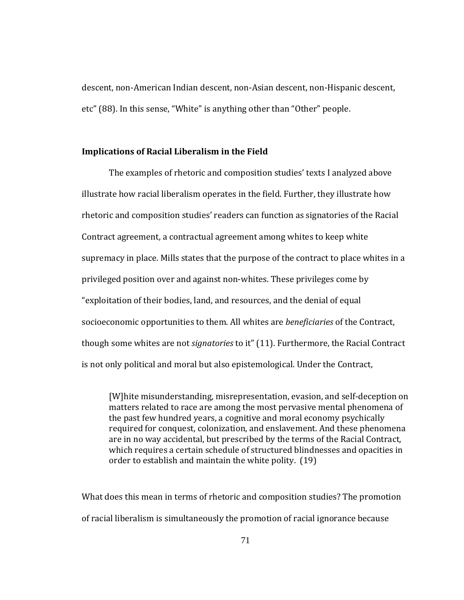descent, non‐American Indian descent, non‐Asian descent, non‐Hispanic descent, etc" (88). In this sense, "White" is anything other than "Other" people.

# **Implications of Racial Liberalism in the Field**

The examples of rhetoric and composition studies' texts I analyzed above illustrate how racial liberalism operates in the field. Further, they illustrate how rhetoric and composition studies' readers can function as signatories of the Racial Contract agreement, a contractual agreement among whites to keep white supremacy in place. Mills states that the purpose of the contract to place whites in a privileged position over and against non‐whites. These privileges come by "exploitation of their bodies, land, and resources, and the denial of equal socioeconomic opportunities to them. All whites are *beneficiaries* of the Contract, though some whites are not *signatories* to it" (11). Furthermore, the Racial Contract is not only political and moral but also epistemological. Under the Contract,

[W]hite misunderstanding, misrepresentation, evasion, and self‐deception on matters related to race are among the most pervasive mental phenomena of the past few hundred years, a cognitive and moral economy psychically required for conquest, colonization, and enslavement. And these phenomena are in no way accidental, but prescribed by the terms of the Racial Contract, which requires a certain schedule of structured blindnesses and opacities in order to establish and maintain the white polity. (19)

What does this mean in terms of rhetoric and composition studies? The promotion of racial liberalism is simultaneously the promotion of racial ignorance because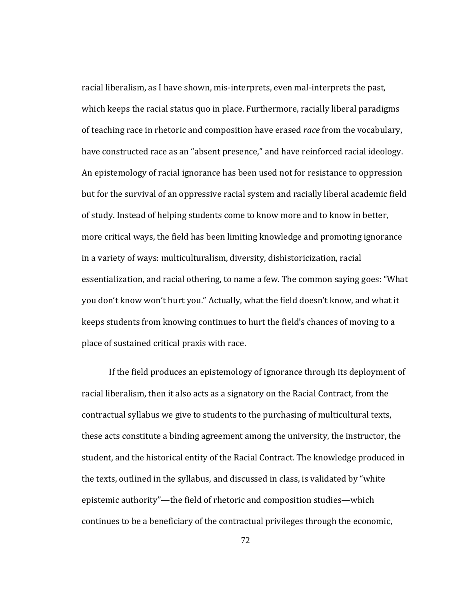racial liberalism, as I have shown, mis-interprets, even mal-interprets the past, which keeps the racial status quo in place. Furthermore, racially liberal paradigms of teaching race in rhetoric and composition have erased *race* from the vocabulary, have constructed race as an "absent presence," and have reinforced racial ideology. An epistemology of racial ignorance has been used not for resistance to oppression but for the survival of an oppressive racial system and racially liberal academic field of study. Instead of helping students come to know more and to know in better, more critical ways, the field has been limiting knowledge and promoting ignorance in a variety of ways: multiculturalism, diversity, dishistoricization, racial essentialization, and racial othering, to name a few. The common saying goes: "What you don't know won't hurt you." Actually, what the field doesn't know, and what it keeps students from knowing continues to hurt the field's chances of moving to a place of sustained critical praxis with race.

If the field produces an epistemology of ignorance through its deployment of racial liberalism, then it also acts as a signatory on the Racial Contract, from the contractual syllabus we give to students to the purchasing of multicultural texts, these acts constitute a binding agreement among the university, the instructor, the student, and the historical entity of the Racial Contract. The knowledge produced in the texts, outlined in the syllabus, and discussed in class, is validated by "white epistemic authority"—the field of rhetoric and composition studies—which continues to be a beneficiary of the contractual privileges through the economic,

72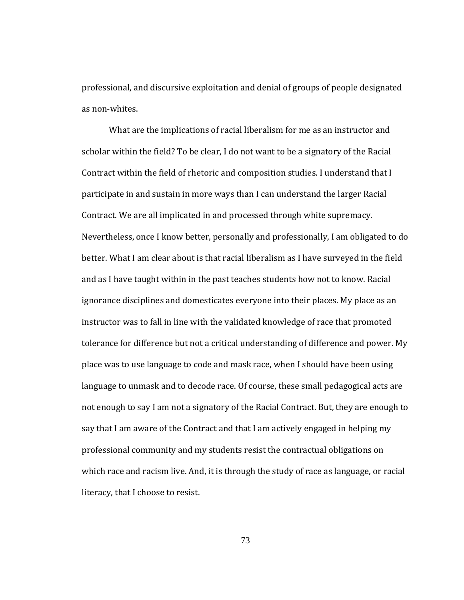professional, and discursive exploitation and denial of groups of people designated as non‐whites.

What are the implications of racial liberalism for me as an instructor and scholar within the field? To be clear, I do not want to be a signatory of the Racial Contract within the field of rhetoric and composition studies. I understand that I participate in and sustain in more ways than I can understand the larger Racial Contract. We are all implicated in and processed through white supremacy. Nevertheless, once I know better, personally and professionally, I am obligated to do better. What I am clear about is that racial liberalism as I have surveyed in the field and as I have taught within in the past teaches students how not to know. Racial ignorance disciplines and domesticates everyone into their places. My place as an instructor was to fall in line with the validated knowledge of race that promoted tolerance for difference but not a critical understanding of difference and power. My place was to use language to code and mask race, when I should have been using language to unmask and to decode race. Of course, these small pedagogical acts are not enough to say I am not a signatory of the Racial Contract. But, they are enough to say that I am aware of the Contract and that I am actively engaged in helping my professional community and my students resist the contractual obligations on which race and racism live. And, it is through the study of race as language, or racial literacy, that I choose to resist.

73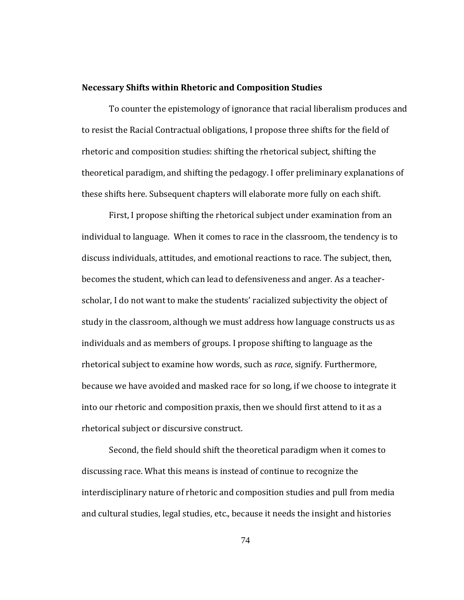#### **Necessary Shifts within Rhetoric and Composition Studies**

To counter the epistemology of ignorance that racial liberalism produces and to resist the Racial Contractual obligations, I propose three shifts for the field of rhetoric and composition studies: shifting the rhetorical subject, shifting the theoretical paradigm, and shifting the pedagogy. I offer preliminary explanations of these shifts here. Subsequent chapters will elaborate more fully on each shift.

rhetorical subject or discursive construct. First, I propose shifting the rhetorical subject under examination from an individual to language. When it comes to race in the classroom, the tendency is to discuss individuals, attitudes, and emotional reactions to race. The subject, then, becomes the student, which can lead to defensiveness and anger. As a teacher‐ scholar, I do not want to make the students' racialized subjectivity the object of study in the classroom, although we must address how language constructs us as individuals and as members of groups. I propose shifting to language as the rhetorical subject to examine how words, such as *race*, signify. Furthermore, because we have avoided and masked race for so long, if we choose to integrate it into our rhetoric and composition praxis, then we should first attend to it as a

Second, the field should shift the theoretical paradigm when it comes to discussing race. What this means is instead of continue to recognize the interdisciplinary nature of rhetoric and composition studies and pull from media and cultural studies, legal studies, etc., because it needs the insight and histories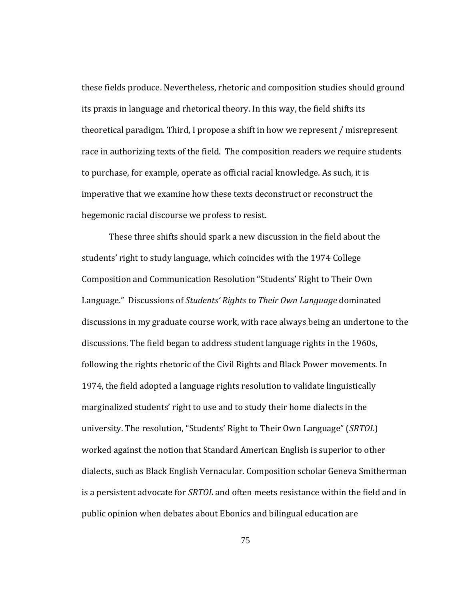hegemonic racial discourse we profess to resist. these fields produce. Nevertheless, rhetoric and composition studies should ground its praxis in language and rhetorical theory. In this way, the field shifts its theoretical paradigm. Third, I propose a shift in how we represent / misrepresent race in authorizing texts of the field. The composition readers we require students to purchase, for example, operate as official racial knowledge. As such, it is imperative that we examine how these texts deconstruct or reconstruct the

These three shifts should spark a new discussion in the field about the students' right to study language, which coincides with the 1974 College Composition and Communication Resolution "Students' Right to Their Own Language." Discussions of *Students' Rights to Their Own Language* dominated discussions in my graduate course work, with race always being an undertone to the discussions. The field began to address student language rights in the 1960s, following the rights rhetoric of the Civil Rights and Black Power movements. In 1974, the field adopted a language rights resolution to validate linguistically marginalized students' right to use and to study their home dialects in the university. The resolution, "Students' Right to Their Own Language" (*SRTOL*) worked against the notion that Standard American English is superior to other dialects, such as Black English Vernacular. Composition scholar Geneva Smitherman is a persistent advocate for *SRTOL* and often meets resistance within the field and in public opinion when debates about Ebonics and bilingual education are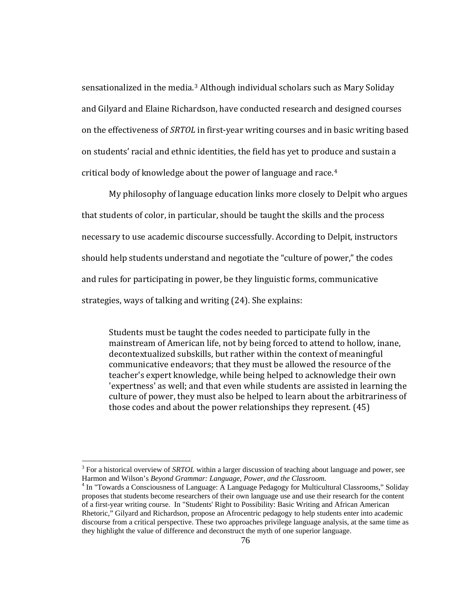sensationalized in the media.<sup>[3](#page-83-0)</sup> Although individual scholars such as Mary Soliday and Gilyard and Elaine Richardson, have conducted research and designed courses on the effectiveness of *SRTOL* in first-year writing courses and in basic writing based on students' racial and ethnic identities, the field has yet to produce and sustain a critical body of knowledge about the power of language and race.4

My philosophy of language education links more closely to Delpit who argues that students of color, in particular, should be taught the skills and the process necessary to use academic discourse successfully. According to Delpit, instructors should help students understand and negotiate the "culture of power," the codes and rules for participating in power, be they linguistic forms, communicative strategies, ways of talking and writing (24). She explains:

Students must be taught the codes needed to participate fully in the mainstream of American life, not by being forced to attend to hollow, inane, decontextualized subskills, but rather within the context of meaningful communicative endeavors; that they must be allowed the resource of the teacher's expert knowledge, while being helped to acknowledge their own 'expertness' as well; and that even while students are assisted in learning the culture of power, they must also be helped to learn about the arbitrariness of those codes and about the power relationships they represent. (45)

 $\overline{a}$ 

<span id="page-83-0"></span><sup>&</sup>lt;sup>3</sup> For a historical overview of *SRTOL* within a larger discussion of teaching about language and power, see Harmon and Wilson's *Beyond Grammar: Language, Power, and the Classroom.* <sup>4</sup>

<sup>&</sup>lt;sup>4</sup> In "Towards a Consciousness of Language: A Language Pedagogy for Multicultural Classrooms," Soliday proposes that students become researchers of their own language use and use their research for the content of a first-year writing course. In "Students' Right to Possibility: Basic Writing and African American Rhetoric," Gilyard and Richardson, propose an Afrocentric pedagogy to help students enter into academic discourse from a critical perspective. These two approaches privilege language analysis, at the same time as they highlight the value of difference and deconstruct the myth of one superior language.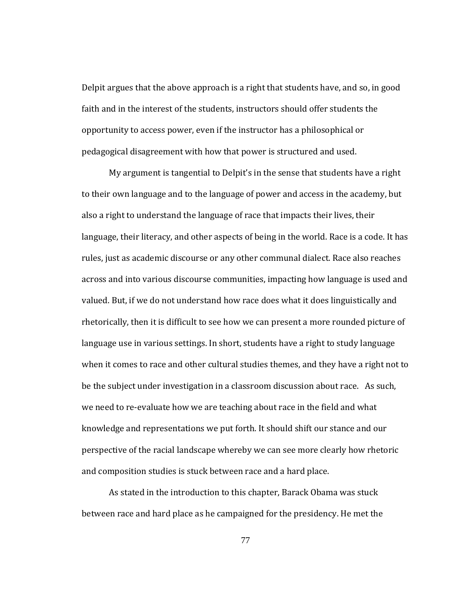Delpit argues that the above approach is a right that students have, and so, in good faith and in the interest of the students, instructors should offer students the opportunity to access power, even if the instructor has a philosophical or pedagogical disagreement with how that power is structured and used.

and composition studies is stuck between race and a hard place. My argument is tangential to Delpit's in the sense that students have a right to their own language and to the language of power and access in the academy, but also a right to understand the language of race that impacts their lives, their language, their literacy, and other aspects of being in the world. Race is a code. It has rules, just as academic discourse or any other communal dialect. Race also reaches across and into various discourse communities, impacting how language is used and valued. But, if we do not understand how race does what it does linguistically and rhetorically, then it is difficult to see how we can present a more rounded picture of language use in various settings. In short, students have a right to study language when it comes to race and other cultural studies themes, and they have a right not to be the subject under investigation in a classroom discussion about race. As such, we need to re‐evaluate how we are teaching about race in the field and what knowledge and representations we put forth. It should shift our stance and our perspective of the racial landscape whereby we can see more clearly how rhetoric

As stated in the introduction to this chapter, Barack Obama was stuck between race and hard place as he campaigned for the presidency. He met the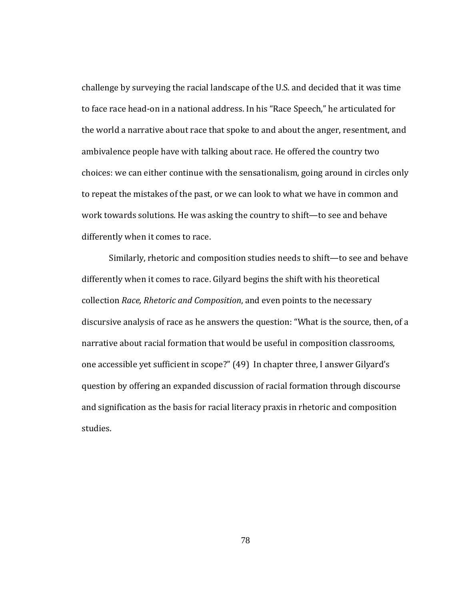challenge by surveying the racial landscape of the U.S. and decided that it was time to face race head‐on in a national address. In his "Race Speech," he articulated for the world a narrative about race that spoke to and about the anger, resentment, and ambivalence people have with talking about race. He offered the country two choices: we can either continue with the sensationalism, going around in circles only to repeat the mistakes of the past, or we can look to what we have in common and work towards solutions. He was asking the country to shift—to see and behave differently when it comes to race.

Similarly, rhetoric and composition studies needs to shift—to see and behave differently when it comes to race. Gilyard begins the shift with his theoretical collection *Race, Rhetoric and Composition*, and even points to the necessary discursive analysis of race as he answers the question: "What is the source, then, of a narrative about racial formation that would be useful in composition classrooms, one accessible yet sufficient in scope?" (49) In chapter three, I answer Gilyard's question by offering an expanded discussion of racial formation through discourse and signification as the basis for racial literacy praxis in rhetoric and composition studies.

78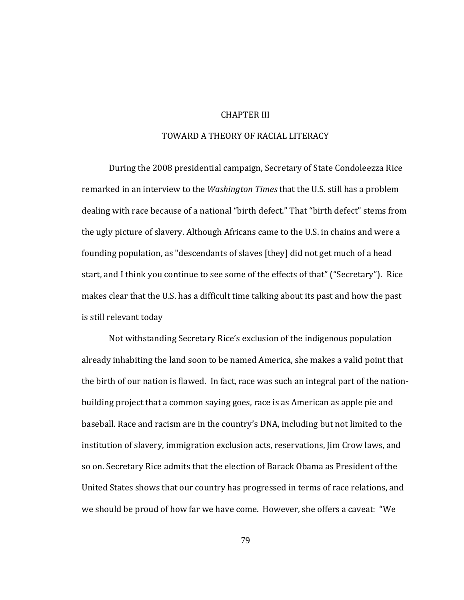# CHAPTER III

## TOWARD A THEORY OF RACIAL LITERACY

During the 2008 presidential campaign, Secretary of State Condoleezza Rice remarked in an interview to the *Washington Times* that the U.S. still has a problem dealing with race because of a national "birth defect." That "birth defect" stems from the ugly picture of slavery. Although Africans came to the U.S. in chains and were a founding population, as "descendants of slaves [they] did not get much of a head start, and I think you continue to see some of the effects of that" ("Secretary"). Rice makes clear that the U.S. has a difficult time talking about its past and how the past is still relevant today

Not withstanding Secretary Rice's exclusion of the indigenous population already inhabiting the land soon to be named America, she makes a valid point that the birth of our nation is flawed. In fact, race was such an integral part of the nation‐ building project that a common saying goes, race is as American as apple pie and baseball. Race and racism are in the country's DNA, including but not limited to the institution of slavery, immigration exclusion acts, reservations, Jim Crow laws, and so on. Secretary Rice admits that the election of Barack Obama as President of the United States shows that our country has progressed in terms of race relations, and we should be proud of how far we have come. However, she offers a caveat: "We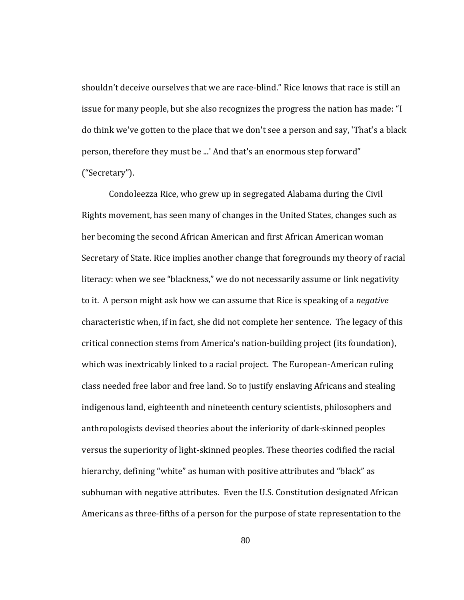("Secretary"). shouldn't deceive ourselves that we are race‐blind." Rice knows that race is still an issue for many people, but she also recognizes the progress the nation has made: "I do think we've gotten to the place that we don't see a person and say, 'That's a black person, therefore they must be ...' And that's an enormous step forward"

Condoleezza Rice, who grew up in segregated Alabama during the Civil Rights movement, has seen many of changes in the United States, changes such as her becoming the second African American and first African American woman Secretary of State. Rice implies another change that foregrounds my theory of racial literacy: when we see "blackness," we do not necessarily assume or link negativity to it. A person might ask how we can assume that Rice is speaking of a *negative* characteristic when, if in fact, she did not complete her sentence. The legacy of this critical connection stems from America's nation‐building project (its foundation), which was inextricably linked to a racial project. The European-American ruling class needed free labor and free land. So to justify enslaving Africans and stealing indigenous land, eighteenth and nineteenth century scientists, philosophers and anthropologists devised theories about the inferiority of dark‐skinned peoples versus the superiority of light‐skinned peoples. These theories codified the racial hierarchy, defining "white" as human with positive attributes and "black" as subhuman with negative attributes. Even the U.S. Constitution designated African Americans as three‐fifths of a person for the purpose of state representation to the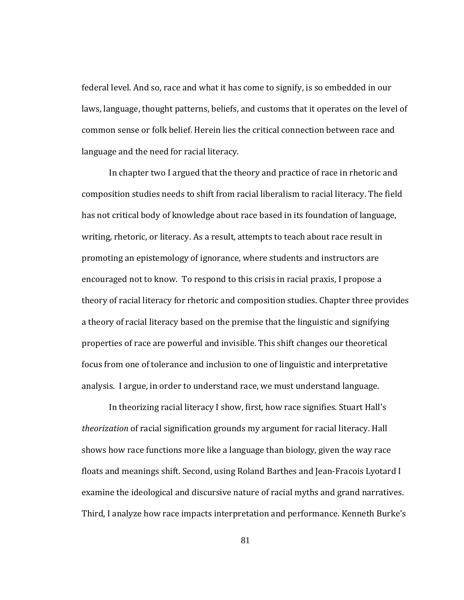federal level. And so, race and what it has come to signify, is so embedded in our laws, language, thought patterns, beliefs, and customs that it operates on the level of common sense or folk belief. Herein lies the critical connection between race and language and the need for racial literacy.

analysis. I argue, in order to understand race, we must understand language. In chapter two I argued that the theory and practice of race in rhetoric and composition studies needs to shift from racial liberalism to racial literacy. The field has not critical body of knowledge about race based in its foundation of language, writing, rhetoric, or literacy. As a result, attempts to teach about race result in promoting an epistemology of ignorance, where students and instructors are encouraged not to know. To respond to this crisis in racial praxis, I propose a theory of racial literacy for rhetoric and composition studies. Chapter three provides a theory of racial literacy based on the premise that the linguistic and signifying properties of race are powerful and invisible. This shift changes our theoretical focus from one of tolerance and inclusion to one of linguistic and interpretative

In theorizing racial literacy I show, first, how race signifies. Stuart Hall's *theorization* of racial signification grounds my argument for racial literacy. Hall shows how race functions more like a language than biology, given the way race floats and meanings shift. Second, using Roland Barthes and Jean‐Fracois Lyotard I examine the ideological and discursive nature of racial myths and grand narratives. Third, I analyze how race impacts interpretation and performance. Kenneth Burke's

81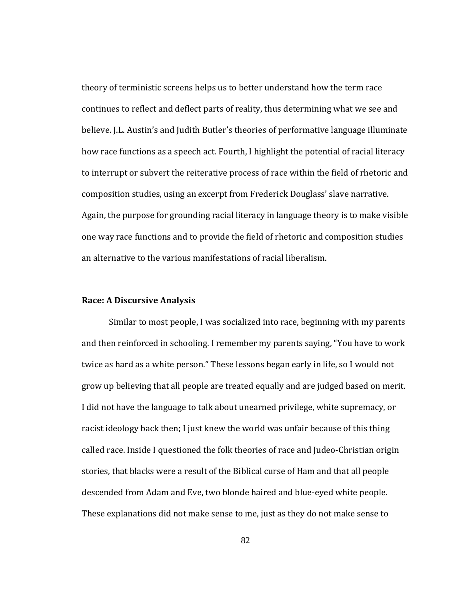theory of terministic screens helps us to better understand how the term race continues to reflect and deflect parts of reality, thus determining what we see and believe. J.L. Austin's and Judith Butler's theories of performative language illuminate how race functions as a speech act. Fourth, I highlight the potential of racial literacy to interrupt or subvert the reiterative process of race within the field of rhetoric and composition studies, using an excerpt from Frederick Douglass' slave narrative. Again, the purpose for grounding racial literacy in language theory is to make visible one way race functions and to provide the field of rhetoric and composition studies an alternative to the various manifestations of racial liberalism.

### **Discursive Analysis Race: A**

Similar to most people, I was socialized into race, beginning with my parents and then reinforced in schooling. I remember my parents saying, "You have to work twice as hard as a white person." These lessons began early in life, so I would not grow up believing that all people are treated equally and are judged based on merit. I did not have the language to talk about unearned privilege, white supremacy, or racist ideology back then; I just knew the world was unfair because of this thing called race. Inside I questioned the folk theories of race and Judeo‐Christian origin stories, that blacks were a result of the Biblical curse of Ham and that all people descended from Adam and Eve, two blonde haired and blue‐eyed white people. These explanations did not make sense to me, just as they do not make sense to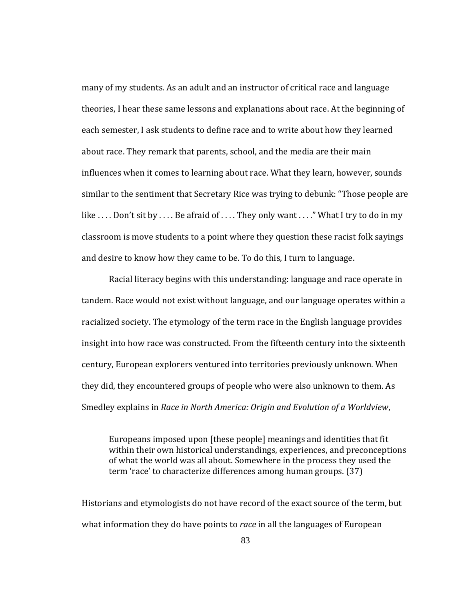many of my students. As an adult and an instructor of critical race and language theories, I hear these same lessons and explanations about race. At the beginning of each semester, I ask students to define race and to write about how they learned about race. They remark that parents, school, and the media are their main influences when it comes to learning about race. What they learn, however, sounds similar to the sentiment that Secretary Rice was trying to debunk: "Those people are like .... Don't sit by .... Be afraid of .... They only want ...." What I try to do in my classroom is move students to a point where they question these racist folk sayings and desire to know how they came to be. To do this, I turn to language.

Racial literacy begins with this understanding: language and race operate in tandem. Race would not exist without language, and our language operates within a racialized society. The etymology of the term race in the English language provides insight into how race was constructed. From the fifteenth century into the sixteenth century, European explorers ventured into territories previously unknown. When they did, they encountered groups of people who were also unknown to them. As Smedley explains in *Race in North America: Origin and Evolution of a Worldview*,

Europeans imposed upon [these people] meanings and identities that fit within their own historical understandings, experiences, and preconceptions of what the world was all about. Somewhere in the process they used the term 'race' to characterize differences among human groups. (37)

Historians and etymologists do not have record of the exact source of the term, but what information they do have points to *race* in all the languages of European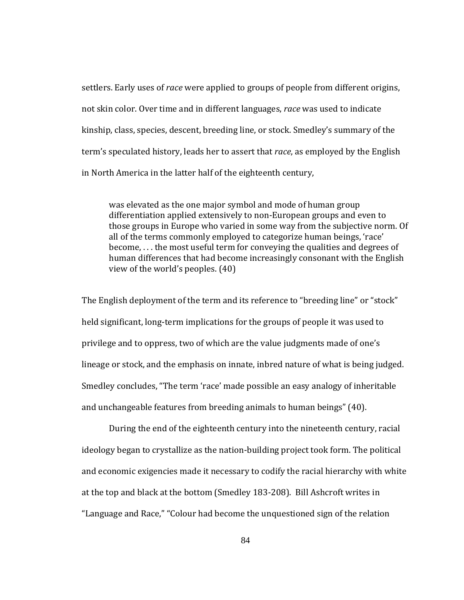settlers. Early uses of *race* were applied to groups of people from different origins, not skin color. Over time and in different languages, *race* was used to indicate kinship, class, species, descent, breeding line, or stock. Smedley's summary of the term's speculated history, leads her to assert that *race*, as employed by the English in North America in the latter half of the eighteenth century,

was elevated as the one major symbol and mode of human group differentiation applied extensively to non‐European groups and even to those groups in Europe who varied in some way from the subjective norm. Of all of the terms commonly employed to categorize human beings, 'race' become, . . . the most useful term for conveying the qualities and degrees of human differences that had become increasingly consonant with the English view of the world's peoples. (40)

and unchangeable features from breeding animals to human beings" (40). The English deployment of the term and its reference to "breeding line" or "stock" held significant, long‐term implications for the groups of people it was used to privilege and to oppress, two of which are the value judgments made of one's lineage or stock, and the emphasis on innate, inbred nature of what is being judged. Smedley concludes, "The term 'race' made possible an easy analogy of inheritable

During the end of the eighteenth century into the nineteenth century, racial ideology began to crystallize as the nation‐building project took form. The political and economic exigencies made it necessary to codify the racial hierarchy with white at the top and black at the bottom (Smedley 183‐208). Bill Ashcroft writes in "Language and Race," "Colour had become the unquestioned sign of the relation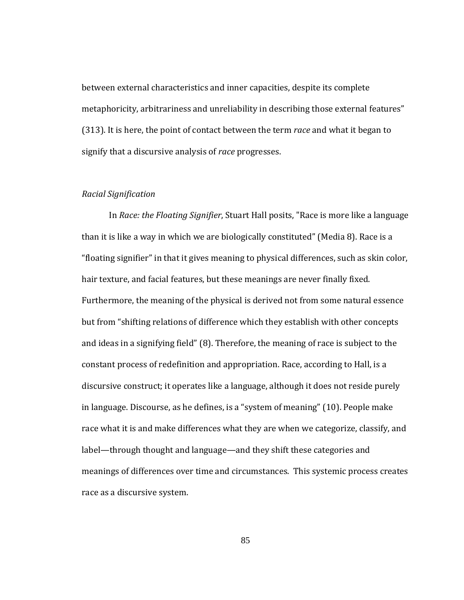between external characteristics and inner capacities, despite its complete metaphoricity, arbitrariness and unreliability in describing those external features" (313). It is here, the point of contact between the term *race* and what it began to signify that a discursive analysis of *race* progresses.

### *Racial Signification*

In *Race: the Floating Signifier*, Stuart Hall posits, "Race is more like a language than it is like a way in which we are biologically constituted" (Media 8). Race is a "floating signifier" in that it gives meaning to physical differences, such as skin color, hair texture, and facial features, but these meanings are never finally fixed. Furthermore, the meaning of the physical is derived not from some natural essence but from "shifting relations of difference which they establish with other concepts and ideas in a signifying field" (8). Therefore, the meaning of race is subject to the constant process of redefinition and appropriation. Race, according to Hall, is a discursive construct; it operates like a language, although it does not reside purely in language. Discourse, as he defines, is a "system of meaning" (10). People make race what it is and make differences what they are when we categorize, classify, and label—through thought and language—and they shift these categories and meanings of differences over time and circumstances. This systemic process creates race as a discursive system.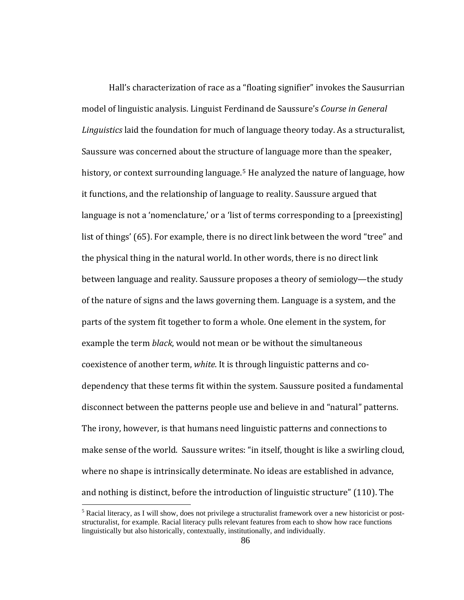Hall's characterization of race as a "floating signifier" invokes the Sausurrian model of linguistic analysis. Linguist Ferdinand de Saussure's *Course in General Linguistics* laid the foundation for much of language theory today. As a structuralist, Saussure was concerned about the structure of language more than the speaker, history, or context surrounding language.<sup>[5](#page-93-0)</sup> He analyzed the nature of language, how it functions, and the relationship of language to reality. Saussure argued that language is not a 'nomenclature,' or a 'list of terms corresponding to a [preexisting] list of things' (65). For example, there is no direct link between the word "tree" and the physical thing in the natural world. In other words, there is no direct link between language and reality. Saussure proposes a theory of semiology—the study of the nature of signs and the laws governing them. Language is a system, and the parts of the system fit together to form a whole. One element in the system, for example the term *black*, would not mean or be without the simultaneous coexistence of another term, *white*. It is through linguistic patterns and co‐ dependency that these terms fit within the system. Saussure posited a fundamental disconnect between the patterns people use and believe in and "natural" patterns. The irony, however, is that humans need linguistic patterns and connections to make sense of the world. Saussure writes: "in itself, thought is like a swirling cloud, where no shape is intrinsically determinate. No ideas are established in advance, and nothing is distinct, before the introduction of linguistic structure" (110). The

 $\overline{a}$ 

<span id="page-93-0"></span><sup>&</sup>lt;sup>5</sup> Racial literacy, as I will show, does not privilege a structuralist framework over a new historicist or poststructuralist, for example. Racial literacy pulls relevant features from each to show how race functions linguistically but also historically, contextually, institutionally, and individually.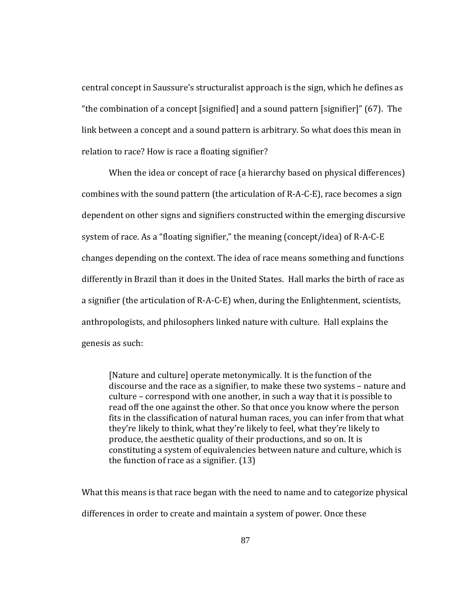central concept in Saussure's structuralist approach is the sign, which he defines as "the combination of a concept [signified] and a sound pattern [signifier]" (67). The link between a concept and a sound pattern is arbitrary. So what does this mean in relation to race? How is race a floating signifier?

When the idea or concept of race (a hierarchy based on physical differences) combines with the sound pattern (the articulation of R‐A‐C‐E), race becomes a sign dependent on other signs and signifiers constructed within the emerging discursive system of race. As a "floating signifier," the meaning (concept/idea) of R‐A‐C‐E changes depending on the context. The idea of race means something and functions differently in Brazil than it does in the United States. Hall marks the birth of race as a signifier (the articulation of R‐A‐C‐E) when, during the Enlightenment, scientists, anthropologists, and philosophers linked nature with culture. Hall explains the genesis as such:

[Nature and culture] operate metonymically. It is the function of the discourse and the race as a signifier, to make these two systems – nature and culture – correspond with one another, in such a way that it is possible to read off the one against the other. So that once you know where the person fits in the classification of natural human races, you can infer from that what they're likely to think, what they're likely to feel, what they're likely to produce, the aesthetic quality of their productions, and so on. It is onstituting a system of equivalencies between nature and culture, which is c the function of race as a signifier.  $(13)$ 

What this means is that race began with the need to name and to categorize physical differences in order to create and maintain a system of power. Once these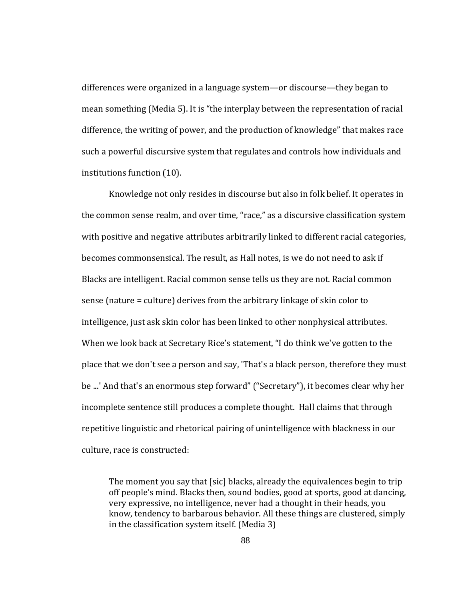differences were organized in a language system—or discourse—they began to mean something (Media 5). It is "the interplay between the representation of racial difference, the writing of power, and the production of knowledge" that makes race such a powerful discursive system that regulates and controls how individuals and institutions function (10).

Knowledge not only resides in discourse but also in folk belief. It operates in the common sense realm, and over time, "race," as a discursive classification system with positive and negative attributes arbitrarily linked to different racial categories, becomes commonsensical. The result, as Hall notes, is we do not need to ask if Blacks are intelligent. Racial common sense tells us they are not. Racial common sense (nature = culture) derives from the arbitrary linkage of skin color to intelligence, just ask skin color has been linked to other nonphysical attributes. When we look back at Secretary Rice's statement, "I do think we've gotten to the place that we don't see a person and say, 'That's a black person, therefore they must be ...' And that's an enormous step forward" ("Secretary"), it becomes clear why her incomplete sentence still produces a complete thought. Hall claims that through repetitive linguistic and rhetorical pairing of unintelligence with blackness in our culture, race is constructed:

The moment you say that [sic] blacks, already the equivalences begin to trip off people's mind. Blacks then, sound bodies, good at sports, good at dancing, very expressive, no intelligence, never had a thought in their heads, you know, tendency to barbarous behavior. All these things are clustered, simply in the classification system itself. (Media 3)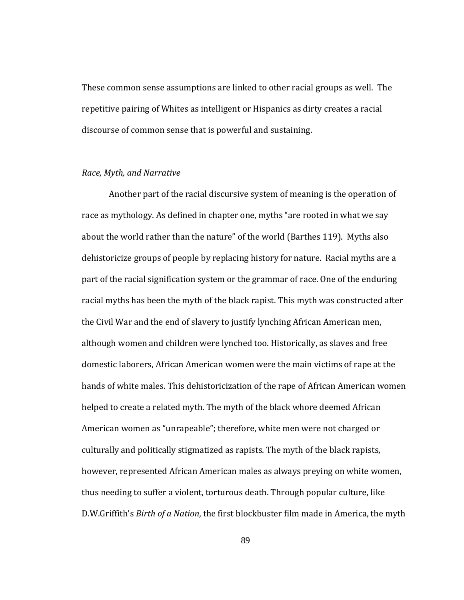These common sense assumptions are linked to other racial groups as well. The repetitive pairing of Whites as intelligent or Hispanics as dirty creates a racial discourse of common sense that is powerful and sustaining.

### $Race$ , *Myth*, and *Narrative*

Another part of the racial discursive system of meaning is the operation of race as mythology. As defined in chapter one, myths "are rooted in what we say about the world rather than the nature" of the world (Barthes 119). Myths also dehistoricize groups of people by replacing history for nature. Racial myths are a part of the racial signification system or the grammar of race. One of the enduring racial myths has been the myth of the black rapist. This myth was constructed after the Civil War and the end of slavery to justify lynching African American men, although women and children were lynched too. Historically, as slaves and free domestic laborers, African American women were the main victims of rape at the hands of white males. This dehistoricization of the rape of African American women helped to create a related myth. The myth of the black whore deemed African American women as "unrapeable"; therefore, white men were not charged or culturally and politically stigmatized as rapists. The myth of the black rapists, however, represented African American males as always preying on white women, thus needing to suffer a violent, torturous death. Through popular culture, like D.W.Griffith's *Birth of a Nation*, the first blockbuster film made in America, the myth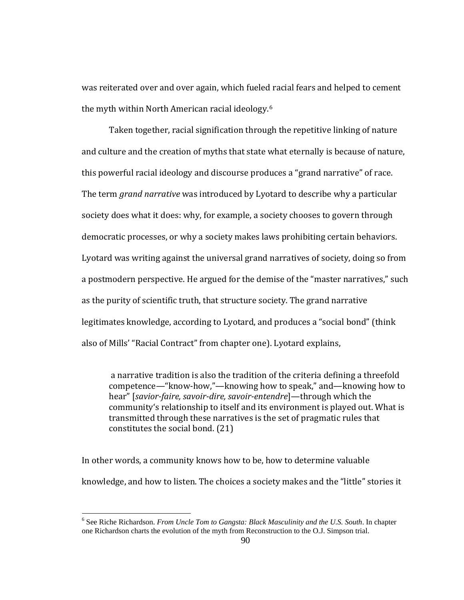was reiterated over and over again, which fueled racial fears and helped to cement the myth within North American racial ideology.6

Taken together, racial signification through the repetitive linking of nature and culture and the creation of myths that state what eternally is because of nature, this powerful racial ideology and discourse produces a "grand narrative" of race. The term *grand narrative* was introduced by Lyotard to describe why a particular society does what it does: why, for example, a society chooses to govern through democratic processes, or why a society makes laws prohibiting certain behaviors. Lyotard was writing against the universal grand narratives of society, doing so from a postmodern perspective. He argued for the demise of the "master narratives," such as the purity of scientific truth, that structure society. The grand narrative legitimates knowledge, according to Lyotard, and produces a "social bond" (think also of Mills' "Racial Contract" from chapter one). Lyotard explains,

 a narrative tradition is also the tradition of the criteria defining a threefold competence—"know‐how,"—knowing how to speak," and—knowing how to hear" [*saviorfaire, savoirdire, savoirentendre*]—through which the community's relationship to itself and its environment is played out. What is transmitted through these narratives is the set of pragmatic rules that constitutes the social bond. (21)

In other words, a community knows how to be, how to determine valuable knowledge, and how to listen. The choices a society makes and the "little" stories it

 $\overline{a}$ 

<sup>6</sup> See Riche Richardson. *From Uncle Tom to Gangsta: Black Masculinity and the U.S. South*. In chapter one Richardson charts the evolution of the myth from Reconstruction to the O.J. Simpson trial.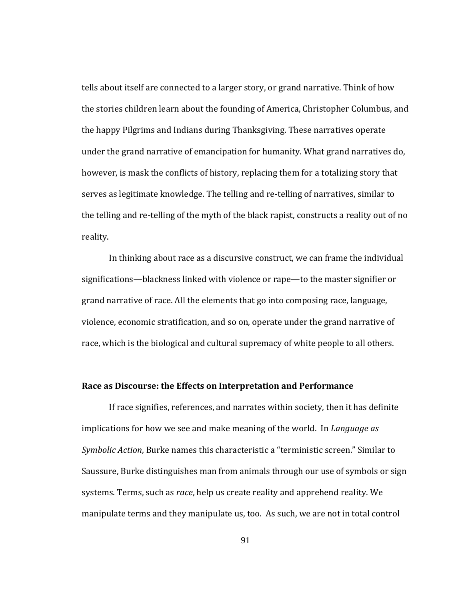tells about itself are connected to a larger story, or grand narrative. Think of how the stories children learn about the founding of America, Christopher Columbus, and the happy Pilgrims and Indians during Thanksgiving. These narratives operate under the grand narrative of emancipation for humanity. What grand narratives do, however, is mask the conflicts of history, replacing them for a totalizing story that serves as legitimate knowledge. The telling and re‐telling of narratives, similar to the telling and re‐telling of the myth of the black rapist, constructs a reality out of no reality.

 In thinking about race as a discursive construct, we can frame the individual significations—blackness linked with violence or rape—to the master signifier or grand narrative of race. All the elements that go into composing race, language, violence, economic stratification, and so on, operate under the grand narrative of race, which is the biological and cultural supremacy of white people to all others.

### **s Discourse: the Effects on Interpretation and Performance Race a**

If race signifies, references, and narrates within society, then it has definite implications for how we see and make meaning of the world. In *Language as Symbolic Action*, Burke names this characteristic a "terministic screen." Similar to Saussure, Burke distinguishes man from animals through our use of symbols or sign systems. Terms, such as *race*, help us create reality and apprehend reality. We manipulate terms and they manipulate us, too. As such, we are not in total control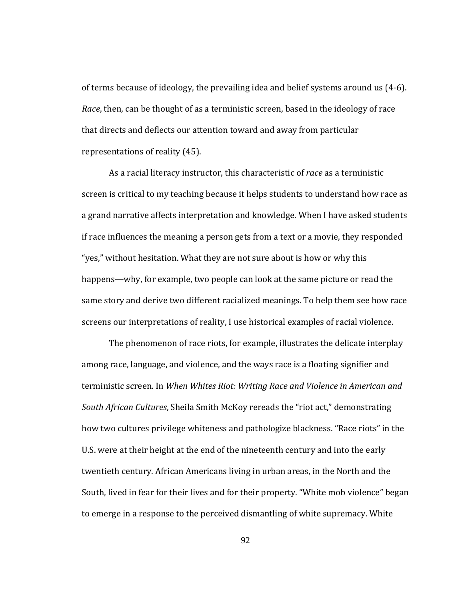of terms because of ideology, the prevailing idea and belief systems around us (4‐6). *Race*, then, can be thought of as a terministic screen, based in the ideology of race that directs and deflects our attention toward and away from particular representations of reality (45).

screens our interpretations of reality, I use historical examples of racial violence. As a racial literacy instructor, this characteristic of *race* as a terministic screen is critical to my teaching because it helps students to understand how race as a grand narrative affects interpretation and knowledge. When I have asked students if race influences the meaning a person gets from a text or a movie, they responded "yes," without hesitation. What they are not sure about is how or why this happens—why, for example, two people can look at the same picture or read the same story and derive two different racialized meanings. To help them see how race

The phenomenon of race riots, for example, illustrates the delicate interplay among race, language, and violence, and the ways race is a floating signifier and terministic screen. In *When Whites Riot: Writing Race and Violence in American and South African Cultures*, Sheila Smith McKoy rereads the "riot act," demonstrating how two cultures privilege whiteness and pathologize blackness. "Race riots" in the U.S. were at their height at the end of the nineteenth century and into the early twentieth century. African Americans living in urban areas, in the North and the South, lived in fear for their lives and for their property. "White mob violence" began to emerge in a response to the perceived dismantling of white supremacy. White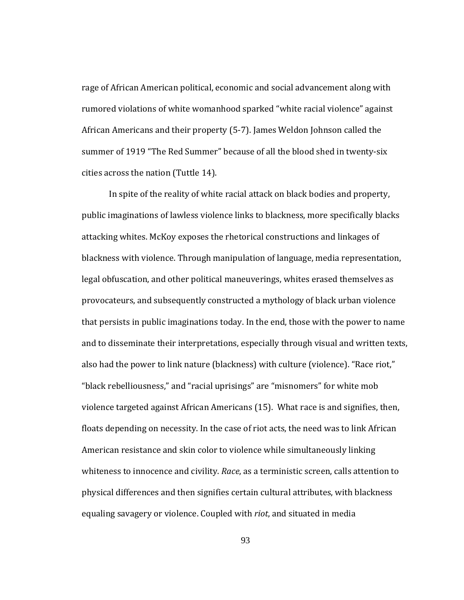cities across the nation (Tuttle 14). rage of African American political, economic and social advancement along with rumored violations of white womanhood sparked "white racial violence" against African Americans and their property (5‐7). James Weldon Johnson called the summer of 1919 "The Red Summer" because of all the blood shed in twenty‐six

In spite of the reality of white racial attack on black bodies and property, public imaginations of lawless violence links to blackness, more specifically blacks attacking whites. McKoy exposes the rhetorical constructions and linkages of blackness with violence. Through manipulation of language, media representation, legal obfuscation, and other political maneuverings, whites erased themselves as provocateurs, and subsequently constructed a mythology of black urban violence that persists in public imaginations today. In the end, those with the power to name and to disseminate their interpretations, especially through visual and written texts, also had the power to link nature (blackness) with culture (violence). "Race riot," "black rebelliousness," and "racial uprisings" are "misnomers" for white mob violence targeted against African Americans (15). What race is and signifies, then, floats depending on necessity. In the case of riot acts, the need was to link African American resistance and skin color to violence while simultaneously linking whiteness to innocence and civility. *Race*, as a terministic screen, calls attention to physical differences and then signifies certain cultural attributes, with blackness equaling savagery or violence. Coupled with *riot*, and situated in media

93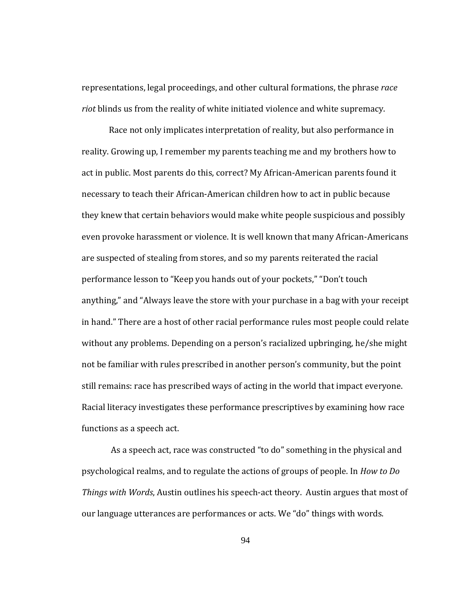representations, legal proceedings, and other cultural formations, the phrase *race riot* blinds us from the reality of white initiated violence and white supremacy.

functions as a speech act. Race not only implicates interpretation of reality, but also performance in reality. Growing up, I remember my parents teaching me and my brothers how to act in public. Most parents do this, correct? My African‐American parents found it necessary to teach their African‐American children how to act in public because they knew that certain behaviors would make white people suspicious and possibly even provoke harassment or violence. It is well known that many African‐Americans are suspected of stealing from stores, and so my parents reiterated the racial performance lesson to "Keep you hands out of your pockets," "Don't touch anything," and "Always leave the store with your purchase in a bag with your receipt in hand." There are a host of other racial performance rules most people could relate without any problems. Depending on a person's racialized upbringing, he/she might not be familiar with rules prescribed in another person's community, but the point still remains: race has prescribed ways of acting in the world that impact everyone. Racial literacy investigates these performance prescriptives by examining how race

 As a speech act, race was constructed "to do" something in the physical and psychological realms, and to regulate the actions of groups of people. In *How to Do Things with Words*, Austin outlines his speech‐act theory. Austin argues that most of our language utterances are performances or acts. We "do" things with words.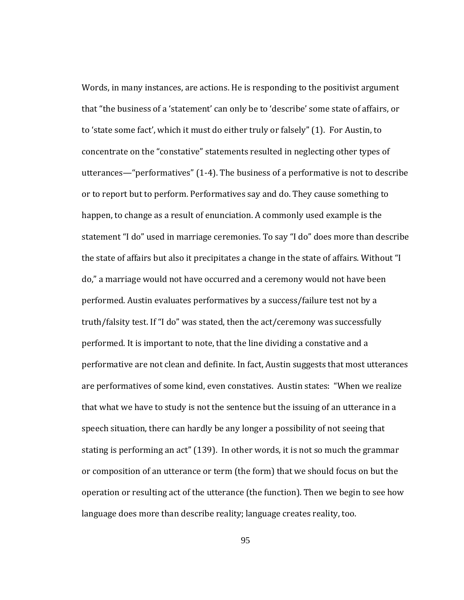Words, in many instances, are actions. He is responding to the positivist argument that "the business of a 'statement' can only be to 'describe' some state of affairs, or to 'state some fact', which it must do either truly or falsely" (1). For Austin, to concentrate on the "constative" statements resulted in neglecting other types of utterances—"performatives" (1‐4). The business of a performative is not to describe or to report but to perform. Performatives say and do. They cause something to happen, to change as a result of enunciation. A commonly used example is the statement "I do" used in marriage ceremonies. To say "I do" does more than describe the state of affairs but also it precipitates a change in the state of affairs. Without "I do," a marriage would not have occurred and a ceremony would not have been performed. Austin evaluates performatives by a success/failure test not by a truth/falsity test. If "I do" was stated, then the act/ceremony was successfully performed. It is important to note, that the line dividing a constative and a performative are not clean and definite. In fact, Austin suggests that most utterances are performatives of some kind, even constatives. Austin states: "When we realize that what we have to study is not the sentence but the issuing of an utterance in a speech situation, there can hardly be any longer a possibility of not seeing that stating is performing an act" (139). In other words, it is not so much the grammar or composition of an utterance or term (the form) that we should focus on but the operation or resulting act of the utterance (the function). Then we begin to see how language does more than describe reality; language creates reality, too.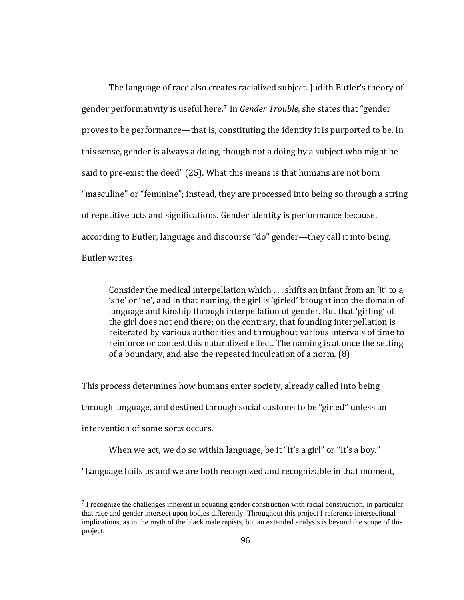The language of race also creates racialized subject. Judith Butler's theory of gender performativity is useful here.[7](#page-103-0) In *Gender Trouble*, she states that "gender proves to be performance—that is, constituting the identity it is purported to be. In this sense, gender is always a doing, though not a doing by a subject who might be said to pre-exist the deed" (25). What this means is that humans are not born "masculine" or "feminine"; instead, they are processed into being so through a string of repetitive acts and significations. Gender identity is performance because, according to Butler, language and discourse "do" gender—they call it into being. Butler writes:

Consider the medical interpellation which . . . shifts an infant from an 'it' to a 'she' or 'he', and in that naming, the girl is 'girled' brought into the domain of language and kinship through interpellation of gender. But that 'girling' of the girl does not end there; on the contrary, that founding interpellation is reiterated by various authorities and throughout various intervals of time to reinforce or contest this naturalized effect. The naming is at once the setting of a boundary, and also the repeated inculcation of a norm. (8)

This process determines how humans enter society, already called into being through language, and destined through social customs to be "girled" unless an intervention of some sorts occurs.

When we act, we do so within language, be it "It's a girl" or "It's a boy."

"Language hails us and we are both recognized and recognizable in that moment,

 $\overline{a}$ 

<span id="page-103-0"></span> $<sup>7</sup>$  I recognize the challenges inherent in equating gender construction with racial construction, in particular</sup> that race and gender intersect upon bodies differently. Throughout this project I reference intersectional implications, as in the myth of the black male rapists, but an extended analysis is beyond the scope of this project.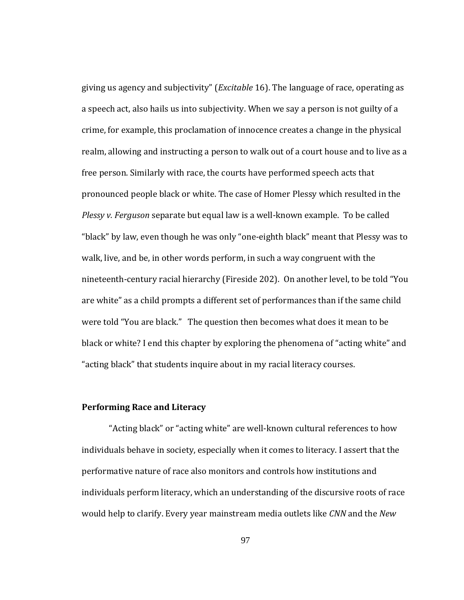giving us agency and subjectivity" (*Excitable* 16). The language of race, operating as a speech act, also hails us into subjectivity. When we say a person is not guilty of a crime, for example, this proclamation of innocence creates a change in the physical realm, allowing and instructing a person to walk out of a court house and to live as a free person. Similarly with race, the courts have performed speech acts that pronounced people black or white. The case of Homer Plessy which resulted in the *Plessy v. Ferguson* separate but equal law is a well‐known example. To be called "black" by law, even though he was only "one‐eighth black" meant that Plessy was to walk, live, and be, in other words perform, in such a way congruent with the nineteenth‐century racial hierarchy (Fireside 202). On another level, to be told "You are white" as a child prompts a different set of performances than if the same child were told "You are black." The question then becomes what does it mean to be black or white? I end this chapter by exploring the phenomena of "acting white" and "acting black" that students inquire about in my racial literacy courses.

# **Performing Race and Literacy**

 "Acting black" or "acting white" are well‐known cultural references to how individuals behave in society, especially when it comes to literacy. I assert that the performative nature of race also monitors and controls how institutions and individuals perform literacy, which an understanding of the discursive roots of race would help to clarify. Every year mainstream media outlets like *CNN* and the *New*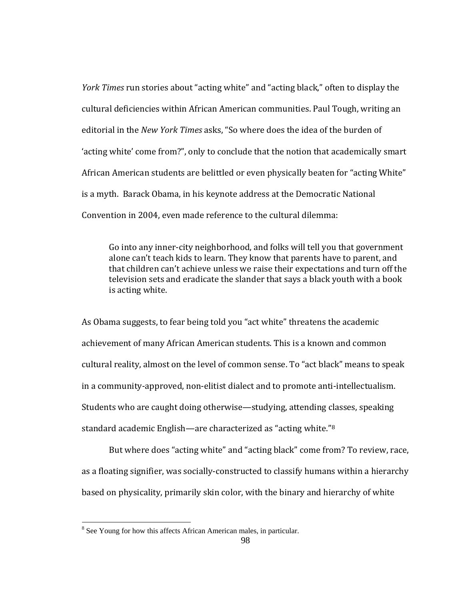*York Times* run stories about "acting white" and "acting black," often to display the cultural deficiencies within African American communities. Paul Tough, writing an editorial in the *New York Times* asks, "So where does the idea of the burden of 'acting white' come from?", only to conclude that the notion that academically smart African American students are belittled or even physically beaten for "acting White" is a myth. Barack Obama, in his keynote address at the Democratic National Convention in 2004, even made reference to the cultural dilemma:

Go into any inner‐city neighborhood, and folks will tell you that government alone can't teach kids to learn. They know that parents have to parent, and that children can't achieve unless we raise their expectations and turn off the television sets and eradicate the slander that says a black youth with a book is acting white.

As Obama suggests, to fear being told you "act white" threatens the academic achievement of many African American students. This is a known and common cultural reality, almost on the level of common sense. To "act black" means to speak in a community‐approved, non‐elitist dialect and to promote anti‐intellectualism. Students who are caught doing otherwise—studying, attending classes, speaking standard academic English—are characterized as "acting white."8

But where does "acting white" and "acting black" come from? To review, race, as a floating signifier, was socially‐constructed to classify humans within a hierarchy based on physicality, primarily skin color, with the binary and hierarchy of white

<sup>&</sup>lt;sup>8</sup> See Young for how this affects African American males, in particular.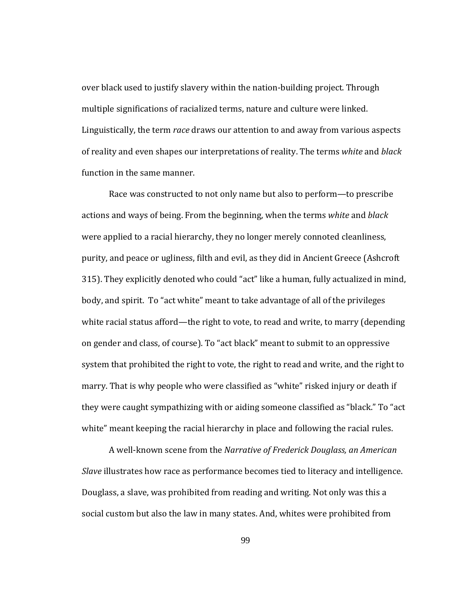over black used to justify slavery within the nation‐building project. Through multiple significations of racialized terms, nature and culture were linked. Linguistically, the term *race* draws our attention to and away from various aspects of reality and even shapes our interpretations of reality. The terms *white* and *black* function in the same manner.

white" meant keeping the racial hierarchy in place and following the racial rules. Race was constructed to not only name but also to perform—to prescribe actions and ways of being. From the beginning, when the terms *white* and *black* were applied to a racial hierarchy, they no longer merely connoted cleanliness, purity, and peace or ugliness, filth and evil, as they did in Ancient Greece (Ashcroft 315). They explicitly denoted who could "act" like a human, fully actualized in mind, body, and spirit. To "act white" meant to take advantage of all of the privileges white racial status afford—the right to vote, to read and write, to marry (depending on gender and class, of course). To "act black" meant to submit to an oppressive system that prohibited the right to vote, the right to read and write, and the right to marry. That is why people who were classified as "white" risked injury or death if they were caught sympathizing with or aiding someone classified as "black." To "act

 A well‐known scene from the *Narrative of Frederick Douglass, an American Slave* illustrates how race as performance becomes tied to literacy and intelligence. Douglass, a slave, was prohibited from reading and writing. Not only was this a social custom but also the law in many states. And, whites were prohibited from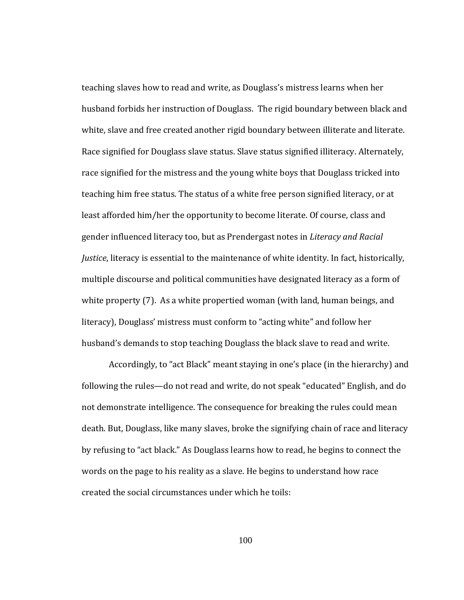teaching slaves how to read and write, as Douglass's mistress learns when her husband forbids her instruction of Douglass. The rigid boundary between black and white, slave and free created another rigid boundary between illiterate and literate. Race signified for Douglass slave status. Slave status signified illiteracy. Alternately, race signified for the mistress and the young white boys that Douglass tricked into teaching him free status. The status of a white free person signified literacy, or at least afforded him/her the opportunity to become literate. Of course, class and gender influenced literacy too, but as Prendergast notes in *Literacy and Racial Justice*, literacy is essential to the maintenance of white identity. In fact, historically, multiple discourse and political communities have designated literacy as a form of white property (7). As a white propertied woman (with land, human beings, and literacy), Douglass' mistress must conform to "acting white" and follow her husband's demands to stop teaching Douglass the black slave to read and write.

Accordingly, to "act Black" meant staying in one's place (in the hierarchy) and following the rules—do not read and write, do not speak "educated" English, and do not demonstrate intelligence. The consequence for breaking the rules could mean death. But, Douglass, like many slaves, broke the signifying chain of race and literacy by refusing to "act black." As Douglass learns how to read, he begins to connect the words on the page to his reality as a slave. He begins to understand how race created the social circumstances under which he toils: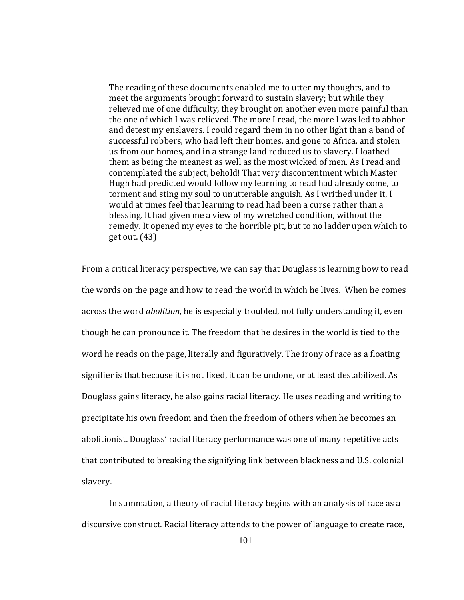The reading of these documents enabled me to utter my thoughts, and to meet the arguments brought forward to sustain slavery; but while they relieved me of one difficulty, they brought on another even more painful than the one of which I was relieved. The more I read, the more I was led to abhor and detest my enslavers. I could regard them in no other light than a band of successful robbers, who had left their homes, and gone to Africa, and stolen us from our homes, and in a strange land reduced us to slavery. I loathed them as being the meanest as well as the most wicked of men. As I read and contemplated the subject, behold! That very discontentment which Master Hugh had predicted would follow my learning to read had already come, to torment and sting my soul to unutterable anguish. As I writhed under it, I would at times feel that learning to read had been a curse rather than a blessing. It had given me a view of my wretched condition, without the remedy. It opened my eyes to the horrible pit, but to no ladder upon which to get out. (43)

slavery. From a critical literacy perspective, we can say that Douglass is learning how to read the words on the page and how to read the world in which he lives. When he comes across the word *abolition*, he is especially troubled, not fully understanding it, even though he can pronounce it. The freedom that he desires in the world is tied to the word he reads on the page, literally and figuratively. The irony of race as a floating signifier is that because it is not fixed, it can be undone, or at least destabilized. As Douglass gains literacy, he also gains racial literacy. He uses reading and writing to precipitate his own freedom and then the freedom of others when he becomes an abolitionist. Douglass' racial literacy performance was one of many repetitive acts that contributed to breaking the signifying link between blackness and U.S. colonial

 In summation, a theory of racial literacy begins with an analysis of race as a discursive construct. Racial literacy attends to the power of language to create race,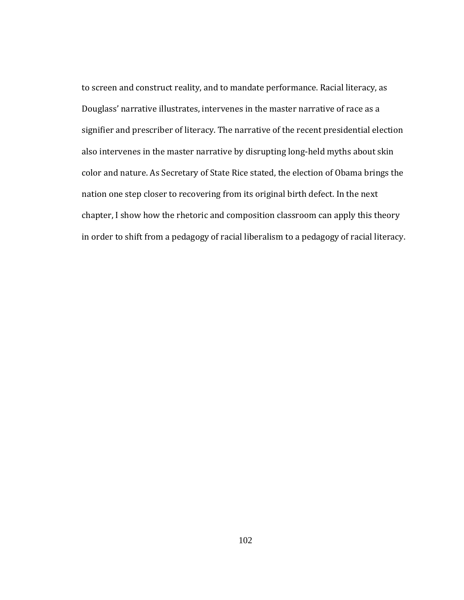to screen and construct reality, and to mandate performance. Racial literacy, as Douglass' narrative illustrates, intervenes in the master narrative of race as a signifier and prescriber of literacy. The narrative of the recent presidential election also intervenes in the master narrative by disrupting long‐held myths about skin color and nature. As Secretary of State Rice stated, the election of Obama brings the nation one step closer to recovering from its original birth defect. In the next chapter, I show how the rhetoric and composition classroom can apply this theory in order to shift from a pedagogy of racial liberalism to a pedagogy of racial literacy.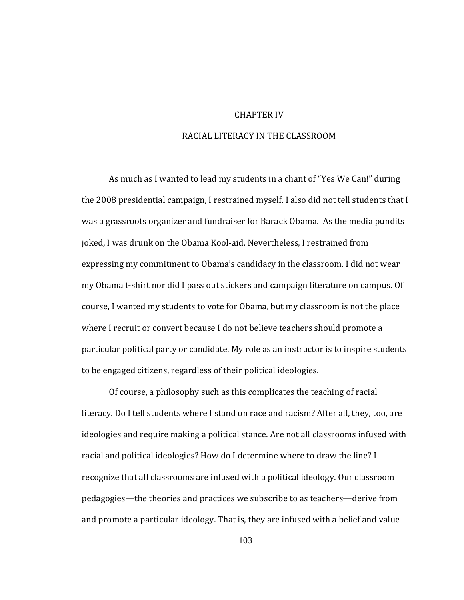### CHAPTER IV

### RACIAL LITERACY IN THE CLASSROOM

to be engaged citizens, regardless of their political ideologies. As much as I wanted to lead my students in a chant of "Yes We Can!" during the 2008 presidential campaign, I restrained myself. I also did not tell students that I was a grassroots organizer and fundraiser for Barack Obama. As the media pundits joked, I was drunk on the Obama Kool‐aid. Nevertheless, I restrained from expressing my commitment to Obama's candidacy in the classroom. I did not wear my Obama t‐shirt nor did I pass out stickers and campaign literature on campus. Of course, I wanted my students to vote for Obama, but my classroom is not the place where I recruit or convert because I do not believe teachers should promote a particular political party or candidate. My role as an instructor is to inspire students

Of course, a philosophy such as this complicates the teaching of racial literacy. Do I tell students where I stand on race and racism? After all, they, too, are ideologies and require making a political stance. Are not all classrooms infused with racial and political ideologies? How do I determine where to draw the line? I recognize that all classrooms are infused with a political ideology. Our classroom pedagogies—the theories and practices we subscribe to as teachers—derive from and promote a particular ideology. That is, they are infused with a belief and value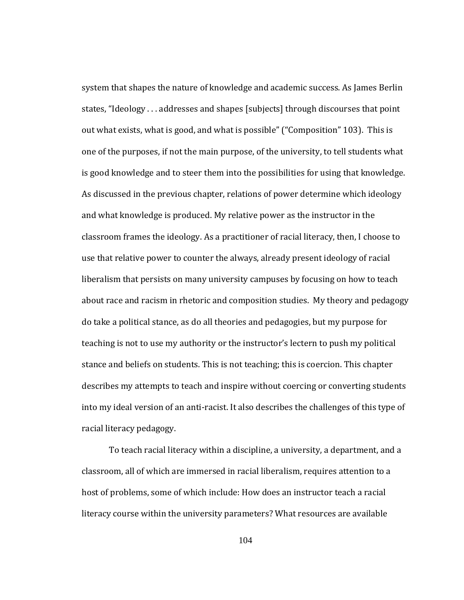racial literacy pedagogy. system that shapes the nature of knowledge and academic success. As James Berlin states, "Ideology . . . addresses and shapes [subjects] through discourses that point out what exists, what is good, and what is possible" ("Composition" 103). This is one of the purposes, if not the main purpose, of the university, to tell students what is good knowledge and to steer them into the possibilities for using that knowledge. As discussed in the previous chapter, relations of power determine which ideology and what knowledge is produced. My relative power as the instructor in the classroom frames the ideology. As a practitioner of racial literacy, then, I choose to use that relative power to counter the always, already present ideology of racial liberalism that persists on many university campuses by focusing on how to teach about race and racism in rhetoric and composition studies. My theory and pedagogy do take a political stance, as do all theories and pedagogies, but my purpose for teaching is not to use my authority or the instructor's lectern to push my political stance and beliefs on students. This is not teaching; this is coercion. This chapter describes my attempts to teach and inspire without coercing or converting students into my ideal version of an anti‐racist. It also describes the challenges of this type of

To teach racial literacy within a discipline, a university, a department, and a classroom, all of which are immersed in racial liberalism, requires attention to a host of problems, some of which include: How does an instructor teach a racial literacy course within the university parameters? What resources are available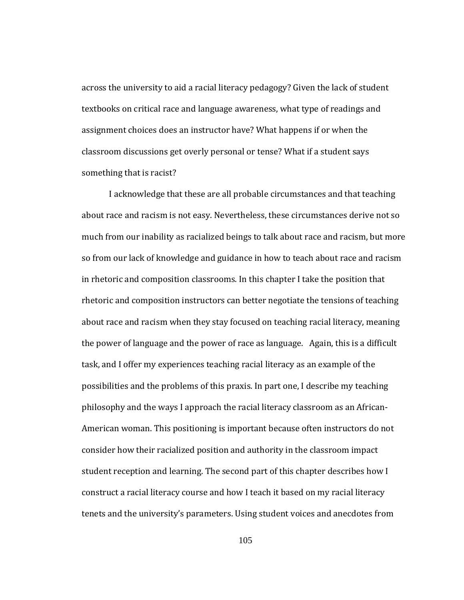something that is racist? across the university to aid a racial literacy pedagogy? Given the lack of student textbooks on critical race and language awareness, what type of readings and assignment choices does an instructor have? What happens if or when the classroom discussions get overly personal or tense? What if a student says

I acknowledge that these are all probable circumstances and that teaching about race and racism is not easy. Nevertheless, these circumstances derive not so much from our inability as racialized beings to talk about race and racism, but more so from our lack of knowledge and guidance in how to teach about race and racism in rhetoric and composition classrooms. In this chapter I take the position that rhetoric and composition instructors can better negotiate the tensions of teaching about race and racism when they stay focused on teaching racial literacy, meaning the power of language and the power of race as language. Again, this is a difficult task, and I offer my experiences teaching racial literacy as an example of the possibilities and the problems of this praxis. In part one, I describe my teaching philosophy and the ways I approach the racial literacy classroom as an African‐ American woman. This positioning is important because often instructors do not consider how their racialized position and authority in the classroom impact student reception and learning. The second part of this chapter describes how I construct a racial literacy course and how I teach it based on my racial literacy tenets and the university's parameters. Using student voices and anecdotes from

105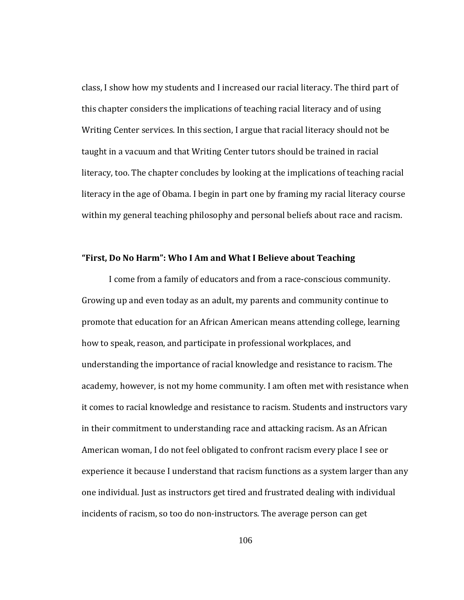class, I show how my students and I increased our racial literacy. The third part of this chapter considers the implications of teaching racial literacy and of using Writing Center services. In this section, I argue that racial literacy should not be taught in a vacuum and that Writing Center tutors should be trained in racial literacy, too. The chapter concludes by looking at the implications of teaching racial literacy in the age of Obama. I begin in part one by framing my racial literacy course within my general teaching philosophy and personal beliefs about race and racism.

#### **Do No Harm": Who I Am and What I Believe about Teaching "First,**

I come from a family of educators and from a race‐conscious community. Growing up and even today as an adult, my parents and community continue to promote that education for an African American means attending college, learning how to speak, reason, and participate in professional workplaces, and understanding the importance of racial knowledge and resistance to racism. The academy, however, is not my home community. I am often met with resistance when it comes to racial knowledge and resistance to racism. Students and instructors vary in their commitment to understanding race and attacking racism. As an African American woman, I do not feel obligated to confront racism every place I see or experience it because I understand that racism functions as a system larger than any one individual. Just as instructors get tired and frustrated dealing with individual incidents of racism, so too do non‐instructors. The average person can get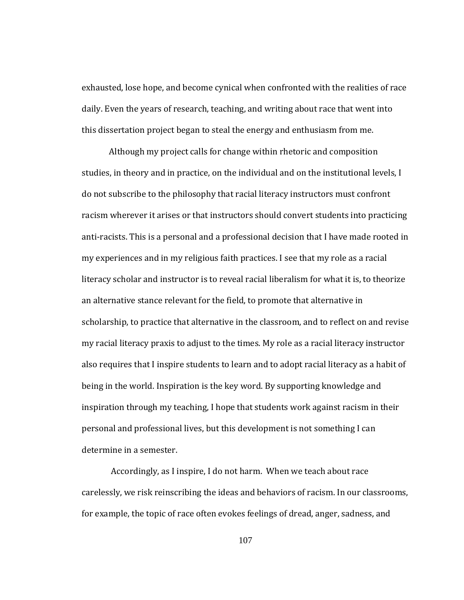exhausted, lose hope, and become cynical when confronted with the realities of race daily. Even the years of research, teaching, and writing about race that went into this dissertation project began to steal the energy and enthusiasm from me.

determine in a semester. Although my project calls for change within rhetoric and composition studies, in theory and in practice, on the individual and on the institutional levels, I do not subscribe to the philosophy that racial literacy instructors must confront racism wherever it arises or that instructors should convert students into practicing anti‐racists. This is a personal and a professional decision that I have made rooted in my experiences and in my religious faith practices. I see that my role as a racial literacy scholar and instructor is to reveal racial liberalism for what it is, to theorize an alternative stance relevant for the field, to promote that alternative in scholarship, to practice that alternative in the classroom, and to reflect on and revise my racial literacy praxis to adjust to the times. My role as a racial literacy instructor also requires that I inspire students to learn and to adopt racial literacy as a habit of being in the world. Inspiration is the key word. By supporting knowledge and inspiration through my teaching, I hope that students work against racism in their personal and professional lives, but this development is not something I can

 Accordingly, as I inspire, I do not harm. When we teach about race carelessly, we risk reinscribing the ideas and behaviors of racism. In our classrooms, for example, the topic of race often evokes feelings of dread, anger, sadness, and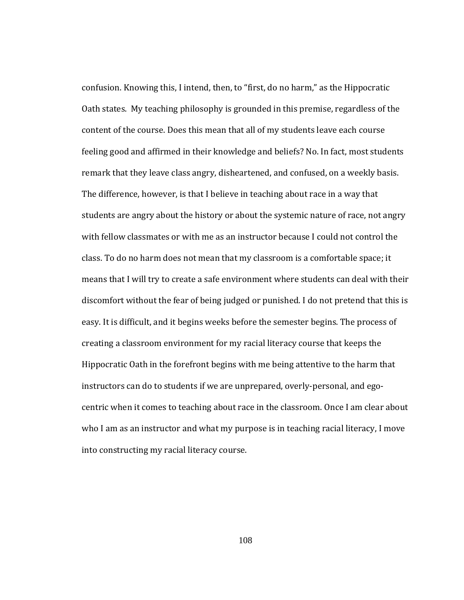confusion. Knowing this, I intend, then, to "first, do no harm," as the Hippocratic Oath states. My teaching philosophy is grounded in this premise, regardless of the content of the course. Does this mean that all of my students leave each course feeling good and affirmed in their knowledge and beliefs? No. In fact, most students remark that they leave class angry, disheartened, and confused, on a weekly basis. The difference, however, is that I believe in teaching about race in a way that students are angry about the history or about the systemic nature of race, not angry with fellow classmates or with me as an instructor because I could not control the class. To do no harm does not mean that my classroom is a comfortable space; it means that I will try to create a safe environment where students can deal with their discomfort without the fear of being judged or punished. I do not pretend that this is easy. It is difficult, and it begins weeks before the semester begins. The process of creating a classroom environment for my racial literacy course that keeps the Hippocratic Oath in the forefront begins with me being attentive to the harm that instructors can do to students if we are unprepared, overly-personal, and egocentric when it comes to teaching about race in the classroom. Once I am clear about who I am as an instructor and what my purpose is in teaching racial literacy, I move into constructing my racial literacy course.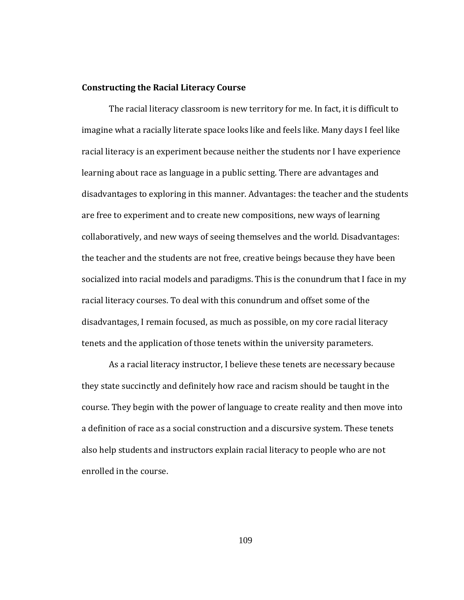#### **Constructing the Racial Literacy Course**

The racial literacy classroom is new territory for me. In fact, it is difficult to imagine what a racially literate space looks like and feels like. Many days I feel like racial literacy is an experiment because neither the students nor I have experience learning about race as language in a public setting. There are advantages and disadvantages to exploring in this manner. Advantages: the teacher and the students are free to experiment and to create new compositions, new ways of learning collaboratively, and new ways of seeing themselves and the world. Disadvantages: the teacher and the students are not free, creative beings because they have been socialized into racial models and paradigms. This is the conundrum that I face in my racial literacy courses. To deal with this conundrum and offset some of the disadvantages, I remain focused, as much as possible, on my core racial literacy tenets and the application of those tenets within the university parameters.

As a racial literacy instructor, I believe these tenets are necessary because they state succinctly and definitely how race and racism should be taught in the course. They begin with the power of language to create reality and then move into a definition of race as a social construction and a discursive system. These tenets also help students and instructors explain racial literacy to people who are not enrolled in the course.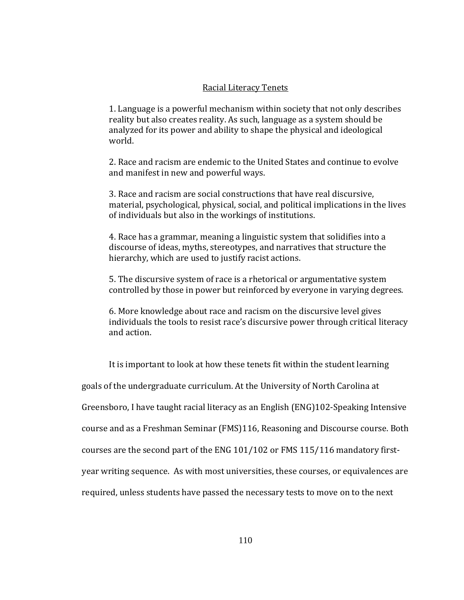### Racial Literacy Tenets

1. Language is a powerful mechanism within society that not only describes reality but also creates reality. As such, language as a system should be analyzed for its power and ability to shape the physical and ideological world.

2. Race and racism are endemic to the United States and continue to evolve and manifest in new and powerful ways.

3. Race and racism are social constructions that have real discursive, material, psychological, physical, social, and political implications in the lives of individuals but also in the workings of institutions.

4. Race has a grammar, meaning a linguistic system that solidifies into a discourse of ideas, myths, stereotypes, and narratives that structure the hierarchy, which are used to justify racist actions.

. The discursive system of race is a rhetorical or argumentative system 5 controlled by those in power but reinforced by everyone in varying degrees.

6. More knowledge about race and racism on the discursive level gives individuals the tools to resist race's discursive power through critical literacy and action.

It is important to look at how these tenets fit within the student learning goals of the undergraduate curriculum. At the University of North Carolina at Greensboro, I have taught racial literacy as an English (ENG)102‐Speaking Intensive course and as a Freshman Seminar (FMS)116, Reasoning and Discourse course. Both courses are the second part of the ENG 101/102 or FMS 115/116 mandatory first‐ year writing sequence. As with most universities, these courses, or equivalences are required, unless students have passed the necessary tests to move on to the next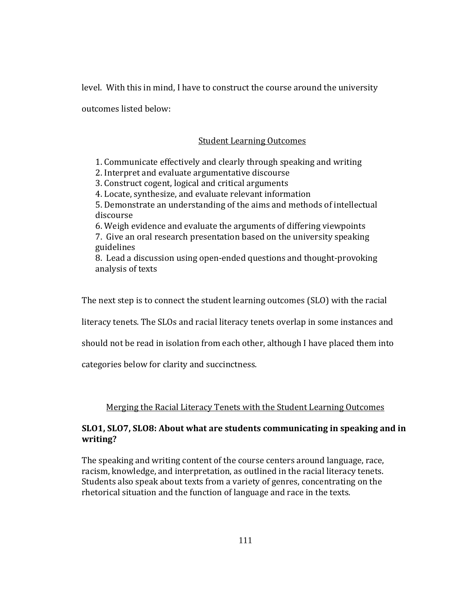level. With this in mind, I have to construct the course around the university

outcomes listed below:

# Student Learning Outcomes

1. Communicate effectively and clearly through speaking and writing

2. Interpret and evaluate argumentative discourse

3. Construct cogent, logical and critical arguments

4. Locate, synthesize, and evaluate relevant information

5. Demonstrate an understanding of the aims and methods of intellectual discourse

6. Weigh evidence and evaluate the arguments of differing viewpoints 7. Give an oral research presentation based on the university speaking guidelines

8. Lead a discussion using open‐ended questions and thought‐provoking analysis of texts

The next step is to connect the student learning outcomes (SLO) with the racial

literacy tenets. The SLOs and racial literacy tenets overlap in some instances and

should not be read in isolation from each other, although I have placed them into

categories below for clarity and succinctness.

# Merging the Racial Literacy Tenets with the Student Learning Outcomes

# **SLO1, SLO7, SLO8: About what are students communicating in speaking and in writing?**

The speaking and writing content of the course centers around language, race, racism, knowledge, and interpretation, as outlined in the racial literacy tenets. Students also speak about texts from a variety of genres, concentrating on the rhetorical situation and the function of language and race in the texts.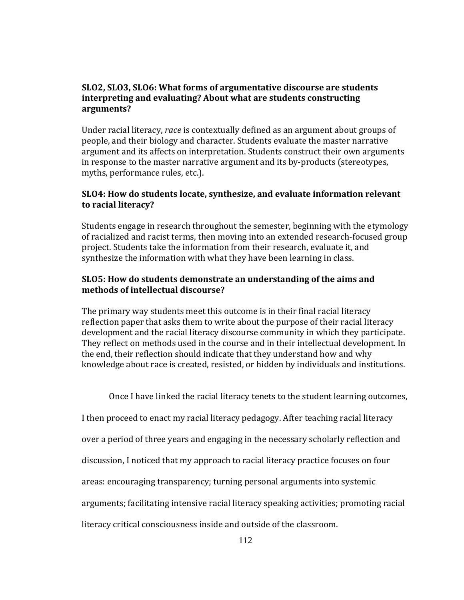## **SLO2, SLO3, SLO6: What forms of argumentative discourse are students interpreting and evaluating? About what are students constructing arguments?**

Under racial literacy, *race* is contextually defined as an argument about groups of people, and their biology and character. Students evaluate the master narrative argument and its affects on interpretation. Students construct their own arguments in response to the master narrative argument and its by-products (stereotypes, myths, performance rules, etc.).

## **SLO4: How do students locate, synthesize, and evaluate information relevant to racial literacy?**

Students engage in research throughout the semester, beginning with the etymology of racialized and racist terms, then moving into an extended research‐focused group project. Students take the information from their research, evaluate it, and synthesize the information with what they have been learning in class.

## **SLO5: How do students demonstrate an understanding of the aims and methods of intellectual discourse?**

The primary way students meet this outcome is in their final racial literacy reflection paper that asks them to write about the purpose of their racial literacy development and the racial literacy discourse community in which they participate. They reflect on methods used in the course and in their intellectual development. In he end, their reflection should indicate that they understand how and why t knowledge about race is created, resisted, or hidden by individuals and institutions.

Once I have linked the racial literacy tenets to the student learning outcomes,

I then proceed to enact my racial literacy pedagogy. After teaching racial literacy

over a period of three years and engaging in the necessary scholarly reflection and

discussion, I noticed that my approach to racial literacy practice focuses on four

areas: encouraging transparency; turning personal arguments into systemic

arguments; facilitating intensive racial literacy speaking activities; promoting racial

literacy critical consciousness inside and outside of the classroom.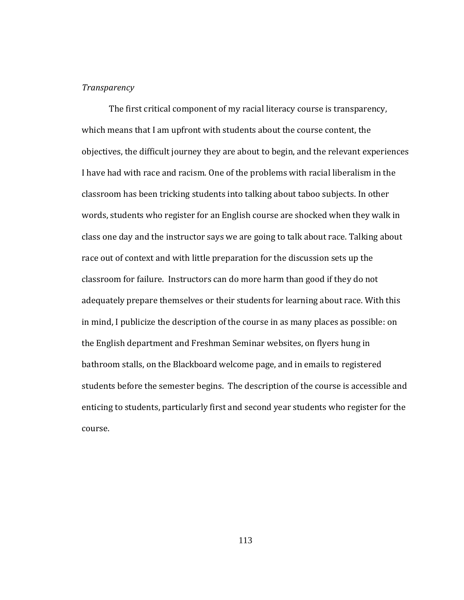#### *Transparency*

The first critical component of my racial literacy course is transparency, which means that I am upfront with students about the course content, the objectives, the difficult journey they are about to begin, and the relevant experiences I have had with race and racism. One of the problems with racial liberalism in the classroom has been tricking students into talking about taboo subjects. In other words, students who register for an English course are shocked when they walk in class one day and the instructor says we are going to talk about race. Talking about race out of context and with little preparation for the discussion sets up the classroom for failure. Instructors can do more harm than good if they do not adequately prepare themselves or their students for learning about race. With this in mind, I publicize the description of the course in as many places as possible: on the English department and Freshman Seminar websites, on flyers hung in bathroom stalls, on the Blackboard welcome page, and in emails to registered students before the semester begins. The description of the course is accessible and enticing to students, particularly first and second year students who register for the course.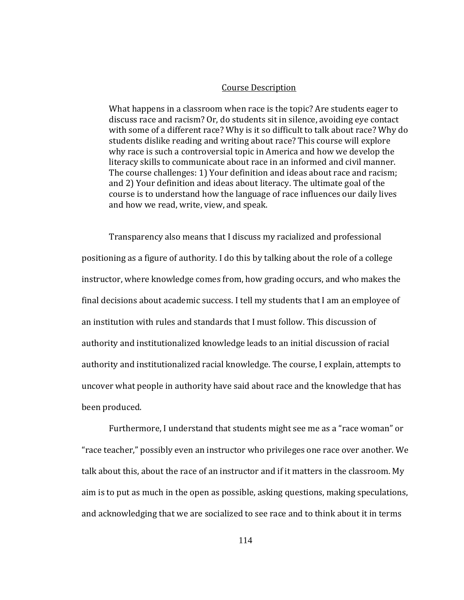#### Course Description

What happens in a classroom when race is the topic? Are students eager to discuss race and racism? Or, do students sit in silence, avoiding eye contact with some of a different race? Why is it so difficult to talk about race? Why do students dislike reading and writing about race? This course will explore why race is such a controversial topic in America and how we develop the literacy skills to communicate about race in an informed and civil manner. The course challenges: 1) Your definition and ideas about race and racism; and 2) Your definition and ideas about literacy. The ultimate goal of the ourse is to understand how the language of race influences our daily lives c and how we read, write, view, and speak.

Transparency also means that I discuss my racialized and professional positioning as a figure of authority. I do this by talking about the role of a college instructor, where knowledge comes from, how grading occurs, and who makes the final decisions about academic success. I tell my students that I am an employee of an institution with rules and standards that I must follow. This discussion of authority and institutionalized knowledge leads to an initial discussion of racial authority and institutionalized racial knowledge. The course, I explain, attempts to uncover what people in authority have said about race and the knowledge that has been produced.

Furthermore, I understand that students might see me as a "race woman" or "race teacher," possibly even an instructor who privileges one race over another. We talk about this, about the race of an instructor and if it matters in the classroom. My aim is to put as much in the open as possible, asking questions, making speculations, and acknowledging that we are socialized to see race and to think about it in terms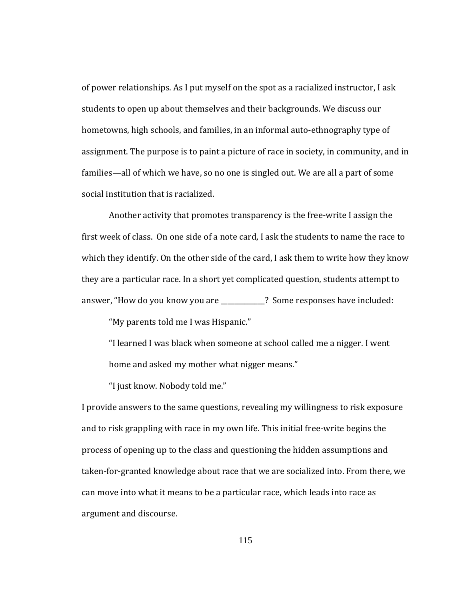of power relationships. As I put myself on the spot as a racialized instructor, I ask students to open up about themselves and their backgrounds. We discuss our hometowns, high schools, and families, in an informal auto-ethnography type of assignment. The purpose is to paint a picture of race in society, in community, and in families—all of which we have, so no one is singled out. We are all a part of some social institution that is racialized.

Another activity that promotes transparency is the free‐write I assign the first week of class. On one side of a note card, I ask the students to name the race to which they identify. On the other side of the card, I ask them to write how they know they are a particular race. In a short yet complicated question, students attempt to answer, "How do you know you are **2008** 2 Some responses have included:

"My parents told me I was Hispanic."

"I learned I was black when someone at school called me a nigger. I went home and asked my mother what nigger means."

"I just know. Nobody told me."

I provide answers to the same questions, revealing my willingness to risk exposure and to risk grappling with race in my own life. This initial free‐write begins the process of opening up to the class and questioning the hidden assumptions and taken‐for‐granted knowledge about race that we are socialized into. From there, we can move into what it means to be a particular race, which leads into race as argument and discourse.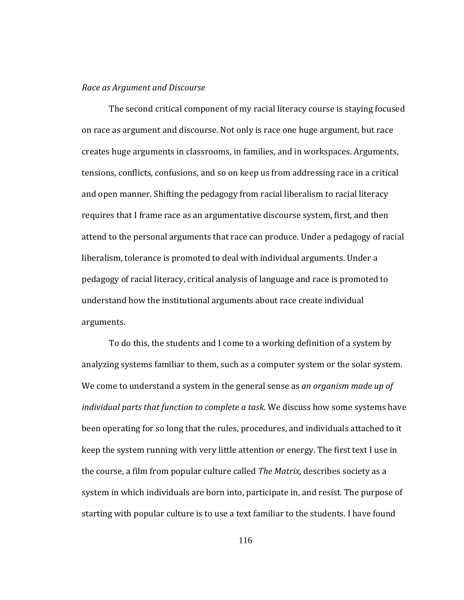#### *Race as Argument and Discourse*

arguments. The second critical component of my racial literacy course is staying focused on race as argument and discourse. Not only is race one huge argument, but race creates huge arguments in classrooms, in families, and in workspaces. Arguments, tensions, conflicts, confusions, and so on keep us from addressing race in a critical and open manner. Shifting the pedagogy from racial liberalism to racial literacy requires that I frame race as an argumentative discourse system, first, and then attend to the personal arguments that race can produce. Under a pedagogy of racial liberalism, tolerance is promoted to deal with individual arguments. Under a pedagogy of racial literacy, critical analysis of language and race is promoted to understand how the institutional arguments about race create individual

To do this, the students and I come to a working definition of a system by analyzing systems familiar to them, such as a computer system or the solar system. We come to understand a system in the general sense as *an organism made up of individual parts that function to complete a task*. We discuss how some systems have been operating for so long that the rules, procedures, and individuals attached to it keep the system running with very little attention or energy. The first text I use in the course, a film from popular culture called *The Matrix*, describes society as a system in which individuals are born into, participate in, and resist. The purpose of starting with popular culture is to use a text familiar to the students. I have found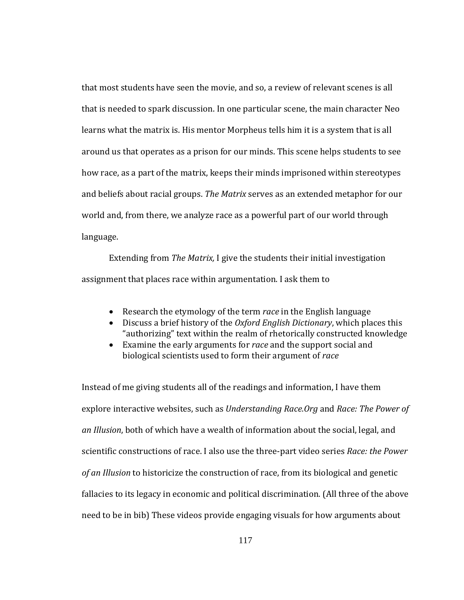that most students have seen the movie, and so, a review of relevant scenes is all that is needed to spark discussion. In one particular scene, the main character Neo learns what the matrix is. His mentor Morpheus tells him it is a system that is all around us that operates as a prison for our minds. This scene helps students to see how race, as a part of the matrix, keeps their minds imprisoned within stereotypes and beliefs about racial groups. *The Matrix* serves as an extended metaphor for our world and, from there, we analyze race as a powerful part of our world through language.

Extending from *The Matrix,* I give the students their initial investigation assignment that places race within argumentation. I ask them to

- Research the etymology of the term *race* in the English language
- Discuss a brief history of the *Oxford English Dictionary*, which places this "authorizing" text within the realm of rhetorically constructed knowledge
- Examine the early arguments for *race* and the support social and biological scientists used to form their argument of *race*

Instead of me giving students all of the readings and information, I have them explore interactive websites, such as *Understanding Race.Org* and *Race: The Power of an Illusion*, both of which have a wealth of information about the social, legal, and scientific constructions of race. I also use the three‐part video series *Race: the Power of an Illusion* to historicize the construction of race, from its biological and genetic fallacies to its legacy in economic and political discrimination. (All three of the above need to be in bib) These videos provide engaging visuals for how arguments about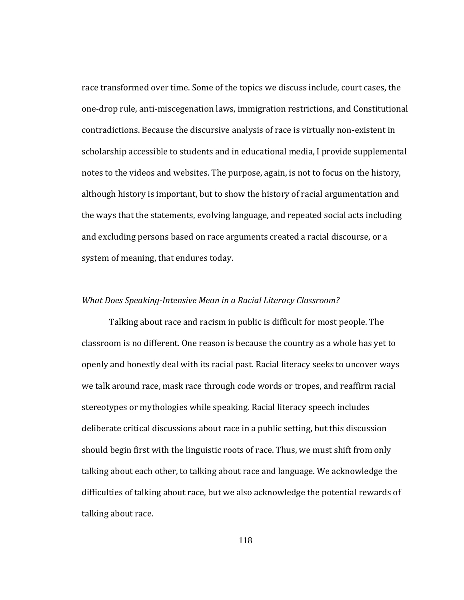race transformed over time. Some of the topics we discuss include, court cases, the one‐drop rule, anti‐miscegenation laws, immigration restrictions, and Constitutional contradictions. Because the discursive analysis of race is virtually non‐existent in scholarship accessible to students and in educational media, I provide supplemental notes to the videos and websites. The purpose, again, is not to focus on the history, although history is important, but to show the history of racial argumentation and the ways that the statements, evolving language, and repeated social acts including and excluding persons based on race arguments created a racial discourse, or a system of meaning, that endures today.

#### *What Does Speaking-Intensive Mean in a Racial Literacy Classroom?*

Talking about race and racism in public is difficult for most people. The classroom is no different. One reason is because the country as a whole has yet to openly and honestly deal with its racial past. Racial literacy seeks to uncover ways we talk around race, mask race through code words or tropes, and reaffirm racial stereotypes or mythologies while speaking. Racial literacy speech includes deliberate critical discussions about race in a public setting, but this discussion should begin first with the linguistic roots of race. Thus, we must shift from only talking about each other, to talking about race and language. We acknowledge the difficulties of talking about race, but we also acknowledge the potential rewards of talking about race.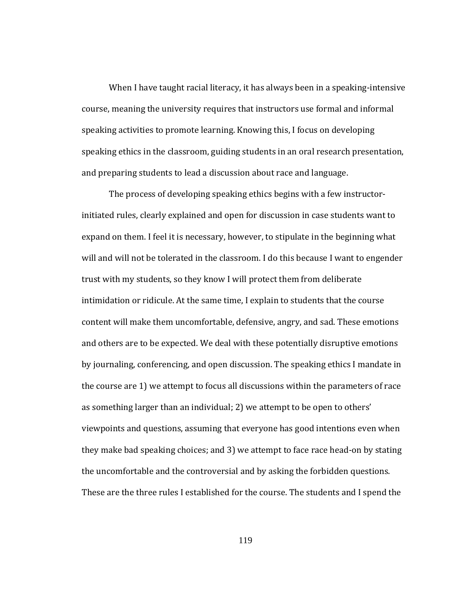When I have taught racial literacy, it has always been in a speaking-intensive course, meaning the university requires that instructors use formal and informal speaking activities to promote learning. Knowing this, I focus on developing speaking ethics in the classroom, guiding students in an oral research presentation, and preparing students to lead a discussion about race and language.

The process of developing speaking ethics begins with a few instructor‐ initiated rules, clearly explained and open for discussion in case students want to expand on them. I feel it is necessary, however, to stipulate in the beginning what will and will not be tolerated in the classroom. I do this because I want to engender trust with my students, so they know I will protect them from deliberate intimidation or ridicule. At the same time, I explain to students that the course content will make them uncomfortable, defensive, angry, and sad. These emotions and others are to be expected. We deal with these potentially disruptive emotions by journaling, conferencing, and open discussion. The speaking ethics I mandate in the course are 1) we attempt to focus all discussions within the parameters of race as something larger than an individual; 2) we attempt to be open to others' viewpoints and questions, assuming that everyone has good intentions even when they make bad speaking choices; and 3) we attempt to face race head‐on by stating the uncomfortable and the controversial and by asking the forbidden questions. These are the three rules I established for the course. The students and I spend the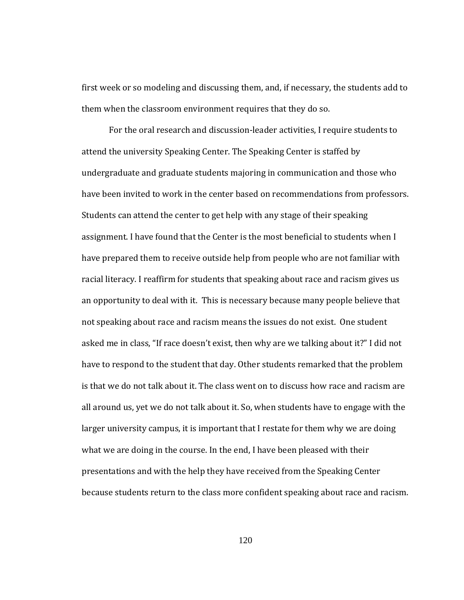first week or so modeling and discussing them, and, if necessary, the students add to them when the classroom environment requires that they do so.

For the oral research and discussion‐leader activities, I require students to attend the university Speaking Center. The Speaking Center is staffed by undergraduate and graduate students majoring in communication and those who have been invited to work in the center based on recommendations from professors. Students can attend the center to get help with any stage of their speaking assignment. I have found that the Center is the most beneficial to students when I have prepared them to receive outside help from people who are not familiar with racial literacy. I reaffirm for students that speaking about race and racism gives us an opportunity to deal with it. This is necessary because many people believe that not speaking about race and racism means the issues do not exist. One student asked me in class, "If race doesn't exist, then why are we talking about it?" I did not have to respond to the student that day. Other students remarked that the problem is that we do not talk about it. The class went on to discuss how race and racism are all around us, yet we do not talk about it. So, when students have to engage with the larger university campus, it is important that I restate for them why we are doing what we are doing in the course. In the end, I have been pleased with their presentations and with the help they have received from the Speaking Center because students return to the class more confident speaking about race and racism.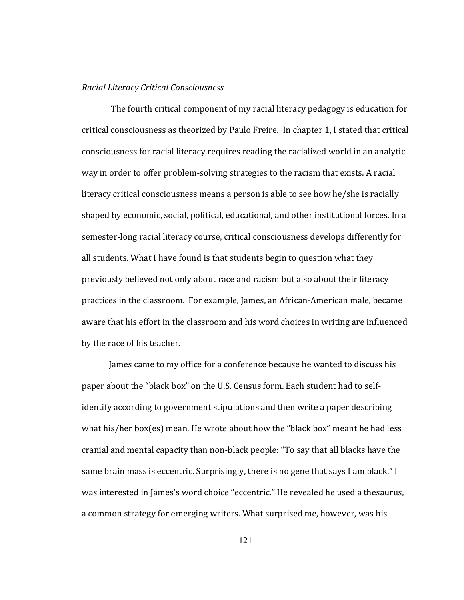#### *Racial Literacy Critical Consciousness*

by the race of his teacher. The fourth critical component of my racial literacy pedagogy is education for critical consciousness as theorized by Paulo Freire. In chapter 1, I stated that critical consciousness for racial literacy requires reading the racialized world in an analytic way in order to offer problem‐solving strategies to the racism that exists. A racial literacy critical consciousness means a person is able to see how he/she is racially shaped by economic, social, political, educational, and other institutional forces. In a semester-long racial literacy course, critical consciousness develops differently for all students. What I have found is that students begin to question what they previously believed not only about race and racism but also about their literacy practices in the classroom. For example, James, an African‐American male, became aware that his effort in the classroom and his word choices in writing are influenced

James came to my office for a conference because he wanted to discuss his paper about the "black box" on the U.S. Census form. Each student had to self‐ identify according to government stipulations and then write a paper describing what his/her box(es) mean. He wrote about how the "black box" meant he had less cranial and mental capacity than non‐black people: "To say that all blacks have the same brain mass is eccentric. Surprisingly, there is no gene that says I am black." I was interested in James's word choice "eccentric." He revealed he used a thesaurus, a common strategy for emerging writers. What surprised me, however, was his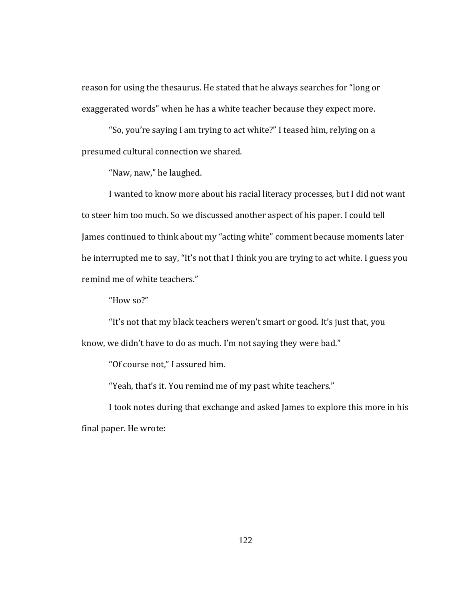reason for using the thesaurus. He stated that he always searches for "long or exaggerated words" when he has a white teacher because they expect more.

"So, you're saying I am trying to act white?" I teased him, relying on a presumed cultural connection we shared.

"Naw, naw," he laughed.

I wanted to know more about his racial literacy processes, but I did not want to steer him too much. So we discussed another aspect of his paper. I could tell James continued to think about my "acting white" comment because moments later he interrupted me to say, "It's not that I think you are trying to act white. I guess you remind me of white teachers."

"How so?"

"It's not that my black teachers weren't smart or good. It's just that, you know, we didn't have to do as much. I'm not saying they were bad."

"Of course not," I assured him.

"Yeah, that's it. You remind me of my past white teachers."

I took notes during that exchange and asked James to explore this more in his final paper. He wrote: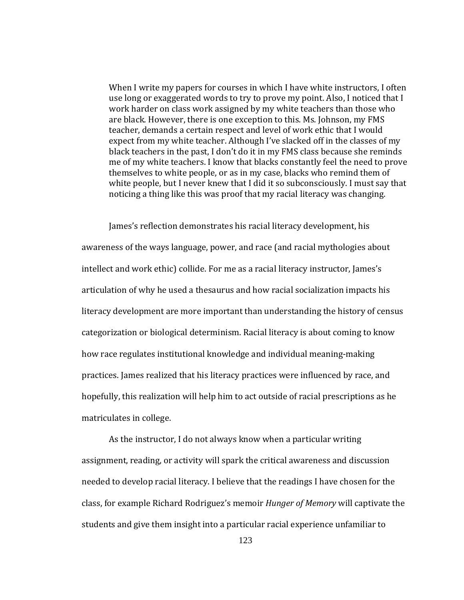When I write my papers for courses in which I have white instructors, I often use long or exaggerated words to try to prove my point. Also, I noticed that I work harder on class work assigned by my white teachers than those who are black. However, there is one exception to this. Ms. Johnson, my FMS teacher, demands a certain respect and level of work ethic that I would expect from my white teacher. Although I've slacked off in the classes of my black teachers in the past, I don't do it in my FMS class because she reminds me of my white teachers. I know that blacks constantly feel the need to prove themselves to white people, or as in my case, blacks who remind them of white people, but I never knew that I did it so subconsciously. I must say that noticing a thing like this was proof that my racial literacy was changing.

matriculates in college. James's reflection demonstrates his racial literacy development, his awareness of the ways language, power, and race (and racial mythologies about intellect and work ethic) collide. For me as a racial literacy instructor, James's articulation of why he used a thesaurus and how racial socialization impacts his literacy development are more important than understanding the history of census categorization or biological determinism. Racial literacy is about coming to know how race regulates institutional knowledge and individual meaning‐making practices. James realized that his literacy practices were influenced by race, and hopefully, this realization will help him to act outside of racial prescriptions as he

 As the instructor, I do not always know when a particular writing assignment, reading, or activity will spark the critical awareness and discussion needed to develop racial literacy. I believe that the readings I have chosen for the class, for example Richard Rodriguez's memoir *Hunger of Memory* will captivate the students and give them insight into a particular racial experience unfamiliar to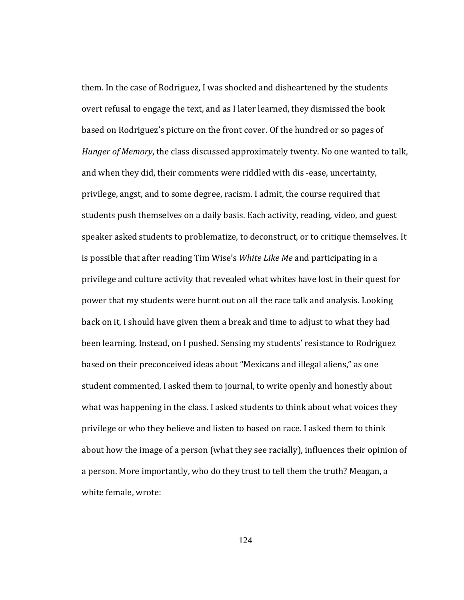w hite female, wrote: them. In the case of Rodriguez, I was shocked and disheartened by the students overt refusal to engage the text, and as I later learned, they dismissed the book based on Rodriguez's picture on the front cover. Of the hundred or so pages of *Hunger of Memory*, the class discussed approximately twenty. No one wanted to talk, and when they did, their comments were riddled with dis ‐ease, uncertainty, privilege, angst, and to some degree, racism. I admit, the course required that students push themselves on a daily basis. Each activity, reading, video, and guest speaker asked students to problematize, to deconstruct, or to critique themselves. It is possible that after reading Tim Wise's *White Like Me* and participating in a privilege and culture activity that revealed what whites have lost in their quest for power that my students were burnt out on all the race talk and analysis. Looking back on it, I should have given them a break and time to adjust to what they had been learning. Instead, on I pushed. Sensing my students' resistance to Rodriguez based on their preconceived ideas about "Mexicans and illegal aliens," as one student commented, I asked them to journal, to write openly and honestly about what was happening in the class. I asked students to think about what voices they privilege or who they believe and listen to based on race. I asked them to think about how the image of a person (what they see racially), influences their opinion of a person. More importantly, who do they trust to tell them the truth? Meagan, a

124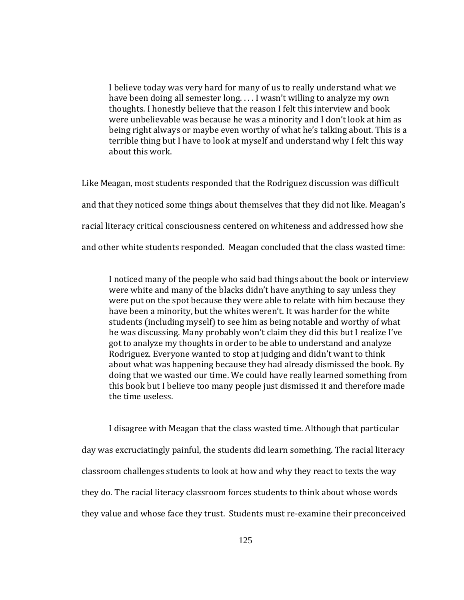I believe today was very hard for many of us to really understand what we have been doing all semester long. . . . I wasn't willing to analyze my own thoughts. I honestly believe that the reason I felt this interview and book were unbelievable was because he was a minority and I don't look at him as being right always or maybe even worthy of what he's talking about. This is a terrible thing but I have to look at myself and understand why I felt this way about this work.

Like Meagan, most students responded that the Rodriguez discussion was difficult and that they noticed some things about themselves that they did not like. Meagan's racial literacy critical consciousness centered on whiteness and addressed how she and other white students responded. Meagan concluded that the class wasted time:

I noticed many of the people who said bad things about the book or interview were white and many of the blacks didn't have anything to say unless they were put on the spot because they were able to relate with him because they have been a minority, but the whites weren't. It was harder for the white students (including myself) to see him as being notable and worthy of what he was discussing. Many probably won't claim they did this but I realize I've got to analyze my thoughts in order to be able to understand and analyze Rodriguez. Everyone wanted to stop at judging and didn't want to think about what was happening because they had already dismissed the book. By doing that we wasted our time. We could have really learned something from his book but I believe too many people just dismissed it and therefore made t the time useless.

I disagree with Meagan that the class wasted time. Although that particular day was excruciatingly painful, the students did learn something. The racial literacy classroom challenges students to look at how and why they react to texts the way they do. The racial literacy classroom forces students to think about whose words they value and whose face they trust. Students must re‐examine their preconceived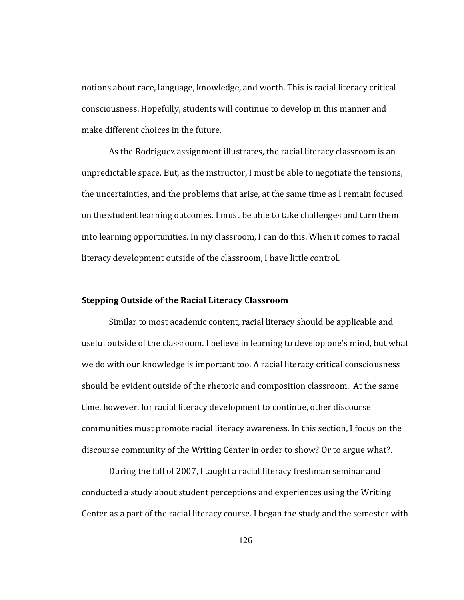notions about race, language, knowledge, and worth. This is racial literacy critical consciousness. Hopefully, students will continue to develop in this manner and make different choices in the future.

 As the Rodriguez assignment illustrates, the racial literacy classroom is an unpredictable space. But, as the instructor, I must be able to negotiate the tensions, the uncertainties, and the problems that arise, at the same time as I remain focused on the student learning outcomes. I must be able to take challenges and turn them into learning opportunities. In my classroom, I can do this. When it comes to racial literacy development outside of the classroom, I have little control.

#### **Stepping Outside of the Racial Literacy Classroom**

discourse community of the Writing Center in order to show? Or to argue what?. Similar to most academic content, racial literacy should be applicable and useful outside of the classroom. I believe in learning to develop one's mind, but what we do with our knowledge is important too. A racial literacy critical consciousness should be evident outside of the rhetoric and composition classroom. At the same time, however, for racial literacy development to continue, other discourse communities must promote racial literacy awareness. In this section, I focus on the

During the fall of 2007, I taught a racial literacy freshman seminar and conducted a study about student perceptions and experiences using the Writing Center as a part of the racial literacy course. I began the study and the semester with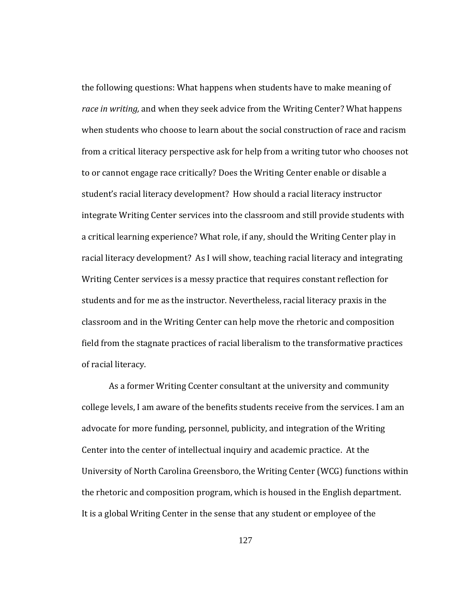of racial literacy. the following questions: What happens when students have to make meaning of *race in writing,* and when they seek advice from the Writing Center? What happens when students who choose to learn about the social construction of race and racism from a critical literacy perspective ask for help from a writing tutor who chooses not to or cannot engage race critically? Does the Writing Center enable or disable a student's racial literacy development? How should a racial literacy instructor integrate Writing Center services into the classroom and still provide students with a critical learning experience? What role, if any, should the Writing Center play in racial literacy development? As I will show, teaching racial literacy and integrating Writing Center services is a messy practice that requires constant reflection for students and for me as the instructor. Nevertheless, racial literacy praxis in the classroom and in the Writing Center can help move the rhetoric and composition field from the stagnate practices of racial liberalism to the transformative practices

As a former Writing Ccenter consultant at the university and community college levels, I am aware of the benefits students receive from the services. I am an advocate for more funding, personnel, publicity, and integration of the Writing Center into the center of intellectual inquiry and academic practice. At the University of North Carolina Greensboro, the Writing Center (WCG) functions within the rhetoric and composition program, which is housed in the English department. It is a global Writing Center in the sense that any student or employee of the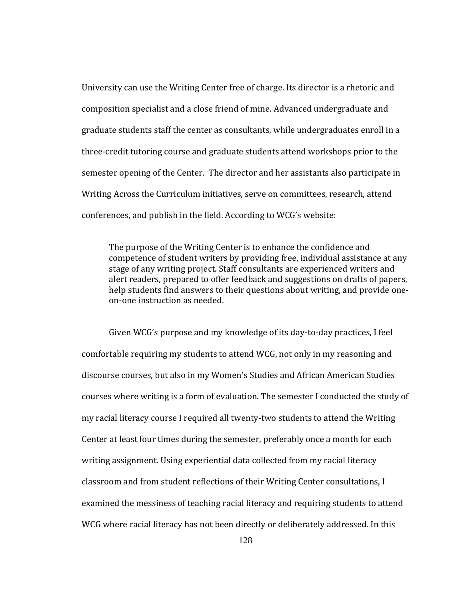University can use the Writing Center free of charge. Its director is a rhetoric and composition specialist and a close friend of mine. Advanced undergraduate and graduate students staff the center as consultants, while undergraduates enroll in a three‐credit tutoring course and graduate students attend workshops prior to the semester opening of the Center. The director and her assistants also participate in Writing Across the Curriculum initiatives, serve on committees, research, attend conferences, and publish in the field. According to WCG's website:

The purpose of the Writing Center is to enhance the confidence and competence of student writers by providing free, individual assistance at any stage of any writing project. Staff consultants are experienced writers and alert readers, prepared to offer feedback and suggestions on drafts of papers, help students find answers to their questions about writing, and provide one‐ on‐one instruction as needed.

Given WCG's purpose and my knowledge of its day‐to‐day practices, I feel comfortable requiring my students to attend WCG, not only in my reasoning and discourse courses, but also in my Women's Studies and African American Studies courses where writing is a form of evaluation. The semester I conducted the study of my racial literacy course I required all twenty‐two students to attend the Writing Center at least four times during the semester, preferably once a month for each writing assignment. Using experiential data collected from my racial literacy classroom and from student reflections of their Writing Center consultations, I examined the messiness of teaching racial literacy and requiring students to attend WCG where racial literacy has not been directly or deliberately addressed. In this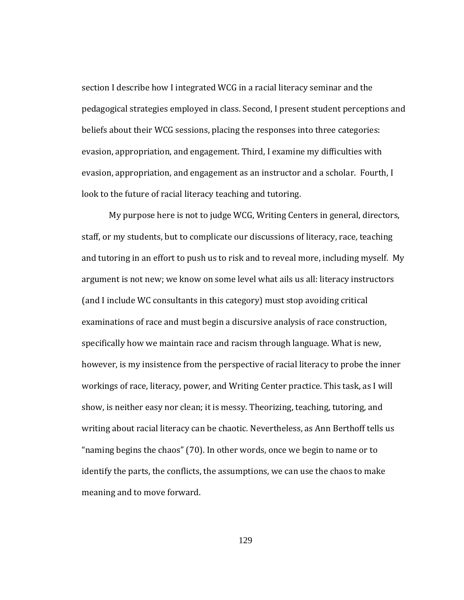section I describe how I integrated WCG in a racial literacy seminar and the pedagogical strategies employed in class. Second, I present student perceptions and beliefs about their WCG sessions, placing the responses into three categories: evasion, appropriation, and engagement. Third, I examine my difficulties with evasion, appropriation, and engagement as an instructor and a scholar. Fourth, I look to the future of racial literacy teaching and tutoring.

My purpose here is not to judge WCG, Writing Centers in general, directors, staff, or my students, but to complicate our discussions of literacy, race, teaching and tutoring in an effort to push us to risk and to reveal more, including myself. My argument is not new; we know on some level what ails us all: literacy instructors (and I include WC consultants in this category) must stop avoiding critical examinations of race and must begin a discursive analysis of race construction, specifically how we maintain race and racism through language. What is new, however, is my insistence from the perspective of racial literacy to probe the inner workings of race, literacy, power, and Writing Center practice. This task, as I will show, is neither easy nor clean; it is messy. Theorizing, teaching, tutoring, and writing about racial literacy can be chaotic. Nevertheless, as Ann Berthoff tells us "naming begins the chaos" (70). In other words, once we begin to name or to identify the parts, the conflicts, the assumptions, we can use the chaos to make meaning and to move forward.

129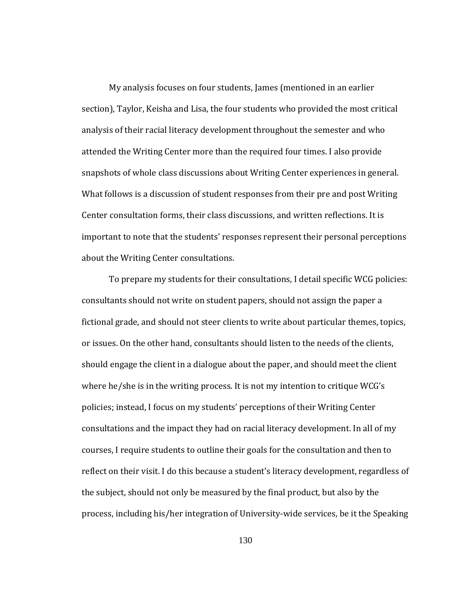My analysis focuses on four students, James (mentioned in an earlier section), Taylor, Keisha and Lisa, the four students who provided the most critical analysis of their racial literacy development throughout the semester and who attended the Writing Center more than the required four times. I also provide snapshots of whole class discussions about Writing Center experiences in general. What follows is a discussion of student responses from their pre and post Writing Center consultation forms, their class discussions, and written reflections. It is important to note that the students' responses represent their personal perceptions about the Writing Center consultations.

To prepare my students for their consultations, I detail specific WCG policies: consultants should not write on student papers, should not assign the paper a fictional grade, and should not steer clients to write about particular themes, topics, or issues. On the other hand, consultants should listen to the needs of the clients, should engage the client in a dialogue about the paper, and should meet the client where he/she is in the writing process. It is not my intention to critique WCG's policies; instead, I focus on my students' perceptions of their Writing Center consultations and the impact they had on racial literacy development. In all of my courses, I require students to outline their goals for the consultation and then to reflect on their visit. I do this because a student's literacy development, regardless of the subject, should not only be measured by the final product, but also by the process, including his/her integration of University‐wide services, be it the Speaking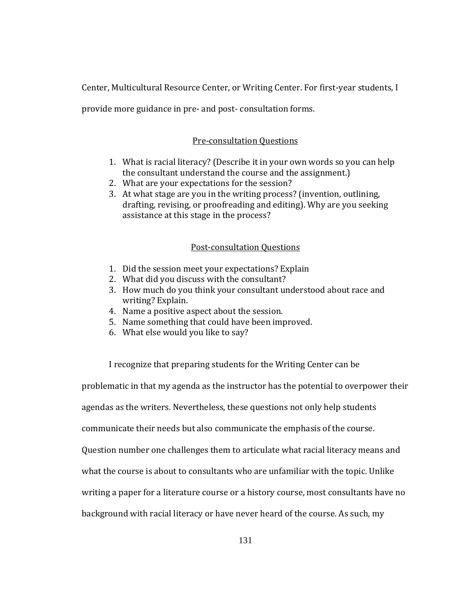Center, Multicultural Resource Center, or Writing Center. For first‐year students, I

provide more guidance in pre‐ and post‐ consultation forms.

# Pre‐consultation Questions

- 1. What is racial literacy? (Describe it in your own words so you can help the consultant understand the course and the assignment.)
- 2. What are your expectations for the session?
- 3. At what stage are you in the writing process? (invention, outlining, drafting, revising, or proofreading and editing). Why are you seeking assistance at this stage in the process?

# Post-consultation Questions

- 1. Did the session meet your expectations? Explain
- 2. What did you discuss with the consultant?
- 3. How much do you think your consultant understood about race and writing? Explain.
- 4. Name a positive aspect about the s ession.
- 5. Name something that could have b een improved.
- 6. What else would you like to say?

I recognize that preparing students for the Writing Center can be

problematic in that my agenda as the instructor has the potential to overpower their

agendas as the writers. Nevertheless, these questions not only help students

communicate their needs but also communicate the emphasis of the course.

Question number one challenges them to articulate what racial literacy means and

what the course is about to consultants who are unfamiliar with the topic. Unlike

writing a paper for a literature course or a history course, most consultants have no

background with racial literacy or have never heard of the course. As such, my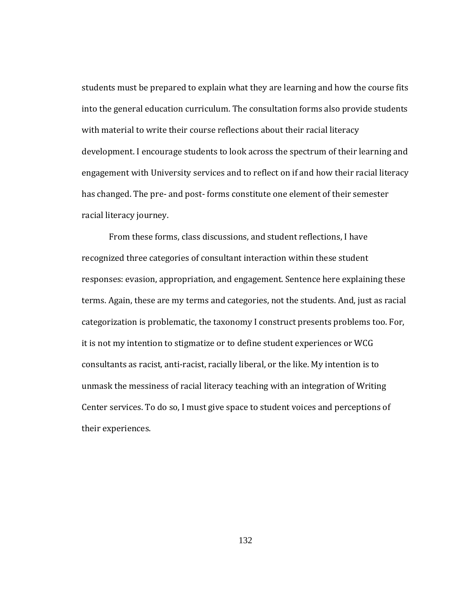students must be prepared to explain what they are learning and how the course fits into the general education curriculum. The consultation forms also provide students with material to write their course reflections about their racial literacy development. I encourage students to look across the spectrum of their learning and engagement with University services and to reflect on if and how their racial literacy has changed. The pre‐ and post‐ forms constitute one element of their semester racial literacy journey.

From these forms, class discussions, and student reflections, I have recognized three categories of consultant interaction within these student responses: evasion, appropriation, and engagement. Sentence here explaining these terms. Again, these are my terms and categories, not the students. And, just as racial categorization is problematic, the taxonomy I construct presents problems too. For, it is not my intention to stigmatize or to define student experiences or WCG consultants as racist, anti‐racist, racially liberal, or the like. My intention is to unmask the messiness of racial literacy teaching with an integration of Writing Center services. To do so, I must give space to student voices and perceptions of their experiences.

132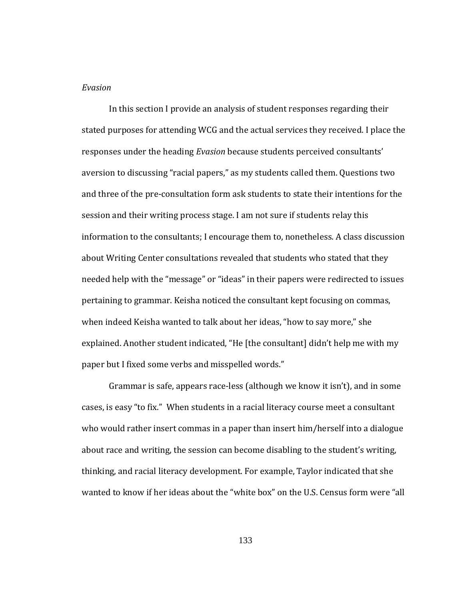## *Evasion*

In this section I provide an analysis of student responses regarding their stated purposes for attending WCG and the actual services they received. I place the responses under the heading *Evasion* because students perceived consultants' aversion to discussing "racial papers," as my students called them. Questions two and three of the pre‐consultation form ask students to state their intentions for the session and their writing process stage. I am not sure if students relay this information to the consultants; I encourage them to, nonetheless. A class discussion about Writing Center consultations revealed that students who stated that they needed help with the "message" or "ideas" in their papers were redirected to issues pertaining to grammar. Keisha noticed the consultant kept focusing on commas, when indeed Keisha wanted to talk about her ideas, "how to say more," she explained. Another student indicated, "He [the consultant] didn't help me with my paper but I fixed some verbs and misspelled words."

Grammar is safe, appears race‐less (although we know it isn't), and in some cases, is easy "to fix." When students in a racial literacy course meet a consultant who would rather insert commas in a paper than insert him/herself into a dialogue about race and writing, the session can become disabling to the student's writing, thinking, and racial literacy development. For example, Taylor indicated that she wanted to know if her ideas about the "white box" on the U.S. Census form were "all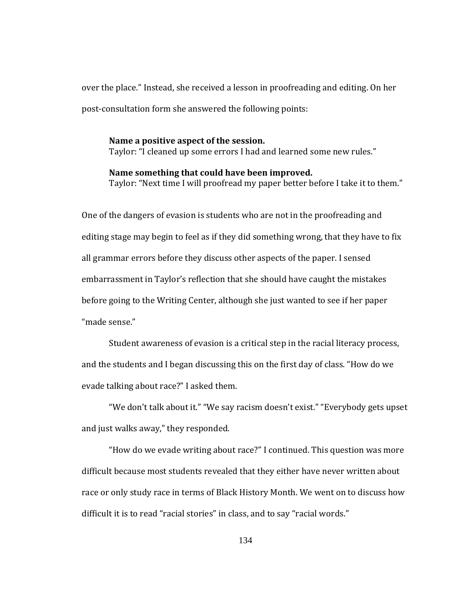over the place." Instead, she received a lesson in proofreading and editing. On her post‐consultation form she answered the following points:

**ame a positive aspect of the session. N** Taylor: "I cleaned up some errors I had and learned some new rules."

#### **ame something that could have been improved. N**

Taylor: "Next time I will proofread my paper better before I take it to them."

One of the dangers of evasion is students who are not in the proofreading and editing stage may begin to feel as if they did something wrong, that they have to fix all grammar errors before they discuss other aspects of the paper. I sensed embarrassment in Taylor's reflection that she should have caught the mistakes before going to the Writing Center, although she just wanted to see if her paper "made sense."

Student awareness of evasion is a critical step in the racial literacy process, and the students and I began discussing this on the first day of class. "How do we evade talking about race?" I asked them.

and just walks away," they responded. "We don't talk about it." "We say racism doesn't exist." "Everybody gets upset

"How do we evade writing about race?" I continued. This question was more difficult because most students revealed that they either have never written about race or only study race in terms of Black History Month. We went on to discuss how difficult it is to read "racial stories" in class, and to say "racial words."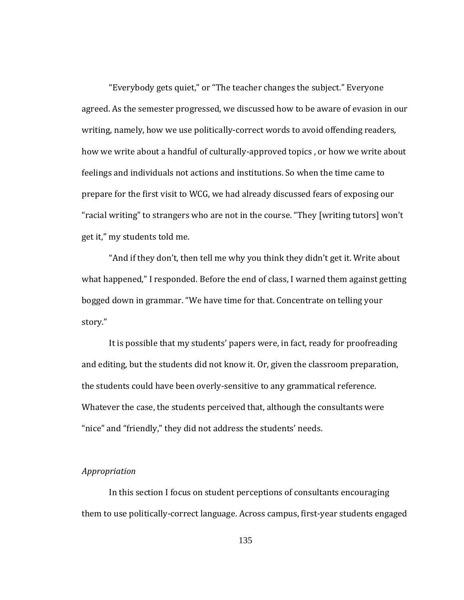"Everybody gets quiet," or "The teacher changes the subject." Everyone agreed. As the semester progressed, we discussed how to be aware of evasion in our writing, namely, how we use politically‐correct words to avoid offending readers, how we write about a handful of culturally-approved topics, or how we write about feelings and individuals not actions and institutions. So when the time came to prepare for the first visit to WCG, we had already discussed fears of exposing our "racial writing" to strangers who are not in the course. "They [writing tutors] won't get it," my students told me.

"And if they don't, then tell me why you think they didn't get it. Write about what happened," I responded. Before the end of class, I warned them against getting bogged down in grammar. "We have time for that. Concentrate on telling your story."

It is possible that my students' papers were, in fact, ready for proofreading and editing, but the students did not know it. Or, given the classroom preparation, the students could have been overly‐sensitive to any grammatical reference. Whatever the case, the students perceived that, although the consultants were "nice" and "friendly," they did not address the students' needs.

#### Appropriation

In this section I focus on student perceptions of consultants encouraging them to use politically‐correct language. Across campus, first‐year students engaged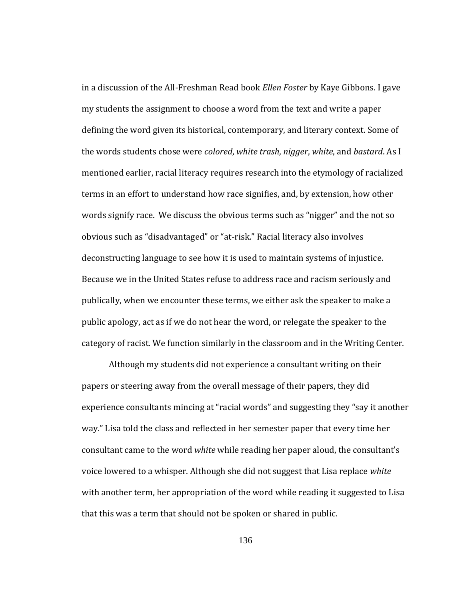category of racist. We function similarly in the classroom and in the Writing Center. in a discussion of the All‐Freshman Read book *Ellen Foster* by Kaye Gibbons. I gave my students the assignment to choose a word from the text and write a paper defining the word given its historical, contemporary, and literary context. Some of the words students chose were *colored*, *white trash*, *nigger*, *white*, and *bastard*. As I mentioned earlier, racial literacy requires research into the etymology of racialized terms in an effort to understand how race signifies, and, by extension, how other words signify race. We discuss the obvious terms such as "nigger" and the not so obvious such as "disadvantaged" or "at‐risk." Racial literacy also involves deconstructing language to see how it is used to maintain systems of injustice. Because we in the United States refuse to address race and racism seriously and publically, when we encounter these terms, we either ask the speaker to make a public apology, act as if we do not hear the word, or relegate the speaker to the

Although my students did not experience a consultant writing on their papers or steering away from the overall message of their papers, they did experience consultants mincing at "racial words" and suggesting they "say it another way." Lisa told the class and reflected in her semester paper that every time her consultant came to the word *white* while reading her paper aloud, the consultant's voice lowered to a whisper. Although she did not suggest that Lisa replace *white* with another term, her appropriation of the word while reading it suggested to Lisa that this was a term that should not be spoken or shared in public.

136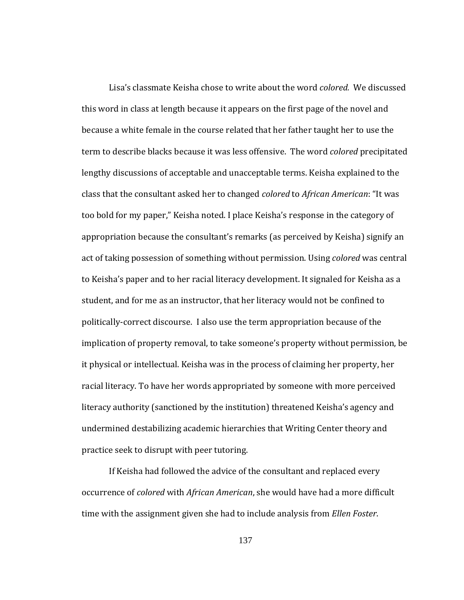practice seek to disrupt with peer tutoring. Lisa's classmate Keisha chose to write about the word *colored.* We discussed this word in class at length because it appears on the first page of the novel and because a white female in the course related that her father taught her to use the term to describe blacks because it was less offensive. The word *colored* precipitated lengthy discussions of acceptable and unacceptable terms. Keisha explained to the class that the consultant asked her to changed *colored* to *African American*: "It was too bold for my paper," Keisha noted. I place Keisha's response in the category of appropriation because the consultant's remarks (as perceived by Keisha) signify an act of taking possession of something without permission. Using *colored* was central to Keisha's paper and to her racial literacy development. It signaled for Keisha as a student, and for me as an instructor, that her literacy would not be confined to politically‐correct discourse. I also use the term appropriation because of the implication of property removal, to take someone's property without permission, be it physical or intellectual. Keisha was in the process of claiming her property, her racial literacy. To have her words appropriated by someone with more perceived literacy authority (sanctioned by the institution) threatened Keisha's agency and undermined destabilizing academic hierarchies that Writing Center theory and

If Keisha had followed the advice of the consultant and replaced every occurrence of *colored* with *African American*, she would have had a more difficult time with the assignment given she had to include analysis from *Ellen Foster*.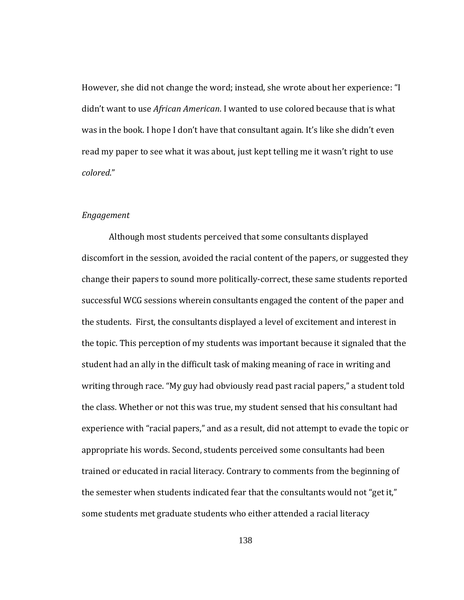However, she did not change the word; instead, she wrote about her experience: "I didn't want to use *African American*. I wanted to use colored because that is what was in the book. I hope I don't have that consultant again. It's like she didn't even read my paper to see what it was about, just kept telling me it wasn't right to use *colored*."

### *Engagement*

Although most students perceived that some consultants displayed discomfort in the session, avoided the racial content of the papers, or suggested they change their papers to sound more politically‐correct, these same students reported successful WCG sessions wherein consultants engaged the content of the paper and the students. First, the consultants displayed a level of excitement and interest in the topic. This perception of my students was important because it signaled that the student had an ally in the difficult task of making meaning of race in writing and writing through race. "My guy had obviously read past racial papers," a student told the class. Whether or not this was true, my student sensed that his consultant had experience with "racial papers," and as a result, did not attempt to evade the topic or appropriate his words. Second, students perceived some consultants had been trained or educated in racial literacy. Contrary to comments from the beginning of the semester when students indicated fear that the consultants would not "get it," some students met graduate students who either attended a racial literacy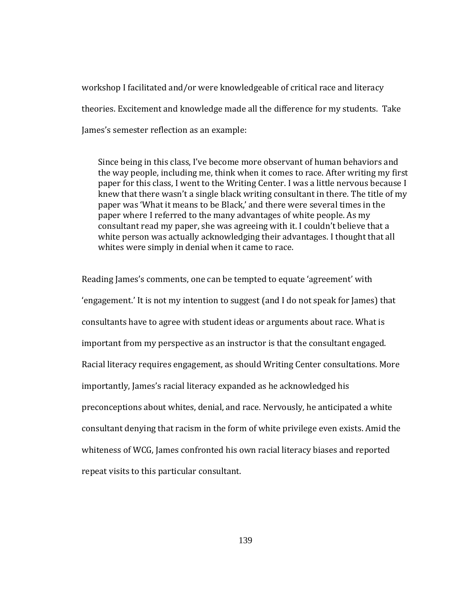workshop I facilitated and/or were knowledgeable of critical race and literacy theories. Excitement and knowledge made all the difference for my students. Take James's semester reflection as an example:

Since being in this class, I've become more observant of human behaviors and the way people, including me, think when it comes to race. After writing my first paper for this class, I went to the Writing Center. I was a little nervous because I knew that there wasn't a single black writing consultant in there. The title of my paper was 'What it means to be Black,' and there were several times in the paper where I referred to the many advantages of white people. As my consultant read my paper, she was agreeing with it. I couldn't believe that a white person was actually acknowledging their advantages. I thought that all whites were simply in denial when it came to race.

Reading James's comments, one can be tempted to equate 'agreement' with 'engagement.' It is not my intention to suggest (and I do not speak for James) that consultants have to agree with student ideas or arguments about race. What is important from my perspective as an instructor is that the consultant engaged. Racial literacy requires engagement, as should Writing Center consultations. More importantly, James's racial literacy expanded as he acknowledged his preconceptions about whites, denial, and race. Nervously, he anticipated a white consultant denying that racism in the form of white privilege even exists. Amid the whiteness of WCG, James confronted his own racial literacy biases and reported repeat visits to this particular consultant.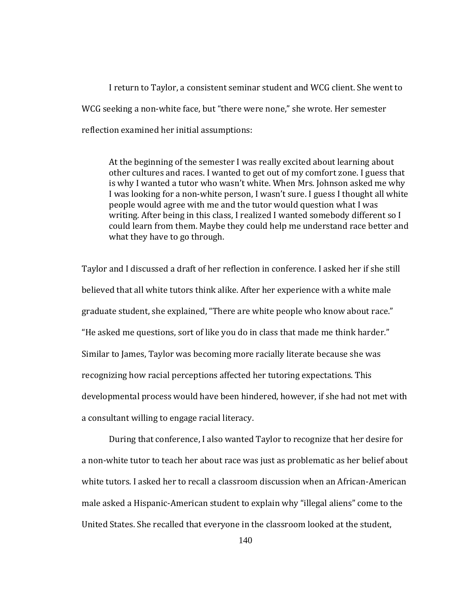I return to Taylor, a consistent seminar student and WCG client. She went to WCG seeking a non-white face, but "there were none," she wrote. Her semester reflection examined her initial assumptions:

At the beginning of the semester I was really excited about learning about other cultures and races. I wanted to get out of my comfort zone. I guess that is why I wanted a tutor who wasn't white. When Mrs. Johnson asked me why I was looking for a non-white person, I wasn't sure. I guess I thought all white people would agree with me and the tutor would question what I was writing. After being in this class, I realized I wanted somebody different so I could learn from them. Maybe they could help me understand race better and what they have to go through.

a consultant willing to engage racial literacy. Taylor and I discussed a draft of her reflection in conference. I asked her if she still believed that all white tutors think alike. After her experience with a white male graduate student, she explained, "There are white people who know about race." "He asked me questions, sort of like you do in class that made me think harder." Similar to James, Taylor was becoming more racially literate because she was recognizing how racial perceptions affected her tutoring expectations. This developmental process would have been hindered, however, if she had not met with

 During that conference, I also wanted Taylor to recognize that her desire for a non‐white tutor to teach her about race was just as problematic as her belief about white tutors. I asked her to recall a classroom discussion when an African‐American male asked a Hispanic‐American student to explain why "illegal aliens" come to the United States. She recalled that everyone in the classroom looked at the student,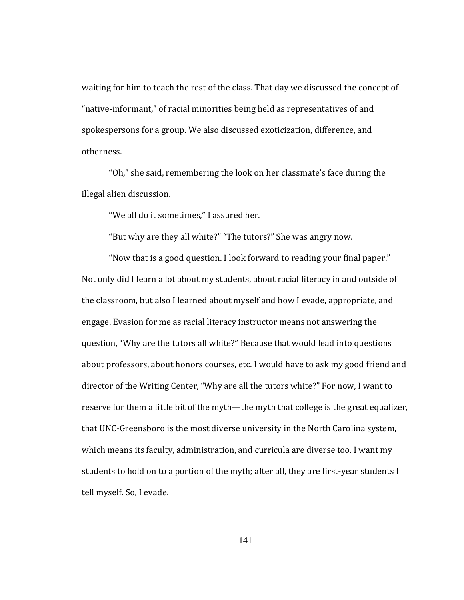waiting for him to teach the rest of the class. That day we discussed the concept of "native‐informant," of racial minorities being held as representatives of and spokespersons for a group. We also discussed exoticization, difference, and otherness.

 "Oh," she said, remembering the look on her classmate's face during the illegal alien discussion.

"We all do it sometimes," I assured her.

"But why are they all white?" "The tutors?" She was angry now.

 "Now that is a good question. I look forward to reading your final paper." Not only did I learn a lot about my students, about racial literacy in and outside of the classroom, but also I learned about myself and how I evade, appropriate, and engage. Evasion for me as racial literacy instructor means not answering the question, "Why are the tutors all white?" Because that would lead into questions about professors, about honors courses, etc. I would have to ask my good friend and director of the Writing Center, "Why are all the tutors white?" For now, I want to reserve for them a little bit of the myth—the myth that college is the great equalizer, that UNC‐Greensboro is the most diverse university in the North Carolina system, which means its faculty, administration, and curricula are diverse too. I want my students to hold on to a portion of the myth; after all, they are first-year students I tell myself. So, I evade.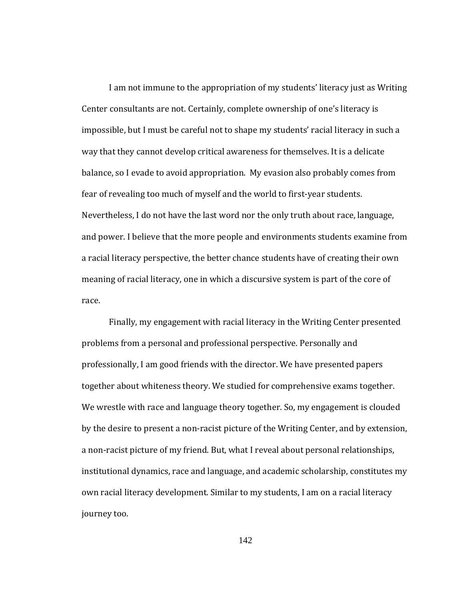I am not immune to the appropriation of my students' literacy just as Writing Center consultants are not. Certainly, complete ownership of one's literacy is impossible, but I must be careful not to shape my students' racial literacy in such a way that they cannot develop critical awareness for themselves. It is a delicate balance, so I evade to avoid appropriation. My evasion also probably comes from fear of revealing too much of myself and the world to first‐year students. Nevertheless, I do not have the last word nor the only truth about race, language, and power. I believe that the more people and environments students examine from a racial literacy perspective, the better chance students have of creating their own meaning of racial literacy, one in which a discursive system is part of the core of race.

Finally, my engagement with racial literacy in the Writing Center presented problems from a personal and professional perspective. Personally and professionally, I am good friends with the director. We have presented papers together about whiteness theory. We studied for comprehensive exams together. We wrestle with race and language theory together. So, my engagement is clouded by the desire to present a non‐racist picture of the Writing Center, and by extension, a non‐racist picture of my friend. But, what I reveal about personal relationships, institutional dynamics, race and language, and academic scholarship, constitutes my own racial literacy development. Similar to my students, I am on a racial literacy journey too.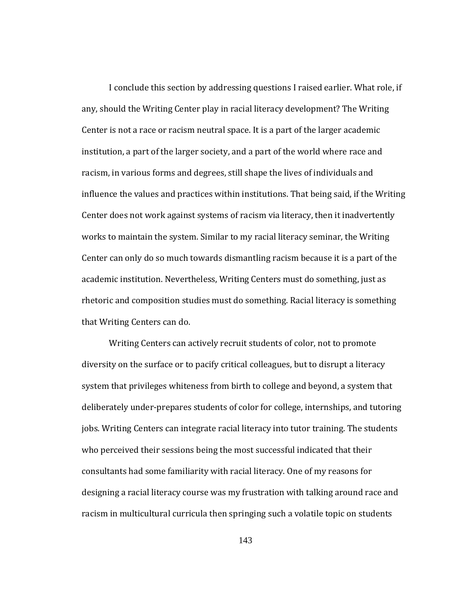that Writing Centers can do. I conclude this section by addressing questions I raised earlier. What role, if any, should the Writing Center play in racial literacy development? The Writing Center is not a race or racism neutral space. It is a part of the larger academic institution, a part of the larger society, and a part of the world where race and racism, in various forms and degrees, still shape the lives of individuals and influence the values and practices within institutions. That being said, if the Writing Center does not work against systems of racism via literacy, then it inadvertently works to maintain the system. Similar to my racial literacy seminar, the Writing Center can only do so much towards dismantling racism because it is a part of the academic institution. Nevertheless, Writing Centers must do something, just as rhetoric and composition studies must do something. Racial literacy is something

Writing Centers can actively recruit students of color, not to promote diversity on the surface or to pacify critical colleagues, but to disrupt a literacy system that privileges whiteness from birth to college and beyond, a system that deliberately under‐prepares students of color for college, internships, and tutoring jobs. Writing Centers can integrate racial literacy into tutor training. The students who perceived their sessions being the most successful indicated that their consultants had some familiarity with racial literacy. One of my reasons for designing a racial literacy course was my frustration with talking around race and racism in multicultural curricula then springing such a volatile topic on students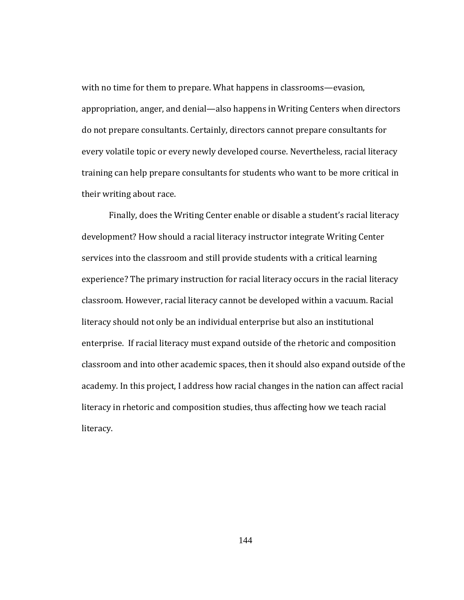with no time for them to prepare. What happens in classrooms—evasion, appropriation, anger, and denial—also happens in Writing Centers when directors do not prepare consultants. Certainly, directors cannot prepare consultants for every volatile topic or every newly developed course. Nevertheless, racial literacy training can help prepare consultants for students who want to be more critical in their writing about race.

Finally, does the Writing Center enable or disable a student's racial literacy development? How should a racial literacy instructor integrate Writing Center services into the classroom and still provide students with a critical learning experience? The primary instruction for racial literacy occurs in the racial literacy classroom. However, racial literacy cannot be developed within a vacuum. Racial literacy should not only be an individual enterprise but also an institutional enterprise. If racial literacy must expand outside of the rhetoric and composition classroom and into other academic spaces, then it should also expand outside of the academy. In this project, I address how racial changes in the nation can affect racial literacy in rhetoric and composition studies, thus affecting how we teach racial literacy.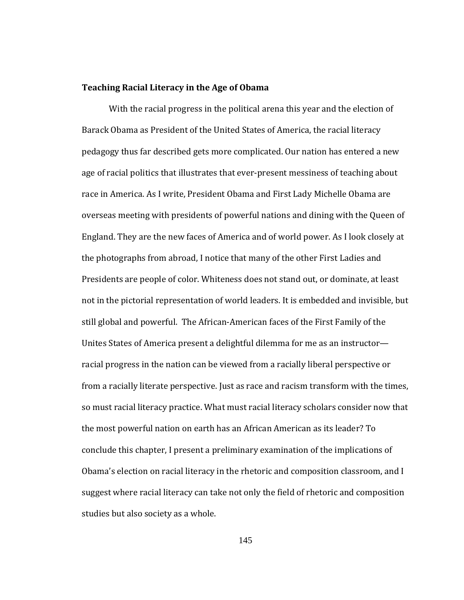### **ng Racial Literacy in the Age of Obama Teachi**

With the racial progress in the political arena this year and the election of Barack Obama as President of the United States of America, the racial literacy pedagogy thus far described gets more complicated. Our nation has entered a new age of racial politics that illustrates that ever‐present messiness of teaching about race in America. As I write, President Obama and First Lady Michelle Obama are overseas meeting with presidents of powerful nations and dining with the Queen of England. They are the new faces of America and of world power. As I look closely at the photographs from abroad, I notice that many of the other First Ladies and Presidents are people of color. Whiteness does not stand out, or dominate, at least not in the pictorial representation of world leaders. It is embedded and invisible, but still global and powerful. The African‐American faces of the First Family of the Unites States of America present a delightful dilemma for me as an instructor racial progress in the nation can be viewed from a racially liberal perspective or from a racially literate perspective. Just as race and racism transform with the times, so must racial literacy practice. What must racial literacy scholars consider now that the most powerful nation on earth has an African American as its leader? To conclude this chapter, I present a preliminary examination of the implications of Obama's election on racial literacy in the rhetoric and composition classroom, and I suggest where racial literacy can take not only the field of rhetoric and composition studies but also society as a whole.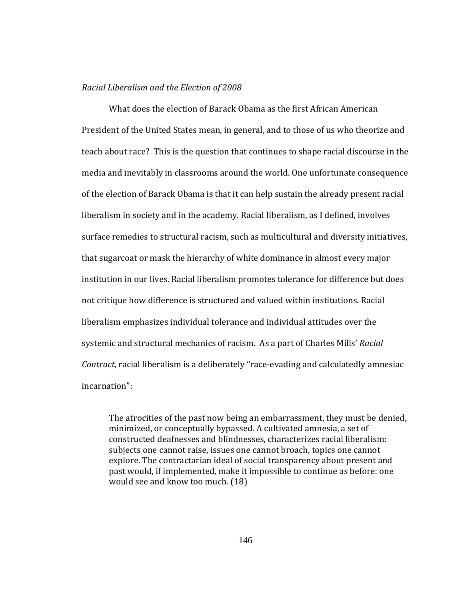### *Racial Liberalism and the Election of 2008*

What does the election of Barack Obama as the first African American President of the United States mean, in general, and to those of us who theorize and teach about race?This is the question that continues to shape racial discourse in the media and inevitably in classrooms around the world. One unfortunate consequence of the election of Barack Obama is that it can help sustain the already present racial liberalism in society and in the academy. Racial liberalism, as I defined, involves surface remedies to structural racism, such as multicultural and diversity initiatives, that sugarcoat or mask the hierarchy of white dominance in almost every major institution in our lives. Racial liberalism promotes tolerance for difference but does not critique how difference is structured and valued within institutions. Racial liberalism emphasizes individual tolerance and individual attitudes over the systemic and structural mechanics of racism. As a part of Charles Mills' *Racial Contract,* racial liberalism is a deliberately "race‐evading and calculatedly amnesiac incarnation":

The atrocities of the past now being an embarrassment, they must be denied, minimized, or conceptually bypassed. A cultivated amnesia, a set of constructed deafnesses and blindnesses, characterizes racial liberalism: subjects one cannot raise, issues one cannot broach, topics one cannot explore. The contractarian ideal of social transparency about present and past would, if implemented, make it impossible to continue as before: one would see and know too much. (18)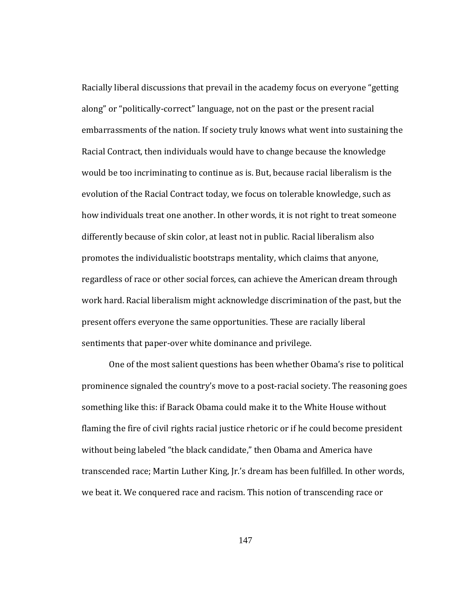Racially liberal discussions that prevail in the academy focus on everyone "getting along" or "politically‐correct" language, not on the past or the present racial embarrassments of the nation. If society truly knows what went into sustaining the Racial Contract, then individuals would have to change because the knowledge would be too incriminating to continue as is. But, because racial liberalism is the evolution of the Racial Contract today, we focus on tolerable knowledge, such as how individuals treat one another. In other words, it is not right to treat someone differently because of skin color, at least not in public. Racial liberalism also promotes the individualistic bootstraps mentality, which claims that anyone, regardless of race or other social forces, can achieve the American dream through work hard. Racial liberalism might acknowledge discrimination of the past, but the present offers everyone the same opportunities. These are racially liberal sentiments that paper-over white dominance and privilege.

 One of the most salient questions has been whether Obama's rise to political prominence signaled the country's move to a post‐racial society. The reasoning goes something like this: if Barack Obama could make it to the White House without flaming the fire of civil rights racial justice rhetoric or if he could become president without being labeled "the black candidate," then Obama and America have transcended race; Martin Luther King, Jr.'s dream has been fulfilled. In other words, we beat it. We conquered race and racism. This notion of transcending race or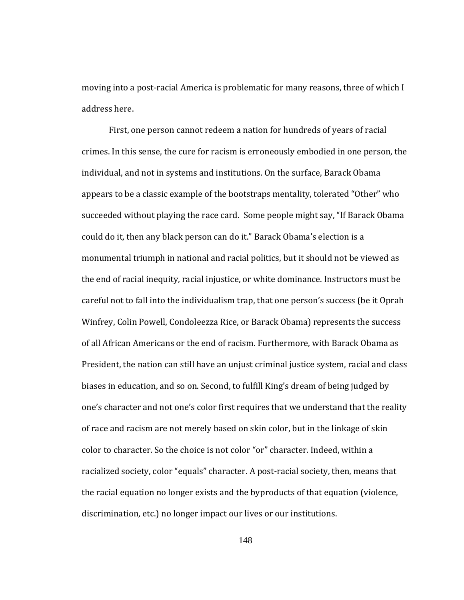address here. moving into a post-racial America is problematic for many reasons, three of which I

First, one person cannot redeem a nation for hundreds of years of racial crimes. In this sense, the cure for racism is erroneously embodied in one person, the individual, and not in systems and institutions. On the surface, Barack Obama appears to be a classic example of the bootstraps mentality, tolerated "Other" who succeeded without playing the race card. Some people might say, "If Barack Obama could do it, then any black person can do it." Barack Obama's election is a monumental triumph in national and racial politics, but it should not be viewed as the end of racial inequity, racial injustice, or white dominance. Instructors must be careful not to fall into the individualism trap, that one person's success (be it Oprah Winfrey, Colin Powell, Condoleezza Rice, or Barack Obama) represents the success of all African Americans or the end of racism. Furthermore, with Barack Obama as President, the nation can still have an unjust criminal justice system, racial and class biases in education, and so on. Second, to fulfill King's dream of being judged by one's character and not one's color first requires that we understand that the reality of race and racism are not merely based on skin color, but in the linkage of skin color to character. So the choice is not color "or" character. Indeed, within a racialized society, color "equals" character. A post-racial society, then, means that the racial equation no longer exists and the byproducts of that equation (violence, discrimination, etc.) no longer impact our lives or our institutions.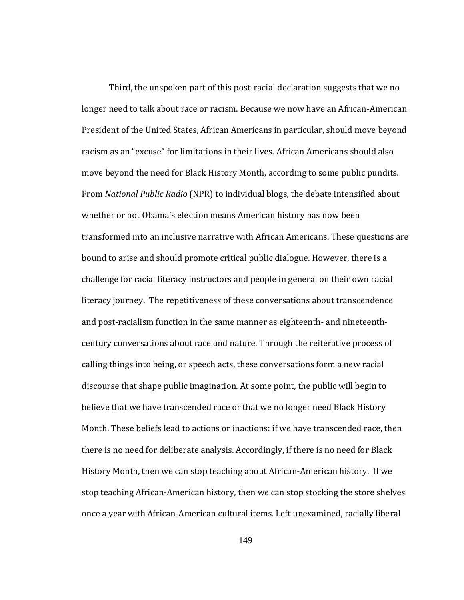Third, the unspoken part of this post‐racial declaration suggests that we no longer need to talk about race or racism. Because we now have an African‐American President of the United States, African Americans in particular, should move beyond racism as an "excuse" for limitations in their lives. African Americans should also move beyond the need for Black History Month, according to some public pundits. From *National Public Radio* (NPR) to individual blogs, the debate intensified about whether or not Obama's election means American history has now been transformed into an inclusive narrative with African Americans. These questions are bound to arise and should promote critical public dialogue. However, there is a challenge for racial literacy instructors and people in general on their own racial literacy journey. The repetitiveness of these conversations about transcendence and post‐racialism function in the same manner as eighteenth‐ and nineteenth‐ century conversations about race and nature. Through the reiterative process of calling things into being, or speech acts, these conversations form a new racial discourse that shape public imagination. At some point, the public will begin to believe that we have transcended race or that we no longer need Black History Month. These beliefs lead to actions or inactions: if we have transcended race, then there is no need for deliberate analysis. Accordingly, if there is no need for Black History Month, then we can stop teaching about African‐American history. If we stop teaching African‐American history, then we can stop stocking the store shelves once a year with African‐American cultural items. Left unexamined, racially liberal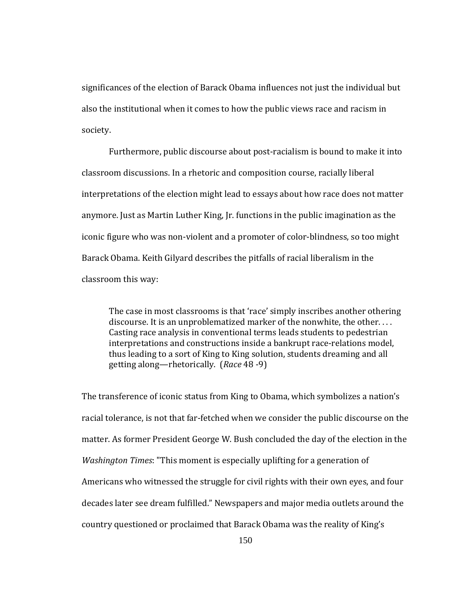significances of the election of Barack Obama influences not just the individual but also the institutional when it comes to how the public views race and racism in society.

Furthermore, public discourse about post-racialism is bound to make it into classroom discussions. In a rhetoric and composition course, racially liberal interpretations of the election might lead to essays about how race does not matter anymore. Just as Martin Luther King, Jr. functions in the public imagination as the iconic figure who was non‐violent and a promoter of color‐blindness, so too might Barack Obama. Keith Gilyard describes the pitfalls of racial liberalism in the classroom this way:

The case in most classrooms is that 'race' simply inscribes another othering discourse. It is an unproblematized marker of the nonwhite, the other. . . . Casting race analysis in conventional terms leads students to pedestrian interpretations and constructions inside a bankrupt race‐relations model, thus leading to a sort of King to King solution, students dreaming and all getting along—rhetorically. (*Race* 48 ‐9)

The transference of iconic status from King to Obama, which symbolizes a nation's racial tolerance, is not that far‐fetched when we consider the public discourse on the matter. As former President George W. Bush concluded the day of the election in the *Washington Times*: "This moment is especially uplifting for a generation of Americans who witnessed the struggle for civil rights with their own eyes, and four decades later see dream fulfilled." Newspapers and major media outlets around the country questioned or proclaimed that Barack Obama was the reality of King's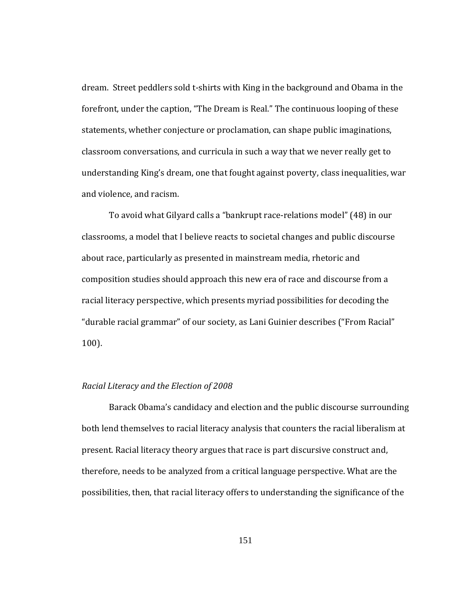dream. Street peddlers sold t‐shirts with King in the background and Obama in the forefront, under the caption, "The Dream is Real." The continuous looping of these statements, whether conjecture or proclamation, can shape public imaginations, classroom conversations, and curricula in such a way that we never really get to understanding King's dream, one that fought against poverty, class inequalities, war and violence, and racism.

 To avoid what Gilyard calls a "bankrupt race‐relations model" (48) in our classrooms, a model that I believe reacts to societal changes and public discourse about race, particularly as presented in mainstream media, rhetoric and composition studies should approach this new era of race and discourse from a racial literacy perspective, which presents myriad possibilities for decoding the "durable racial grammar" of our society, as Lani Guinier describes ("From Racial" 100).

#### *Racial Literacy and the Election of 2008*

Barack Obama's candidacy and election and the public discourse surrounding both lend themselves to racial literacy analysis that counters the racial liberalism at present. Racial literacy theory argues that race is part discursive construct and, therefore, needs to be analyzed from a critical language perspective. What are the possibilities, then, that racial literacy offers to understanding the significance of the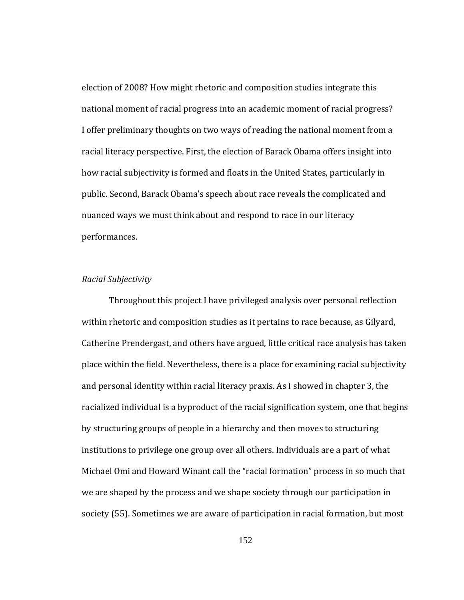election of 2008? How might rhetoric and composition studies integrate this national moment of racial progress into an academic moment of racial progress? I offer preliminary thoughts on two ways of reading the national moment from a racial literacy perspective. First, the election of Barack Obama offers insight into how racial subjectivity is formed and floats in the United States, particularly in public. Second, Barack Obama's speech about race reveals the complicated and nuanced ways we must think about and respond to race in our literacy performances.

# *R acial Subjectivity*

 Throughout this project I have privileged analysis over personal reflection within rhetoric and composition studies as it pertains to race because, as Gilyard, Catherine Prendergast, and others have argued, little critical race analysis has taken place within the field. Nevertheless, there is a place for examining racial subjectivity and personal identity within racial literacy praxis. As I showed in chapter 3, the racialized individual is a byproduct of the racial signification system, one that begins by structuring groups of people in a hierarchy and then moves to structuring institutions to privilege one group over all others. Individuals are a part of what Michael Omi and Howard Winant call the "racial formation" process in so much that we are shaped by the process and we shape society through our participation in society (55). Sometimes we are aware of participation in racial formation, but most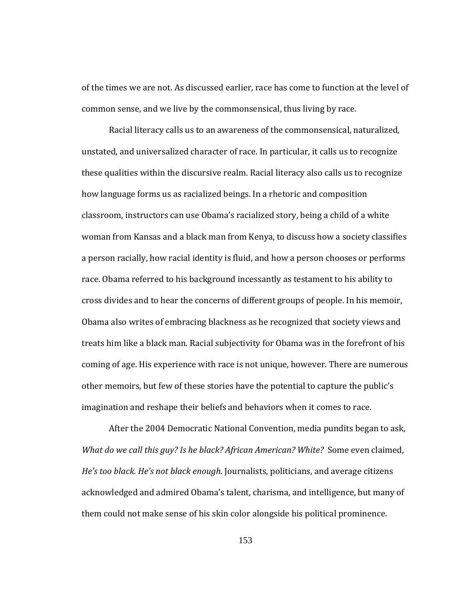of the times we are not. As discussed earlier, race has come to function at the level of common sense, and we live by the commonsensical, thus living by race.

imagination and reshape their beliefs and behaviors when it comes to race. Racial literacy calls us to an awareness of the commonsensical, naturalized, unstated, and universalized character of race. In particular, it calls us to recognize these qualities within the discursive realm. Racial literacy also calls us to recognize how language forms us as racialized beings. In a rhetoric and composition classroom, instructors can use Obama's racialized story, being a child of a white woman from Kansas and a black man from Kenya, to discuss how a society classifies a person racially, how racial identity is fluid, and how a person chooses or performs race. Obama referred to his background incessantly as testament to his ability to cross divides and to hear the concerns of different groups of people. In his memoir, Obama also writes of embracing blackness as he recognized that society views and treats him like a black man. Racial subjectivity for Obama was in the forefront of his coming of age. His experience with race is not unique, however. There are numerous other memoirs, but few of these stories have the potential to capture the public's

After the 2004 Democratic National Convention, media pundits began to ask, *What do we call this guy? Is he black? African American? White?* Some even claimed, *He's too black. He's not black enough.* Journalists, politicians, and average citizens acknowledged and admired Obama's talent, charisma, and intelligence, but many of them could not make sense of his skin color alongside his political prominence.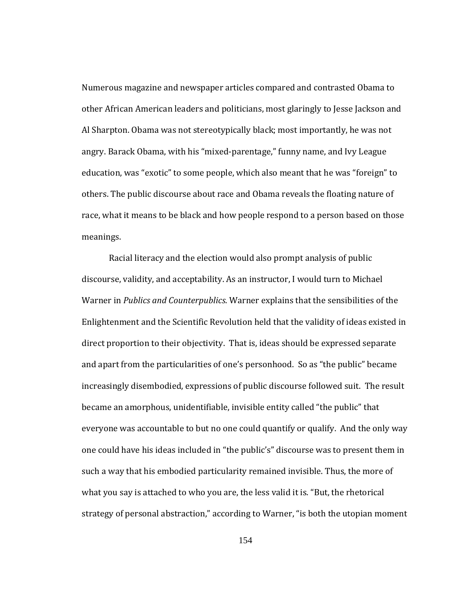meanings. Numerous magazine and newspaper articles compared and contrasted Obama to other African American leaders and politicians, most glaringly to Jesse Jackson and Al Sharpton. Obama was not stereotypically black; most importantly, he was not angry. Barack Obama, with his "mixed‐parentage," funny name, and Ivy League education, was "exotic" to some people, which also meant that he was "foreign" to others. The public discourse about race and Obama reveals the floating nature of race, what it means to be black and how people respond to a person based on those

Racial literacy and the election would also prompt analysis of public discourse, validity, and acceptability. As an instructor, I would turn to Michael Warner in *Publics and Counterpublics*. Warner explains that the sensibilities of the Enlightenment and the Scientific Revolution held that the validity of ideas existed in direct proportion to their objectivity. That is, ideas should be expressed separate and apart from the particularities of one's personhood. So as "the public" became increasingly disembodied, expressions of public discourse followed suit. The result became an amorphous, unidentifiable, invisible entity called "the public" that everyone was accountable to but no one could quantify or qualify. And the only way one could have his ideas included in "the public's" discourse was to present them in such a way that his embodied particularity remained invisible. Thus, the more of what you say is attached to who you are, the less valid it is. "But, the rhetorical strategy of personal abstraction," according to Warner, "is both the utopian moment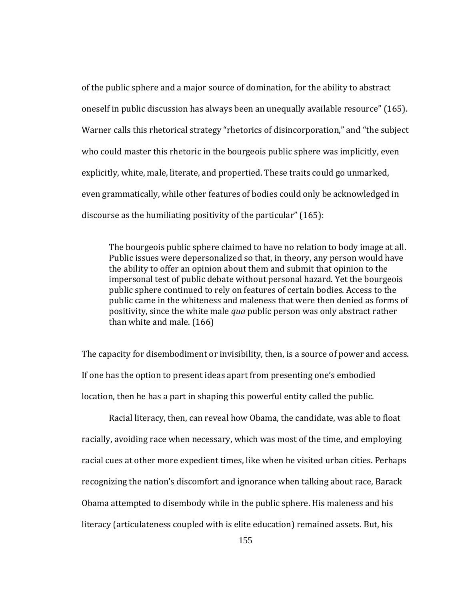of the public sphere and a major source of domination, for the ability to abstract oneself in public discussion has always been an unequally available resource" (165). Warner calls this rhetorical strategy "rhetorics of disincorporation," and "the subject who could master this rhetoric in the bourgeois public sphere was implicitly, even explicitly, white, male, literate, and propertied. These traits could go unmarked, even grammatically, while other features of bodies could only be acknowledged in discourse as the humiliating positivity of the particular" (165):

The bourgeois public sphere claimed to have no relation to body image at all. Public issues were depersonalized so that, in theory, any person would have the ability to offer an opinion about them and submit that opinion to the impersonal test of public debate without personal hazard. Yet the bourgeois public sphere continued to rely on features of certain bodies. Access to the public came in the whiteness and maleness that were then denied as forms of positivity, since the white male *qua* public person was only abstract rather than white and male. (166)

location, then he has a part in shaping this powerful entity called the public. The capacity for disembodiment or invisibility, then, is a source of power and access. If one has the option to present ideas apart from presenting one's embodied

Racial literacy, then, can reveal how Obama, the candidate, was able to float racially, avoiding race when necessary, which was most of the time, and employing racial cues at other more expedient times, like when he visited urban cities. Perhaps recognizing the nation's discomfort and ignorance when talking about race, Barack Obama attempted to disembody while in the public sphere. His maleness and his literacy (articulateness coupled with is elite education) remained assets. But, his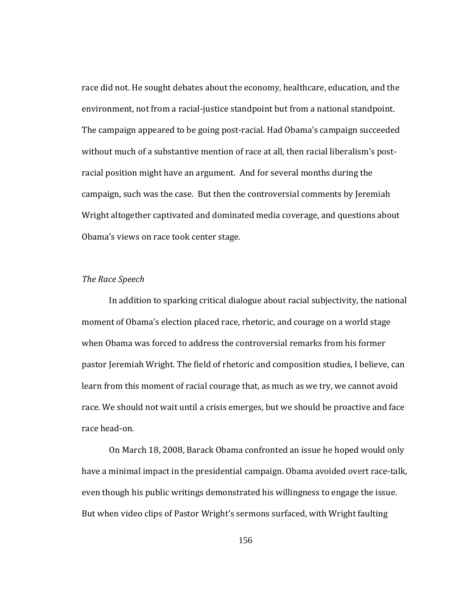race did not. He sought debates about the economy, healthcare, education, and the environment, not from a racial-justice standpoint but from a national standpoint. The campaign appeared to be going post‐racial. Had Obama's campaign succeeded without much of a substantive mention of race at all, then racial liberalism's postracial position might have an argument. And for several months during the campaign, such was the case. But then the controversial comments by Jeremiah Wright altogether captivated and dominated media coverage, and questions about Obama's views on race took center stage.

# *The Race Speech*

race head‐on. In addition to sparking critical dialogue about racial subjectivity, the national moment of Obama's election placed race, rhetoric, and courage on a world stage when Obama was forced to address the controversial remarks from his former pastor Jeremiah Wright. The field of rhetoric and composition studies, I believe, can learn from this moment of racial courage that, as much as we try, we cannot avoid race. We should not wait until a crisis emerges, but we should be proactive and face

 On March 18, 2008, Barack Obama confronted an issue he hoped would only have a minimal impact in the presidential campaign. Obama avoided overt race-talk, even though his public writings demonstrated his willingness to engage the issue. But when video clips of Pastor Wright's sermons surfaced, with Wright faulting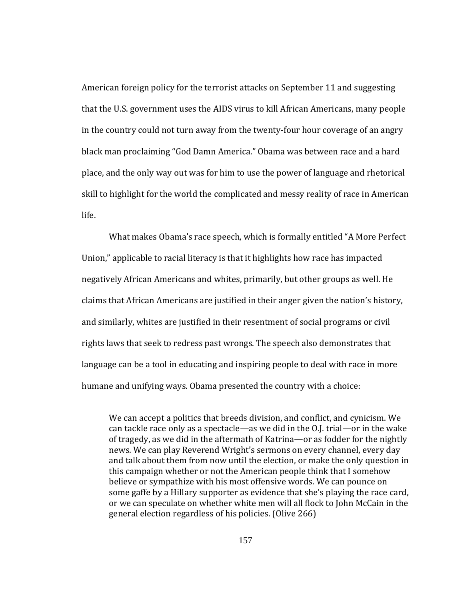American foreign policy for the terrorist attacks on September 11 and suggesting that the U.S. government uses the AIDS virus to kill African Americans, many people in the country could not turn away from the twenty‐four hour coverage of an angry black man proclaiming "God Damn America." Obama was between race and a hard place, and the only way out was for him to use the power of language and rhetorical skill to highlight for the world the complicated and messy reality of race in American life.

 What makes Obama's race speech, which is formally entitled "A More Perfect Union," applicable to racial literacy is that it highlights how race has impacted negatively African Americans and whites, primarily, but other groups as well. He claims that African Americans are justified in their anger given the nation's history, and similarly, whites are justified in their resentment of social programs or civil rights laws that seek to redress past wrongs. The speech also demonstrates that language can be a tool in educating and inspiring people to deal with race in more humane and unifying ways. Obama presented the country with a choice:

We can accept a politics that breeds division, and conflict, and cynicism. We can tackle race only as a spectacle—as we did in the O.J. trial—or in the wake of tragedy, as we did in the aftermath of Katrina—or as fodder for the nightly news. We can play Reverend Wright's sermons on every channel, every day and talk about them from now until the election, or make the only question in this campaign whether or not the American people think that I somehow believe or sympathize with his most offensive words. We can pounce on some gaffe by a Hillary supporter as evidence that she's playing the race card, or we can speculate on whether white men will all flock to John McCain in the general election regardless of his policies. (Olive 266)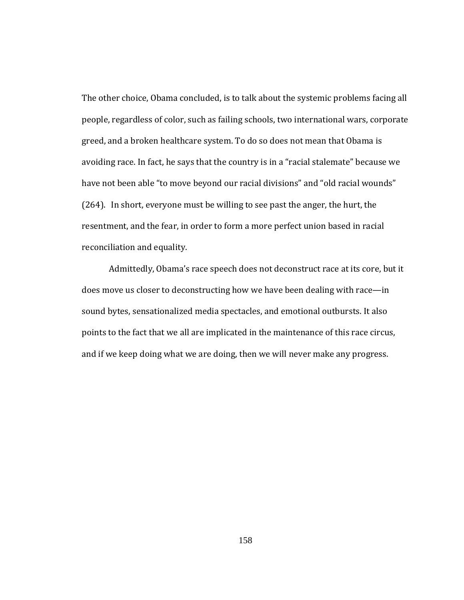The other choice, Obama concluded, is to talk about the systemic problems facing all people, regardless of color, such as failing schools, two international wars, corporate greed, and a broken healthcare system. To do so does not mean that Obama is avoiding race. In fact, he says that the country is in a "racial stalemate" because we have not been able "to move beyond our racial divisions" and "old racial wounds" (264). In short, everyone must be willing to see past the anger, the hurt, the resentment, and the fear, in order to form a more perfect union based in racial reconciliation and equality.

 Admittedly, Obama's race speech does not deconstruct race at its core, but it does move us closer to deconstructing how we have been dealing with race—in sound bytes, sensationalized media spectacles, and emotional outbursts. It also points to the fact that we all are implicated in the maintenance of this race circus, and if we keep doing what we are doing, then we will never make any progress.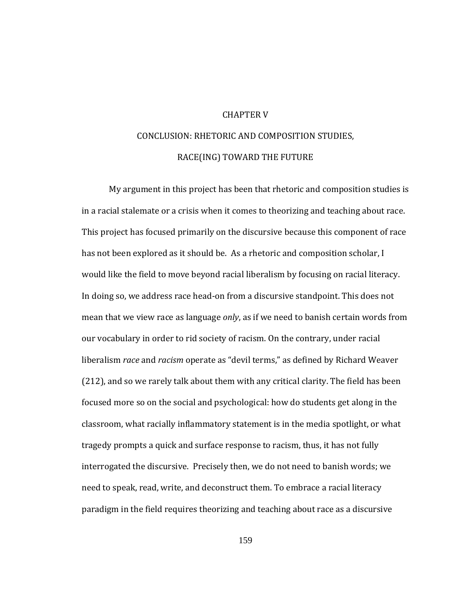# CHAPTER V

# CONCLUSION: RHETORIC AND COMPOSITION STUDIES, RACE(ING) TOWARD THE FUTURE

My argument in this project has been that rhetoric and composition studies is in a racial stalemate or a crisis when it comes to theorizing and teaching about race. This project has focused primarily on the discursive because this component of race has not been explored as it should be. As a rhetoric and composition scholar, I would like the field to move beyond racial liberalism by focusing on racial literacy. In doing so, we address race head‐on from a discursive standpoint. This does not mean that we view race as language *only*, as if we need to banish certain words from our vocabulary in order to rid society of racism. On the contrary, under racial liberalism *race* and *racism* operate as "devil terms," as defined by Richard Weaver (212), and so we rarely talk about them with any critical clarity. The field has been focused more so on the social and psychological: how do students get along in the classroom, what racially inflammatory statement is in the media spotlight, or what tragedy prompts a quick and surface response to racism, thus, it has not fully interrogated the discursive. Precisely then, we do not need to banish words; we need to speak, read, write, and deconstruct them. To embrace a racial literacy paradigm in the field requires theorizing and teaching about race as a discursive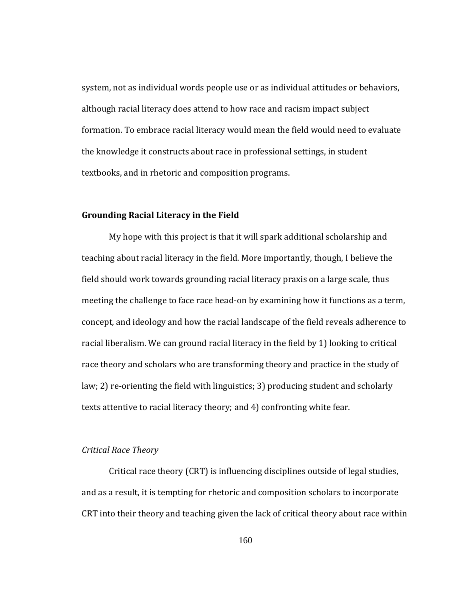system, not as individual words people use or as individual attitudes or behaviors, although racial literacy does attend to how race and racism impact subject formation. To embrace racial literacy would mean the field would need to evaluate the knowledge it constructs about race in professional settings, in student textbooks, and in rhetoric and composition programs.

# **Grounding Racial Literacy in the Field**

My hope with this project is that it will spark additional scholarship and teaching about racial literacy in the field. More importantly, though, I believe the field should work towards grounding racial literacy praxis on a large scale, thus meeting the challenge to face race head‐on by examining how it functions as a term, concept, and ideology and how the racial landscape of the field reveals adherence to racial liberalism. We can ground racial literacy in the field by 1) looking to critical race theory and scholars who are transforming theory and practice in the study of law; 2) re-orienting the field with linguistics; 3) producing student and scholarly texts attentive to racial literacy theory; and 4) confronting white fear.

# *C Race Theory ritical*

 Critical race theory (CRT) is influencing disciplines outside of legal studies, and as a result, it is tempting for rhetoric and composition scholars to incorporate CRT into their theory and teaching given the lack of critical theory about race within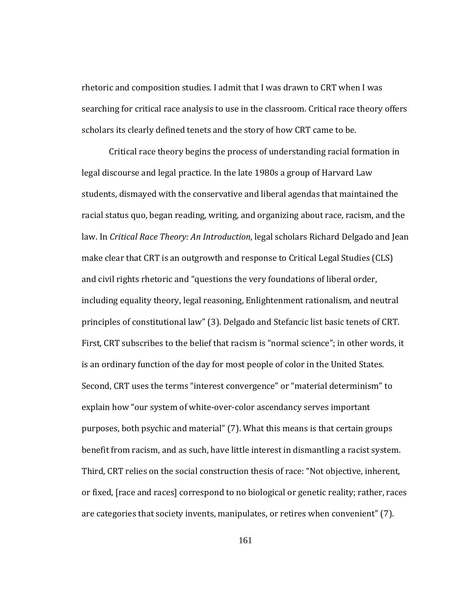scholars its clearly defined tenets and the story of how CRT came to be. rhetoric and composition studies. I admit that I was drawn to CRT when I was searching for critical race analysis to use in the classroom. Critical race theory offers

Critical race theory begins the process of understanding racial formation in legal discourse and legal practice. In the late 1980s a group of Harvard Law students, dismayed with the conservative and liberal agendas that maintained the racial status quo, began reading, writing, and organizing about race, racism, and the law. In *Critical Race Theory: An Introduction*, legal scholars Richard Delgado and Jean make clear that CRT is an outgrowth and response to Critical Legal Studies (CLS) and civil rights rhetoric and "questions the very foundations of liberal order, including equality theory, legal reasoning, Enlightenment rationalism, and neutral principles of constitutional law" (3). Delgado and Stefancic list basic tenets of CRT. First, CRT subscribes to the belief that racism is "normal science"; in other words, it is an ordinary function of the day for most people of color in the United States. Second, CRT uses the terms "interest convergence" or "material determinism" to explain how "our system of white‐over‐color ascendancy serves important purposes, both psychic and material" (7). What this means is that certain groups benefit from racism, and as such, have little interest in dismantling a racist system. Third, CRT relies on the social construction thesis of race: "Not objective, inherent, or fixed, [race and races] correspond to no biological or genetic reality; rather, races are categories that society invents, manipulates, or retires when convenient" (7).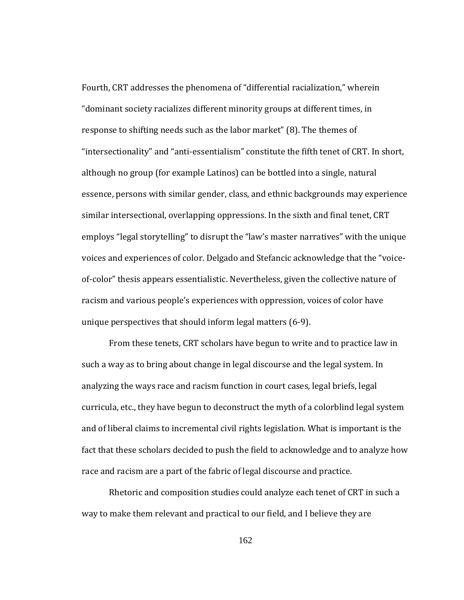Fourth, CRT addresses the phenomena of "differential racialization," wherein "dominant society racializes different minority groups at different times, in response to shifting needs such as the labor market" (8). The themes of "intersectionality" and "anti‐essentialism" constitute the fifth tenet of CRT. In short, although no group (for example Latinos) can be bottled into a single, natural essence, persons with similar gender, class, and ethnic backgrounds may experience similar intersectional, overlapping oppressions. In the sixth and final tenet, CRT employs "legal storytelling" to disrupt the "law's master narratives" with the unique voices and experiences of color. Delgado and Stefancic acknowledge that the "voice‐ of‐color" thesis appears essentialistic. Nevertheless, given the collective nature of racism and various people's experiences with oppression, voices of color have unique perspectives that should inform legal matters (6‐9).

race and racism are a part of the fabric of legal discourse and practice. From these tenets, CRT scholars have begun to write and to practice law in such a way as to bring about change in legal discourse and the legal system. In analyzing the ways race and racism function in court cases, legal briefs, legal curricula, etc., they have begun to deconstruct the myth of a colorblind legal system and of liberal claims to incremental civil rights legislation. What is important is the fact that these scholars decided to push the field to acknowledge and to analyze how

Rhetoric and composition studies could analyze each tenet of CRT in such a way to make them relevant and practical to our field, and I believe they are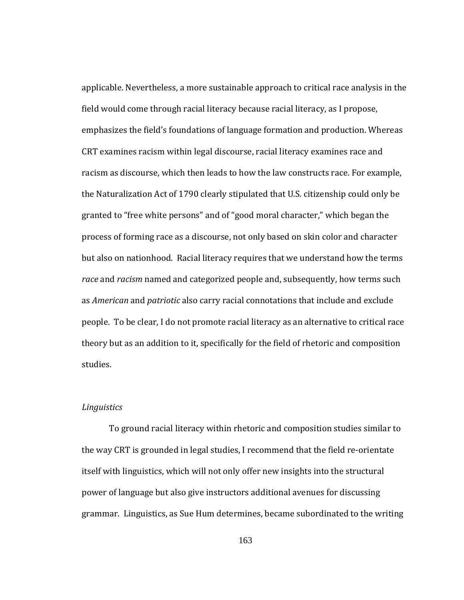applicable. Nevertheless, a more sustainable approach to critical race analysis in the field would come through racial literacy because racial literacy, as I propose, emphasizes the field's foundations of language formation and production. Whereas CRT examines racism within legal discourse, racial literacy examines race and racism as discourse, which then leads to how the law constructs race. For example, the Naturalization Act of 1790 clearly stipulated that U.S. citizenship could only be granted to "free white persons" and of "good moral character," which began the process of forming race as a discourse, not only based on skin color and character but also on nationhood. Racial literacy requires that we understand how the terms *race* and *racism* named and categorized people and, subsequently, how terms such as *American* and *patriotic* also carry racial connotations that include and exclude people. To be clear, I do not promote racial literacy as an alternative to critical race theory but as an addition to it, specifically for the field of rhetoric and composition studies.

## *tics Linguis*

To ground racial literacy within rhetoric and composition studies similar to the way CRT is grounded in legal studies, I recommend that the field re‐orientate itself with linguistics, which will not only offer new insights into the structural power of language but also give instructors additional avenues for discussing grammar. Linguistics, as Sue Hum determines, became subordinated to the writing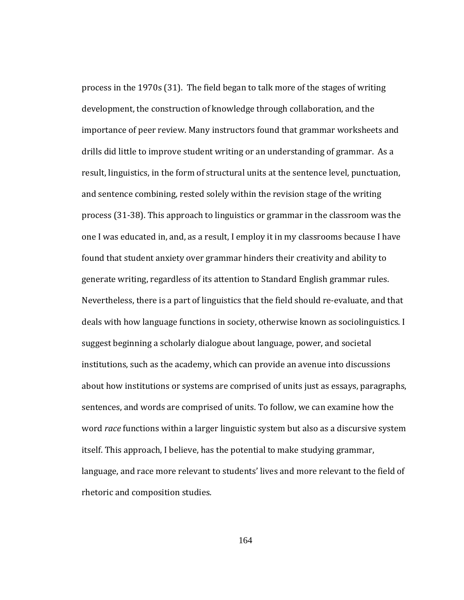r hetoric and composition studies. process in the 1970s (31). The field began to talk more of the stages of writing development, the construction of knowledge through collaboration, and the importance of peer review. Many instructors found that grammar worksheets and drills did little to improve student writing or an understanding of grammar. As a result, linguistics, in the form of structural units at the sentence level, punctuation, and sentence combining, rested solely within the revision stage of the writing process (31‐38). This approach to linguistics or grammar in the classroom was the one I was educated in, and, as a result, I employ it in my classrooms because I have found that student anxiety over grammar hinders their creativity and ability to generate writing, regardless of its attention to Standard English grammar rules. Nevertheless, there is a part of linguistics that the field should re‐evaluate, and that deals with how language functions in society, otherwise known as sociolinguistics. I suggest beginning a scholarly dialogue about language, power, and societal institutions, such as the academy, which can provide an avenue into discussions about how institutions or systems are comprised of units just as essays, paragraphs, sentences, and words are comprised of units. To follow, we can examine how the word *race* functions within a larger linguistic system but also as a discursive system itself. This approach, I believe, has the potential to make studying grammar, language, and race more relevant to students' lives and more relevant to the field of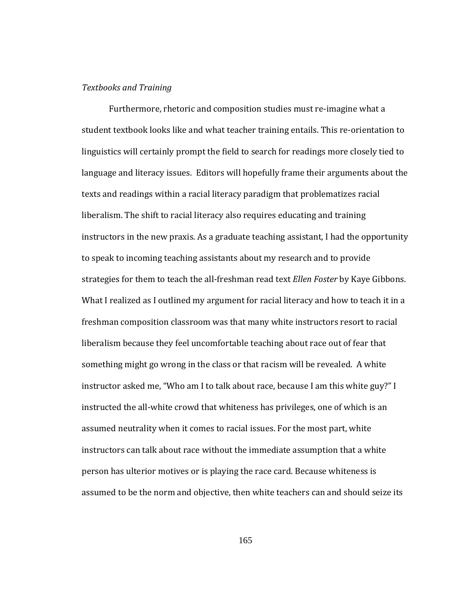### *Textbooks and Training*

Furthermore, rhetoric and composition studies must re‐imagine what a student textbook looks like and what teacher training entails. This re‐orientation to linguistics will certainly prompt the field to search for readings more closely tied to language and literacy issues. Editors will hopefully frame their arguments about the texts and readings within a racial literacy paradigm that problematizes racial liberalism. The shift to racial literacy also requires educating and training instructors in the new praxis. As a graduate teaching assistant, I had the opportunity to speak to incoming teaching assistants about my research and to provide strategies for them to teach the all‐freshman read text *Ellen Foster* by Kaye Gibbons. What I realized as I outlined my argument for racial literacy and how to teach it in a freshman composition classroom was that many white instructors resort to racial liberalism because they feel uncomfortable teaching about race out of fear that something might go wrong in the class or that racism will be revealed. A white instructor asked me, "Who am I to talk about race, because I am this white guy?" I instructed the all‐white crowd that whiteness has privileges, one of which is an assumed neutrality when it comes to racial issues. For the most part, white instructors can talk about race without the immediate assumption that a white person has ulterior motives or is playing the race card. Because whiteness is assumed to be the norm and objective, then white teachers can and should seize its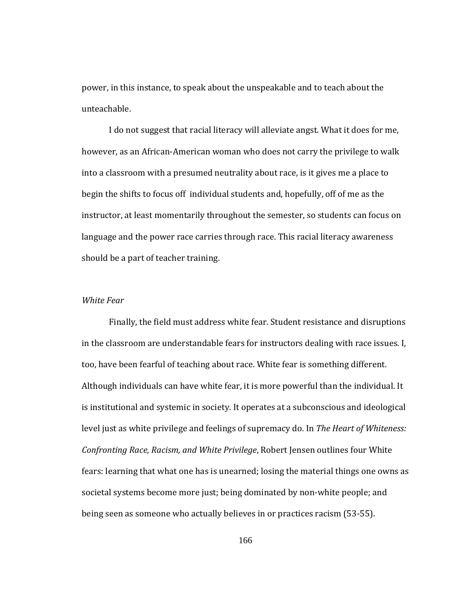power, in this instance, to speak about the unspeakable and to teach about the unteachable.

I do not suggest that racial literacy will alleviate angst. What it does for me, however, as an African‐American woman who does not carry the privilege to walk into a classroom with a presumed neutrality about race, is it gives me a place to begin the shifts to focus off individual students and, hopefully, off of me as the instructor, at least momentarily throughout the semester, so students can focus on language and the power race carries through race. This racial literacy awareness should be a part of teacher training.

## *White* Fear

Finally, the field must address white fear. Student resistance and disruptions in the classroom are understandable fears for instructors dealing with race issues. I, too, have been fearful of teaching about race. White fear is something different. Although individuals can have white fear, it is more powerful than the individual. It is institutional and systemic in society. It operates at a subconscious and ideological level just as white privilege and feelings of supremacy do. In *The Heart of Whiteness: Confronting Race, Racism, and White Privilege*, Robert Jensen outlines four White fears: learning that what one has is unearned; losing the material things one owns as societal systems become more just; being dominated by non‐white people; and being seen as someone who actually believes in or practices racism (53‐55).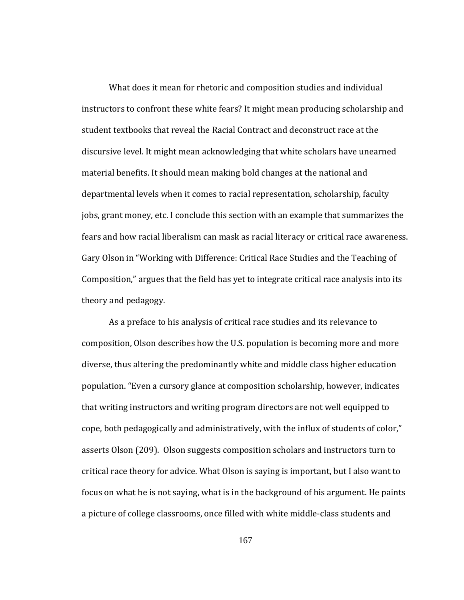theory and pedagogy. What does it mean for rhetoric and composition studies and individual instructors to confront these white fears? It might mean producing scholarship and student textbooks that reveal the Racial Contract and deconstruct race at the discursive level. It might mean acknowledging that white scholars have unearned material benefits. It should mean making bold changes at the national and departmental levels when it comes to racial representation, scholarship, faculty jobs, grant money, etc. I conclude this section with an example that summarizes the fears and how racial liberalism can mask as racial literacy or critical race awareness. Gary Olson in "Working with Difference: Critical Race Studies and the Teaching of Composition," argues that the field has yet to integrate critical race analysis into its

As a preface to his analysis of critical race studies and its relevance to composition, Olson describes how the U.S. population is becoming more and more diverse, thus altering the predominantly white and middle class higher education population. "Even a cursory glance at composition scholarship, however, indicates that writing instructors and writing program directors are not well equipped to cope, both pedagogically and administratively, with the influx of students of color," asserts Olson (209). Olson suggests composition scholars and instructors turn to critical race theory for advice. What Olson is saying is important, but I also want to focus on what he is not saying, what is in the background of his argument. He paints a picture of college classrooms, once filled with white middle‐class students and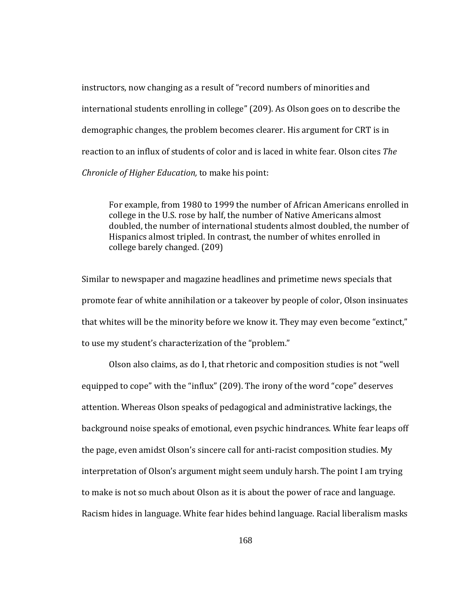instructors, now changing as a result of "record numbers of minorities and international students enrolling in college" (209). As Olson goes on to describe the demographic changes, the problem becomes clearer. His argument for CRT is in reaction to an influx of students of color and is laced in white fear. Olson cites *The Chronicle of Higher Education,* to make his point:

For example, from 1980 to 1999 the number of African Americans enrolled in college in the U.S. rose by half, the number of Native Americans almost doubled, the number of international students almost doubled, the number of Hispanics almost tripled. In contrast, the number of whites enrolled in college barely changed. (209)

to use my student's characterization of the "problem." Similar to newspaper and magazine headlines and primetime news specials that promote fear of white annihilation or a takeover by people of color, Olson insinuates that whites will be the minority before we know it. They may even become "extinct,"

Olson also claims, as do I, that rhetoric and composition studies is not "well equipped to cope" with the "influx" (209). The irony of the word "cope" deserves attention. Whereas Olson speaks of pedagogical and administrative lackings, the background noise speaks of emotional, even psychic hindrances. White fear leaps off the page, even amidst Olson's sincere call for anti‐racist composition studies. My interpretation of Olson's argument might seem unduly harsh. The point I am trying to make is not so much about Olson as it is about the power of race and language. Racism hides in language. White fear hides behind language. Racial liberalism masks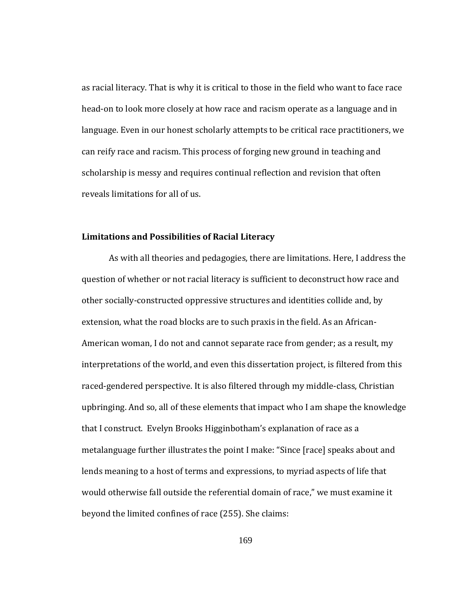as racial literacy. That is why it is critical to those in the field who want to face race head-on to look more closely at how race and racism operate as a language and in language. Even in our honest scholarly attempts to be critical race practitioners, we can reify race and racism. This process of forging new ground in teaching and scholarship is messy and requires continual reflection and revision that often reveals limitations for all of us.

# **Limitations and Possibilities of Racial Literacy**

 As with all theories and pedagogies, there are limitations. Here, I address the question of whether or not racial literacy is sufficient to deconstruct how race and other socially‐constructed oppressive structures and identities collide and, by extension, what the road blocks are to such praxis in the field. As an African‐ American woman, I do not and cannot separate race from gender; as a result, my interpretations of the world, and even this dissertation project, is filtered from this raced‐gendered perspective. It is also filtered through my middle‐class, Christian upbringing. And so, all of these elements that impact who I am shape the knowledge that I construct. Evelyn Brooks Higginbotham's explanation of race as a metalanguage further illustrates the point I make: "Since [race] speaks about and lends meaning to a host of terms and expressions, to myriad aspects of life that would otherwise fall outside the referential domain of race," we must examine it beyond the limited confines of race (255). She claims: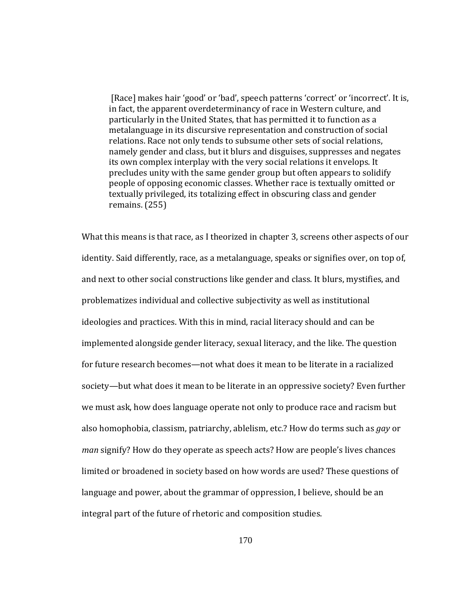[Race] makes hair 'good' or 'bad', speech patterns 'correct' or 'incorrect'. It is, in fact, the apparent overdeterminancy of race in Western culture, and particularly in the United States, that has permitted it to function as a metalanguage in its discursive representation and construction of social relations. Race not only tends to subsume other sets of social relations, namely gender and class, but it blurs and disguises, suppresses and negates its own complex interplay with the very social relations it envelops. It precludes unity with the same gender group but often appears to solidify people of opposing economic classes. Whether race is textually omitted or textually privileged, its totalizing effect in obscuring class and gender remains. (255)

What this means is that race, as I theorized in chapter 3, screens other aspects of our identity. Said differently, race, as a metalanguage, speaks or signifies over, on top of, and next to other social constructions like gender and class. It blurs, mystifies, and problematizes individual and collective subjectivity as well as institutional ideologies and practices. With this in mind, racial literacy should and can be implemented alongside gender literacy, sexual literacy, and the like. The question for future research becomes—not what does it mean to be literate in a racialized society—but what does it mean to be literate in an oppressive society? Even further we must ask, how does language operate not only to produce race and racism but also homophobia, classism, patriarchy, ablelism, etc.? How do terms such as *gay* or *man* signify? How do they operate as speech acts? How are people's lives chances limited or broadened in society based on how words are used? These questions of language and power, about the grammar of oppression, I believe, should be an integral part of the future of rhetoric and composition studies.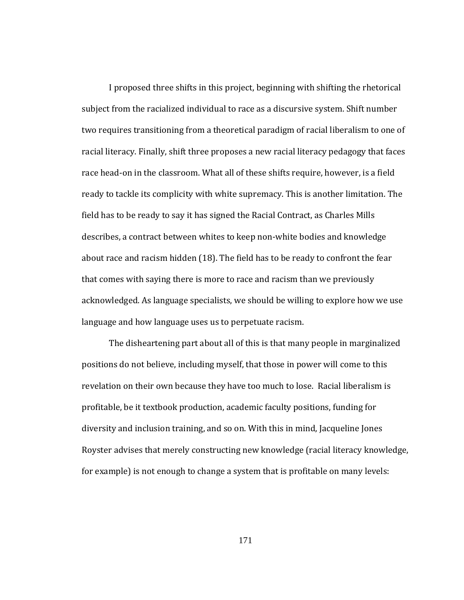I proposed three shifts in this project, beginning with shifting the rhetorical subject from the racialized individual to race as a discursive system. Shift number two requires transitioning from a theoretical paradigm of racial liberalism to one of racial literacy. Finally, shift three proposes a new racial literacy pedagogy that faces race head-on in the classroom. What all of these shifts require, however, is a field ready to tackle its complicity with white supremacy. This is another limitation. The field has to be ready to say it has signed the Racial Contract, as Charles Mills describes, a contract between whites to keep non‐white bodies and knowledge about race and racism hidden (18). The field has to be ready to confront the fear that comes with saying there is more to race and racism than we previously acknowledged. As language specialists, we should be willing to explore how we use language and how language uses us to perpetuate racism.

The disheartening part about all of this is that many people in marginalized positions do not believe, including myself, that those in power will come to this revelation on their own because they have too much to lose. Racial liberalism is profitable, be it textbook production, academic faculty positions, funding for diversity and inclusion training, and so on. With this in mind, Jacqueline Jones Royster advises that merely constructing new knowledge (racial literacy knowledge, for example) is not enough to change a system that is profitable on many levels: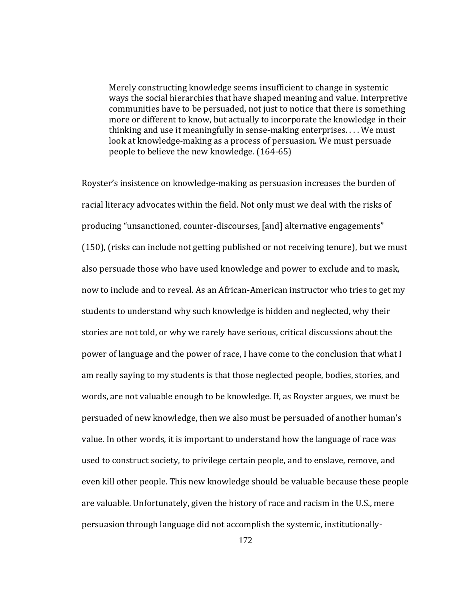Merely constructing knowledge seems insufficient to change in systemic ways the social hierarchies that have shaped meaning and value. Interpretive communities have to be persuaded, not just to notice that there is something more or different to know, but actually to incorporate the knowledge in their thinking and use it meaningfully in sense‐making enterprises. . . . We must look at knowledge-making as a process of persuasion. We must persuade people to believe the new knowledge. (164-65)

Royster's insistence on knowledge‐making as persuasion increases the burden of racial literacy advocates within the field. Not only must we deal with the risks of producing "unsanctioned, counter‐discourses, [and] alternative engagements" (150), (risks can include not getting published or not receiving tenure), but we must also persuade those who have used knowledge and power to exclude and to mask, now to include and to reveal. As an African-American instructor who tries to get my students to understand why such knowledge is hidden and neglected, why their stories are not told, or why we rarely have serious, critical discussions about the power of language and the power of race, I have come to the conclusion that what I am really saying to my students is that those neglected people, bodies, stories, and words, are not valuable enough to be knowledge. If, as Royster argues, we must be persuaded of new knowledge, then we also must be persuaded of another human's value. In other words, it is important to understand how the language of race was used to construct society, to privilege certain people, and to enslave, remove, and even kill other people. This new knowledge should be valuable because these people are valuable. Unfortunately, given the history of race and racism in the U.S., mere persuasion through language did not accomplish the systemic, institutionally‐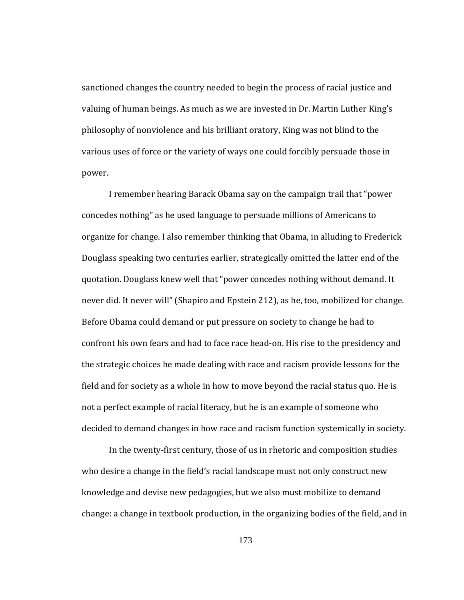sanctioned changes the country needed to begin the process of racial justice and valuing of human beings. As much as we are invested in Dr. Martin Luther King's philosophy of nonviolence and his brilliant oratory, King was not blind to the various uses of force or the variety of ways one could forcibly persuade those in power.

decided to demand changes in how race and racism function systemically in society. I remember hearing Barack Obama say on the campaign trail that "power concedes nothing" as he used language to persuade millions of Americans to organize for change. I also remember thinking that Obama, in alluding to Frederick Douglass speaking two centuries earlier, strategically omitted the latter end of the quotation. Douglass knew well that "power concedes nothing without demand. It never did. It never will" (Shapiro and Epstein 212), as he, too, mobilized for change. Before Obama could demand or put pressure on society to change he had to confront his own fears and had to face race head‐on. His rise to the presidency and the strategic choices he made dealing with race and racism provide lessons for the field and for society as a whole in how to move beyond the racial status quo. He is not a perfect example of racial literacy, but he is an example of someone who

In the twenty‐first century, those of us in rhetoric and composition studies who desire a change in the field's racial landscape must not only construct new knowledge and devise new pedagogies, but we also must mobilize to demand change: a change in textbook production, in the organizing bodies of the field, and in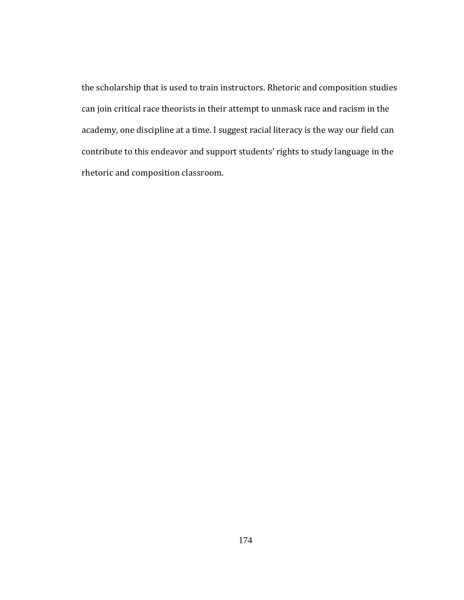the scholarship that is used to train instructors. Rhetoric and composition studies can join critical race theorists in their attempt to unmask race and racism in the academy, one discipline at a time. I suggest racial literacy is the way our field can contribute to this endeavor and support students' rights to study language in the rhetoric and composition classroom.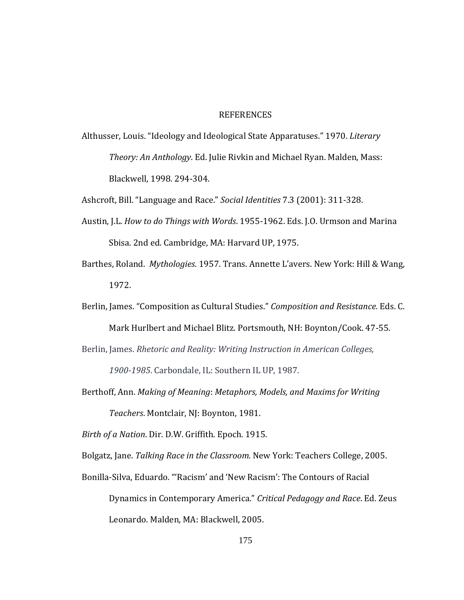## REFERENCES

Althusser, Louis. "Ideology and Ideological State Apparatuses." 1970. *Literary Theory: An Anthology*. Ed. Julie Rivkin and Michael Ryan. Malden, Mass: Blackwell, 1998. 294‐304.

Ashcroft, Bill. "Language and Race." *Social Identities* 7.3 (2001): 311‐328.

- Austin, J.L. *How to do Things with Words*. 1955‐1962. Eds. J.O. Urmson and Marina Sbisa. 2nd ed. Cambridge, MA: Harvard UP, 1975.
- Barthes, Roland. *Mythologies*. 1957. Trans. Annette L'avers. New York: Hill & Wang, 1972.

Berlin, James. "Composition as Cultural Studies." *Composition and Resistance.* Eds. C.

Mark Hurlbert and Michael Blitz. Portsmouth, NH: Boynton/Cook. 47‐55.

Berlin, James. *Rhetoric and Reality: Writing Instruction in American Colleges,* 

*19001985*. Carbondale, IL: Southern IL UP, 1987.

Berthoff, Ann. *Making of Meaning*: *Metaphors, Models, and Maxims for Writing Teachers*. Montclair, NJ: Boynton, 1981.

*Birth of a Nation. Dir. D.W. Griffith. Epoch. 1915.* 

05. Bolgatz, Jane. *Talking Race in the Classroom.* New York: Teachers College, 20

Bonilla‐Silva, Eduardo. "'Racism' and 'New Racism': The Contours of Racial

Dynamics in Contemporary America." *Cri tical Pedagogy and Race*. Ed. Zeus Leonardo. Malden, MA: Blackwell, 2005.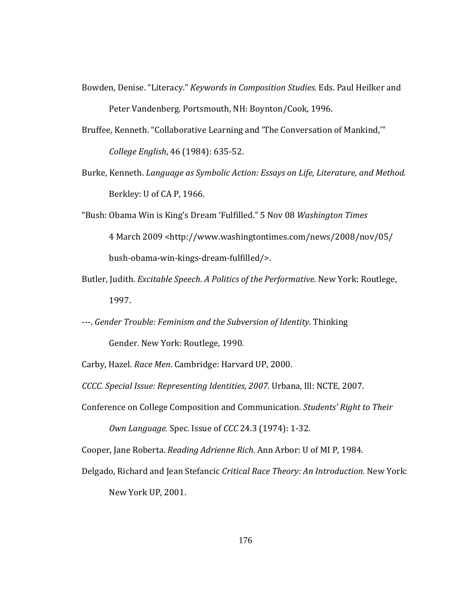- Bowden, Denise. "Literacy." *Keywords in Composition Studies.* Eds. Paul Heilker and Peter Vandenberg. Portsmouth, NH: Boynton/Cook, 1996.
- Bruffee, Kenneth. "Collaborative Learning and 'The Conversation of Mankind,'" *College English*, 46 (1984): 635‐52.
- Burke, Kenneth. *Language as Symbolic Action: Essays on Life, Literature, and Method.* Berkley: U of CA P, 1966.
- "Bush: Obama Win is King's Dream 'Fulfilled." 5 Nov 08 *Washington Times* 4 March 2009 <http://www.washingtontimes.com/news/2008/nov/05/ bush‐obama‐win‐kings‐dream‐fulfilled/>.
- Butler, Judith. *Excitable Speech. A Politics of the Performative*. New York: Routlege, 1997.
- ‐‐‐. *Gender Trouble: Feminism and the Subversion of Identity.* Thinking

Gender. New York: Routlege, 1990.

Carby, Hazel. *Race Men*. Cambridge: Harvard UP, 2000.

*CCCC. Special Issue: Representing Identities, 2007*. Urbana, Ill: NCTE, 2007.

Conference on College Composition and Communication. Students' Right to Their

*Own Language.* Spec. Issue of *CCC* 24.3 (1974): 1‐32.

Cooper, Jane Roberta. *Reading Adrienne Rich*. Ann Arbor: U of MI P, 1984.

Delgado, Richard and Jean Stefancic *Critical Race Theory: An Introduction*. New York:

New York UP, 2001.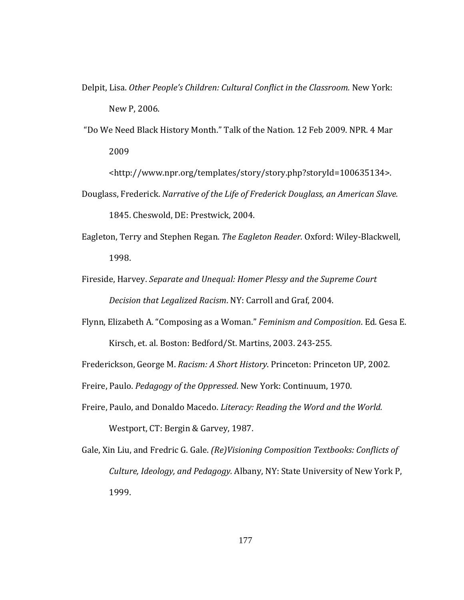- Delpit, Lisa. *Other People's Children: Cultural Conflict in the Classroom.* New York: New P, 2006.
- "Do We Need Black History Month." Talk of the Nation. 12 Feb 2009. NPR. 4 Mar 2009

<http://www.npr.org/templates/story/story.php?storyId=100635134>.

- Douglass, Frederick. *Narrative of the Life of Frederick Douglass, an American Slave.* 1845. Cheswold, DE: Prestwick, 2004.
- Eagleton, Terry and Stephen Regan. *The Eagleton Reader.* Oxford: Wiley‐Blackwell, 1998.
- Fireside, Harvey. *Separate and Unequal: Homer Plessy and the Supreme Court Decision that Legalized Racism*. NY: Carroll and Graf, 2004.
- Flynn, Elizabeth A. "Composing as a Woman." *Feminism and Composition*. Ed. Gesa E. Kirsch, et. al. Boston: Bedford/St. Martins, 2003. 243‐255.

Frederickson, George M. *Racism: A Short History*. Princeton: Princeton UP, 2002.

Freire, Paulo. *Pedagogy of the Oppressed*. New York: Continuum, 1970.

- Freire, Paulo, and Donaldo Macedo. *Literacy: Reading the Word and the World.*  Westport, CT: Bergin & Garvey, 1987.
- Gale, Xin Liu, and Fredric G. Gale. *(Re)Visioning Composition Textbooks: Conflicts of Culture, Ideology, and Pedagogy.* Albany, NY: State University of New York P, 1999.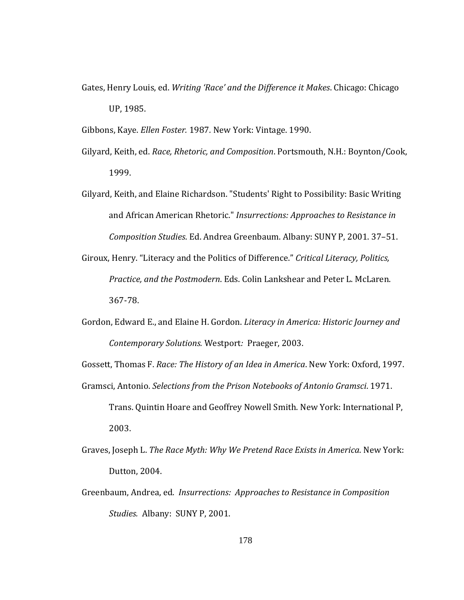Gates, Henry Louis, ed. Writing 'Race' and the Difference it Makes. Chicago: Chicago UP, 1985.

Gibbons, Kaye. *Ellen Foster.* 1987*.* New York: Vintage. 1990.

- Gilyard, Keith, ed. *Race, Rhetoric, and Composition*. Portsmouth, N.H.: Boynton/Cook, 1999.
- Gilyard, Keith, and Elaine Richardson. "Students' Right to Possibility: Basic Writing and African American Rhetoric." *Insurrections: Approaches to Resistance in Composition Studies*. Ed. Andrea Greenbaum. Albany: SUNY P, 2001. 37–51.
- Giroux, Henry. "Literacy and the Politics of Difference." *Critical Literacy, Politics, Practice, and the Postmodern*. Eds. Colin Lankshear and Peter L. McLaren. 367‐78.
- Gordon, Edward E., and Elaine H. Gordon. *Literacy in America: Historic Journey and Contemporary Solutions.* Westport*:* Praeger, 2003.

Gossett, Thomas F. *Race: The History of an Idea in America*. New York: Oxford, 1997.

Gramsci, Antonio. *Selections from the Prison Notebooks of Antonio Gramsci*. 1971.

- Trans. Quintin Hoare and Geoffrey Nowell Smith. New York: International P, 2003.
- Graves, Joseph L. *The Race Myth: Why We Pretend Race Exists in America*. New York: Dutton, 2004.
- Greenbaum, Andrea, ed. *Insurrections: Approaches to Resistance in Composition Studies.* Albany: SUNY P, 2001.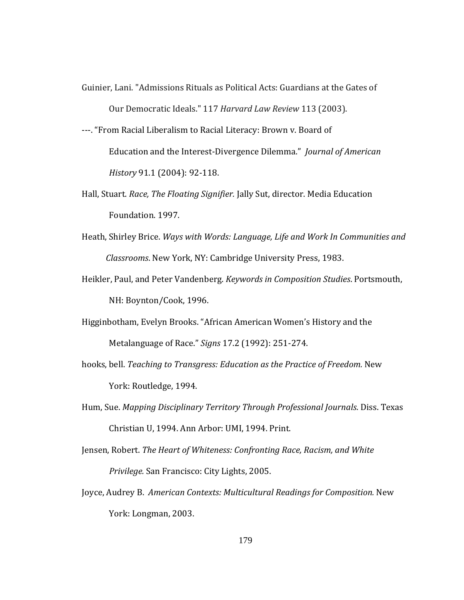- Guinier, Lani. "Admissions Rituals as Political Acts: Guardians at the Gates of Our Democratic Ideals." 117 *Harvard Law Review* 113 (2003).
- ‐‐‐. "From Racial Liberalism to Racial Literacy: Brown v. Board of Education and the Interest‐Divergence Dilemma." *Journal of American History* 91.1 (2004): 92‐118.
- Hall, Stuart. *Race, The Floating Signifier.* Jally Sut, director. Media Education Foundation. 1997.
- Heath, Shirley Brice. *Ways with Words: Language, Life and Work In Communities and Classrooms*. New York, NY: Cambridge University Press, 1983.
- Heikler, Paul, and Peter Vandenberg. *Keywords in Composition Studies*. Portsmouth, NH: Boynton/Cook, 1996.
- Higginbotham, Evelyn Brooks. "African American Women's History and the Metalanguage of Race." *Signs* 17.2 (1992): 251‐274.
- hooks, bell. *Teaching to Transgress: Education as the Practice of Freedom.* New York: Routledge, 1994.
- Hum, Sue. *Mapping Disciplinary Territory Through Professional Journals*. Diss. Texas Christian U, 1994. Ann Arbor: UMI, 1994. Print.
- Jensen, Robert. *The Heart of Whiteness: Confronting Race, Racism, and White Privilege.* San Francisco: City Lights, 2005.
- Joyce, Audrey B. *American Contexts: Multicultural Readings for Composition.* New York: Longman, 2003.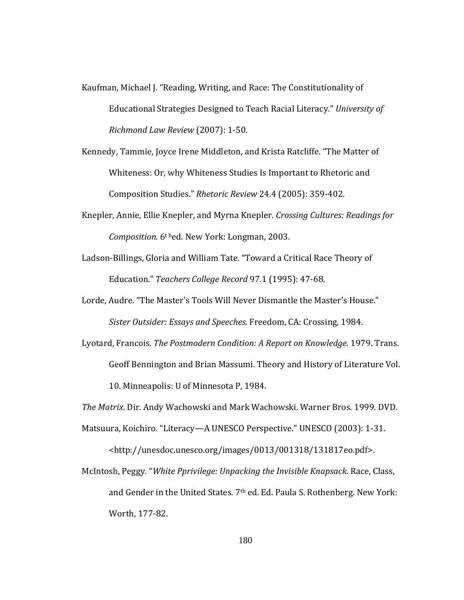- Kaufman, Michael J. "Reading, Writing, and Race: The Constitutionality of Educational Strategies Designed to Teach Racial Literacy." *University of Richmond Law Review* (2007): 1‐50.
- Kennedy, Tammie, Joyce Irene Middleton, and Krista Ratcliffe. "The Matter of Whiteness: Or, why Whiteness Studies Is Important to Rhetoric and Composition Studies." *Rhetoric Review* 24.4 (2005): 359‐402.
- Knepler, Annie, Ellie Knepler, and Myrna Knepler. *Crossing Cultures: Readings for Composition*. 6t hed. New York: Longman, 2003.
- Ladson‐Billings, Gloria and William Tate. "Toward a Critical Race Theory of Education." *Teachers College Record* 97.1 (1995): 47‐68.
- Lorde, Audre. "The Master's Tools Will Never Dismantle the Master's House." *Sister Outsider: Essays and Speeches.* Freedom, CA: Crossing, 1984.
- Lyotard, Francois. *The Postmodern Condition: A Report on Knowledge*. 1979. Trans. Geoff Bennington and Brian Massumi. Theory and History of Literature Vol. 10. Minneapolis: U of Minnesota P, 1984.

*The Matrix*. Dir. Andy Wachowski and Mark Wachowski. Warner Bros. 1999. DVD.

- Matsuura, Koichiro. "Literacy—A UNESCO Perspective." UNESCO (2003): 1‐31. <http://unesdoc.unesco.org/images/0013/001318/131817eo.pdf>.
- McIntosh, Peggy. "*White Pprivilege: Unpacking the Invisible Knapsack*. Race, Class, and Gender in the United States. 7<sup>th</sup> ed. Ed. Paula S. Rothenberg. New York: Worth, 177‐82.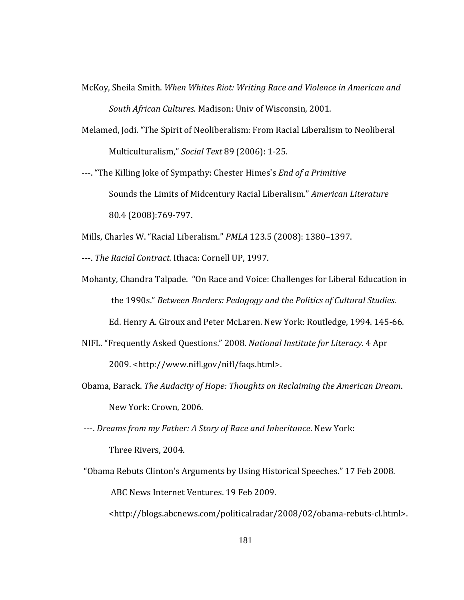- McKoy, Sheila Smith. *When Whites Riot: Writing Race and Violence in American and South African Cultures.* Madison: Univ of Wisconsin, 2001.
- Melamed, Jodi. "The Spirit of Neoliberalism: From Racial Liberalism to Neoliberal Multiculturalism," *Social Text* 89 (2006): 1‐2 5.
- ---. "The Killing Joke of Sympathy: Chester Himes's *End of a Primitive* Sounds the Limits of Midcentury Racial Liberalism." *American Literature* 80.4 (2008):769‐797.

Mills, Charles W. "Racial Liberalism." *PMLA* 123.5 (2008): 1380–1397.

‐‐‐. *The Racial Contract.* Ithaca: Cornell UP, 1997.

Mohanty, Chandra Talpade. "On Race and Voice: Challenges for Liberal Education in the 1990s." *Between Borders: Pedagogy and the Politics of Cultural Studies.*

Ed. Henry A. Giroux and Peter McLaren. New York: Routledge, 1994. 145‐66.

- NIFL. "Frequently Asked Questions." 2008. *National Institute for Literacy*. 4 Apr 2009. <http://www.nifl.gov/nifl/faqs.html>.
- Obama, Barack. *The Audacity of Hope: Thoughts on Reclaiming the American Dream*. New York: Crown, 2006.
- ‐‐‐. *Dreams from my Father: A Story of Race and Inheritance*. New York: Three Rivers, 2004.
- "Obama Rebuts Clinton's Arguments by Using Historical Speeches." 17 Feb 2008. ABC News Internet Ventures. 19 Feb 2009.

<http://blogs.abcnews.com/politicalradar/2008/02/obama‐rebuts‐cl.html>.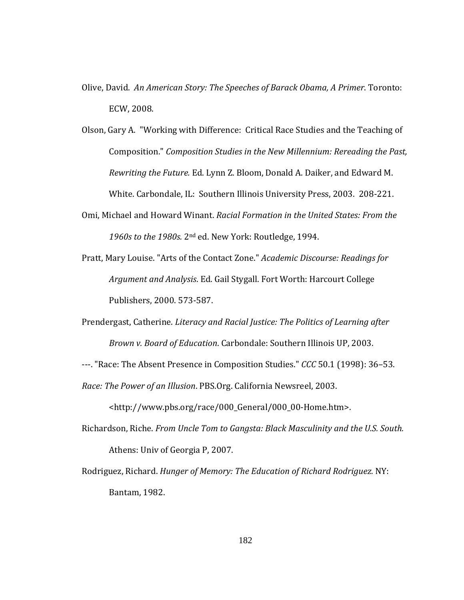- Olive, David. *An American Story: The Speeches of Barack Obama, A Primer*. Toronto: ECW, 2008.
- Olson, Gary A. "Working with Difference: Critical Race Studies and the Teaching of Composition." *Composition Studies in the New Millennium: Rereading the Past, Rewriting the Future.* Ed. Lynn Z. Bloom, Donald A. Daiker, and Edward M. White. Carbondale, IL: Southern Illinois University Press, 2003. 208‐221.
- **Omi, Michael and Howard Winant.** *Racial Formation in the United States: From the* 1960s *to the* 1980s. 2<sup>nd</sup> ed. New York: Routledge, 1994.
- Pratt, Mary Louise. "Arts of the Contact Zone." *Academic Discourse: Readings for Argument and Analysis*. Ed. Gail Stygall. Fort Worth: Harcourt College Publishers, 2000. 573‐587.
- Prendergast, Catherine. *Literacy and Racial Justice: The Politics of Learning after Brown v. Board of Education*. Carbondale: Southern Illinois UP, 2003.
- ‐‐‐. "Race: The Absent Presence in Composition Studies." *CCC* 50.1 (1998): 36–53. *Race: The Power of an Illusion*. PBS.Org. California Newsreel, 2003.

<http://www.pbs.org/race/000\_General/000\_00‐Home.htm>.

- Richardson, Riche. *From Uncle Tom to Gangsta: Black Masculinity and the U.S. South.* Athens: Univ of Georgia P, 2007.
- Rodriguez, Richard. *Hunger of Memory: The Education of Richard Rodriguez.* NY: Bantam, 1982.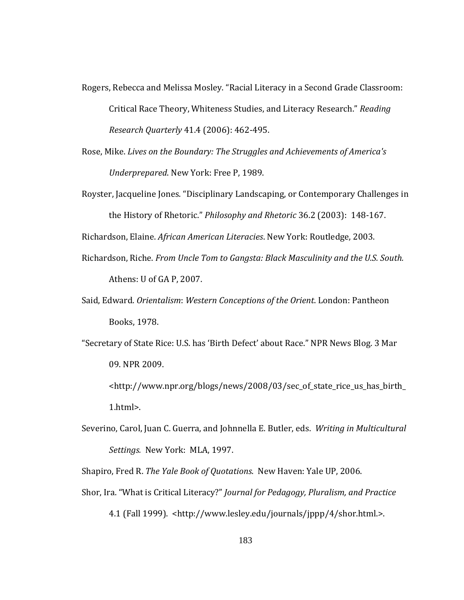- Rogers, Rebecca and Melissa Mosley. "Racial Literacy in a Second Grade Classroom: Critical Race Theory, Whiteness Studies, and Literacy Research." *Reading Research Quarterly* 41.4 (2006): 462‐495.
- Rose, Mike. *Lives on the Boundary: The Struggles and Achievements of America's Underprepared*. New York: Free P, 1989.
- Royster, Jacqueline Jones. "Disciplinary Landscaping, or Contemporary Challenges in the History of Rhetoric." *Philosophy and Rhetoric* 36.2 (2003): 148‐167.

Richardson, Elaine. *African American Literacies*. New York: Routledge, 2003.

- Richardson, Riche. *From Uncle Tom to Gangsta: Black Masculinity and the U.S. South.* Athens: U of GA P, 2007.
- Said, Edward. *Orientalism*: *Western Conceptions of the Orient*. London: Pantheon Books, 1978.
- "Secretary of State Rice: U.S. has 'Birth Defect' about Race." NPR News Blog. 3 Mar 09. NPR 2009.

<http://www.npr.org/blogs/news/2008/03/sec\_of\_state\_rice\_us\_has\_birth\_ 1.html>.

Severino, Carol, Juan C. Guerra, and Johnnella E. Butler, eds. *Writing in Multicultural Settings.* New York: MLA, 1997.

Shapiro, Fred R. *The Yale Book of Quotations*. New Haven: Yale UP, 2006.

a. "What is Critical Literacy?" *Journal for Pedagogy, Pluralism, and Practic* Shor, Ir *e* 4.1 (Fall 1999). <http://www.lesley.edu/journals/jppp/4/shor.html.>.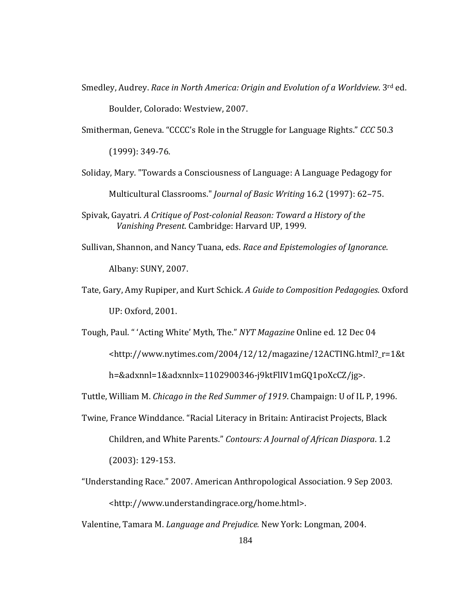Smedley, Audrey. Race in North America: Origin and Evolution of a Worldview. 3rd ed.

Boulder, Colorado: Westview, 2007.

Smitherman, Geneva. "CCCC's Role in the Struggle for Language Rights." *CCC* 50.3

(1999): 349‐76.

- Soliday, Mary. "Towards a Consciousness of Language: A Language Pedagogy for Multicultural Classrooms." *Journal of Basic Writing* 16.2 (1997): 62–75.
- Spivak, Gayatri. *A Critique of Postcolonial Reason: Toward a History of the Vanishing Present*. Cambridge: Harvard UP, 1999.
- Sullivan, Shannon, and Nancy Tuana, eds. *Race and Epistemologies of Ignorance*. Albany: SUNY, 2007.
- Tate, Gary, Amy Rupiper, and Kurt Schick. *A Guide to Composition Pedagogies*. Oxford UP: Oxford, 2001.
- Tough, Paul. " 'Acting White' Myth, The." *NYT Magazine* Online ed. 12 Dec 04 <http://www.nytimes.com/2004/12/12/magazine/12ACTING.html?\_r=1&t h=&adxnnl=1&adxnnlx=1102900346‐j9ktFlIV1mGQ1poXcCZ/jg>.

Tuttle, William M. *Chicago in the Red Summer of 1919*. Champaign: U of IL P, 1996.

- Twine, France Winddance. "Racial Literacy in Britain: Antiracist Projects, Black Children, and White Parents." *Contours: A Journal of African Diaspora*. 1.2 (2003): 129‐153.
- <http://www.understandingrace.org/home.html>. "Understanding Race." 2007. American Anthropological Association. 9 Sep 2003.

Valentine, Tamara M. *Language and Prejudice.* New York: Longman, 2004.